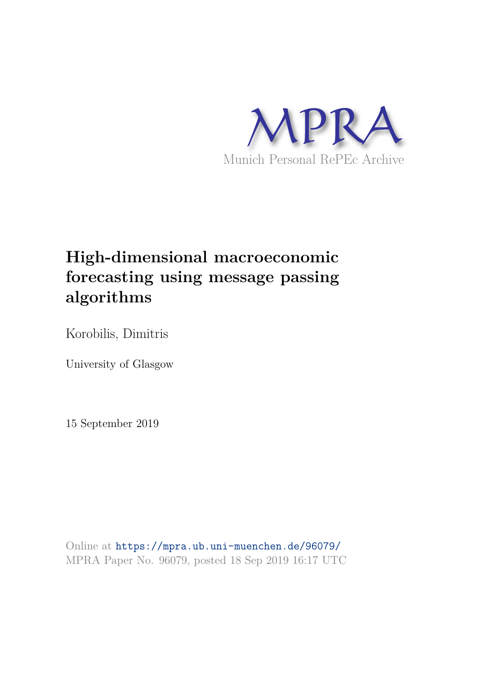

# **High-dimensional macroeconomic forecasting using message passing algorithms**

Korobilis, Dimitris

University of Glasgow

15 September 2019

Online at https://mpra.ub.uni-muenchen.de/96079/ MPRA Paper No. 96079, posted 18 Sep 2019 16:17 UTC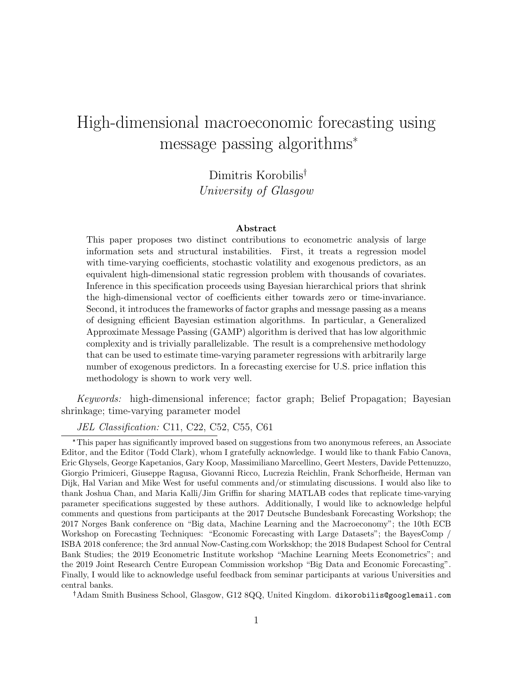## High-dimensional macroeconomic forecasting using message passing algorithms<sup>\*</sup>

Dimitris Korobilis<sup>†</sup> University of Glasgow

#### Abstract

This paper proposes two distinct contributions to econometric analysis of large information sets and structural instabilities. First, it treats a regression model with time-varying coefficients, stochastic volatility and exogenous predictors, as an equivalent high-dimensional static regression problem with thousands of covariates. Inference in this specification proceeds using Bayesian hierarchical priors that shrink the high-dimensional vector of coefficients either towards zero or time-invariance. Second, it introduces the frameworks of factor graphs and message passing as a means of designing efficient Bayesian estimation algorithms. In particular, a Generalized Approximate Message Passing (GAMP) algorithm is derived that has low algorithmic complexity and is trivially parallelizable. The result is a comprehensive methodology that can be used to estimate time-varying parameter regressions with arbitrarily large number of exogenous predictors. In a forecasting exercise for U.S. price inflation this methodology is shown to work very well.

Keywords: high-dimensional inference; factor graph; Belief Propagation; Bayesian shrinkage; time-varying parameter model

JEL Classification: C11, C22, C52, C55, C61

✯This paper has significantly improved based on suggestions from two anonymous referees, an Associate Editor, and the Editor (Todd Clark), whom I gratefully acknowledge. I would like to thank Fabio Canova, Eric Ghysels, George Kapetanios, Gary Koop, Massimiliano Marcellino, Geert Mesters, Davide Pettenuzzo, Giorgio Primiceri, Giuseppe Ragusa, Giovanni Ricco, Lucrezia Reichlin, Frank Schorfheide, Herman van Dijk, Hal Varian and Mike West for useful comments and/or stimulating discussions. I would also like to thank Joshua Chan, and Maria Kalli/Jim Griffin for sharing MATLAB codes that replicate time-varying parameter specifications suggested by these authors. Additionally, I would like to acknowledge helpful comments and questions from participants at the 2017 Deutsche Bundesbank Forecasting Workshop; the 2017 Norges Bank conference on "Big data, Machine Learning and the Macroeconomy"; the 10th ECB Workshop on Forecasting Techniques: "Economic Forecasting with Large Datasets"; the BayesComp / ISBA 2018 conference; the 3rd annual Now-Casting.com Workskhop; the 2018 Budapest School for Central Bank Studies; the 2019 Econometric Institute workshop "Machine Learning Meets Econometrics"; and the 2019 Joint Research Centre European Commission workshop "Big Data and Economic Forecasting". Finally, I would like to acknowledge useful feedback from seminar participants at various Universities and central banks.

<sup>†</sup>Adam Smith Business School, Glasgow, G12 8QQ, United Kingdom. dikorobilis@googlemail.com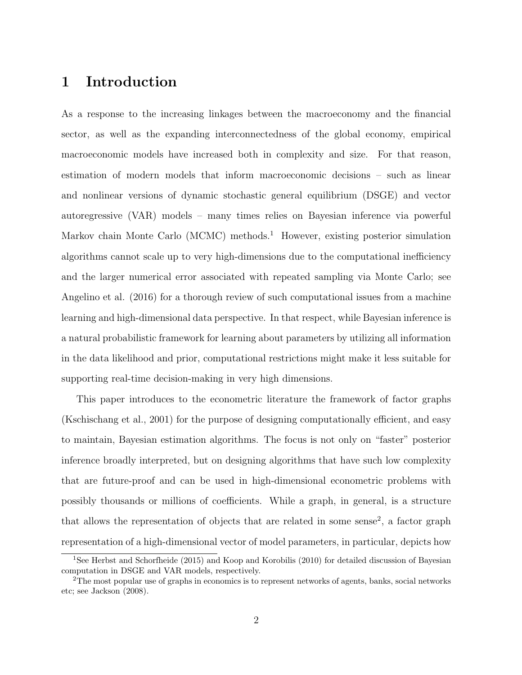## 1 Introduction

As a response to the increasing linkages between the macroeconomy and the financial sector, as well as the expanding interconnectedness of the global economy, empirical macroeconomic models have increased both in complexity and size. For that reason, estimation of modern models that inform macroeconomic decisions – such as linear and nonlinear versions of dynamic stochastic general equilibrium (DSGE) and vector autoregressive (VAR) models – many times relies on Bayesian inference via powerful Markov chain Monte Carlo (MCMC) methods.<sup>1</sup> However, existing posterior simulation algorithms cannot scale up to very high-dimensions due to the computational inefficiency and the larger numerical error associated with repeated sampling via Monte Carlo; see Angelino et al. (2016) for a thorough review of such computational issues from a machine learning and high-dimensional data perspective. In that respect, while Bayesian inference is a natural probabilistic framework for learning about parameters by utilizing all information in the data likelihood and prior, computational restrictions might make it less suitable for supporting real-time decision-making in very high dimensions.

This paper introduces to the econometric literature the framework of factor graphs (Kschischang et al., 2001) for the purpose of designing computationally efficient, and easy to maintain, Bayesian estimation algorithms. The focus is not only on "faster" posterior inference broadly interpreted, but on designing algorithms that have such low complexity that are future-proof and can be used in high-dimensional econometric problems with possibly thousands or millions of coefficients. While a graph, in general, is a structure that allows the representation of objects that are related in some sense<sup>2</sup>, a factor graph representation of a high-dimensional vector of model parameters, in particular, depicts how

<sup>&</sup>lt;sup>1</sup>See Herbst and Schorfheide (2015) and Koop and Korobilis (2010) for detailed discussion of Bayesian computation in DSGE and VAR models, respectively.

<sup>2</sup>The most popular use of graphs in economics is to represent networks of agents, banks, social networks etc; see Jackson (2008).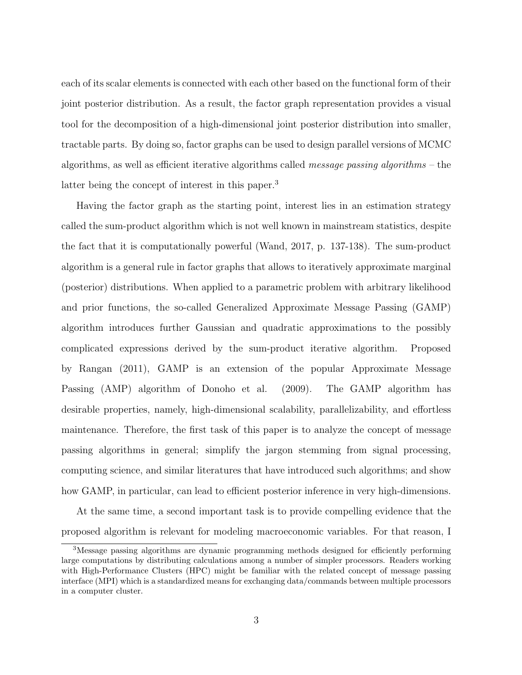each of its scalar elements is connected with each other based on the functional form of their joint posterior distribution. As a result, the factor graph representation provides a visual tool for the decomposition of a high-dimensional joint posterior distribution into smaller, tractable parts. By doing so, factor graphs can be used to design parallel versions of MCMC algorithms, as well as efficient iterative algorithms called *message passing algorithms* – the latter being the concept of interest in this paper.<sup>3</sup>

Having the factor graph as the starting point, interest lies in an estimation strategy called the sum-product algorithm which is not well known in mainstream statistics, despite the fact that it is computationally powerful (Wand, 2017, p. 137-138). The sum-product algorithm is a general rule in factor graphs that allows to iteratively approximate marginal (posterior) distributions. When applied to a parametric problem with arbitrary likelihood and prior functions, the so-called Generalized Approximate Message Passing (GAMP) algorithm introduces further Gaussian and quadratic approximations to the possibly complicated expressions derived by the sum-product iterative algorithm. Proposed by Rangan (2011), GAMP is an extension of the popular Approximate Message Passing (AMP) algorithm of Donoho et al. (2009). The GAMP algorithm has desirable properties, namely, high-dimensional scalability, parallelizability, and effortless maintenance. Therefore, the first task of this paper is to analyze the concept of message passing algorithms in general; simplify the jargon stemming from signal processing, computing science, and similar literatures that have introduced such algorithms; and show how GAMP, in particular, can lead to efficient posterior inference in very high-dimensions.

At the same time, a second important task is to provide compelling evidence that the proposed algorithm is relevant for modeling macroeconomic variables. For that reason, I

<sup>&</sup>lt;sup>3</sup>Message passing algorithms are dynamic programming methods designed for efficiently performing large computations by distributing calculations among a number of simpler processors. Readers working with High-Performance Clusters (HPC) might be familiar with the related concept of message passing interface (MPI) which is a standardized means for exchanging data/commands between multiple processors in a computer cluster.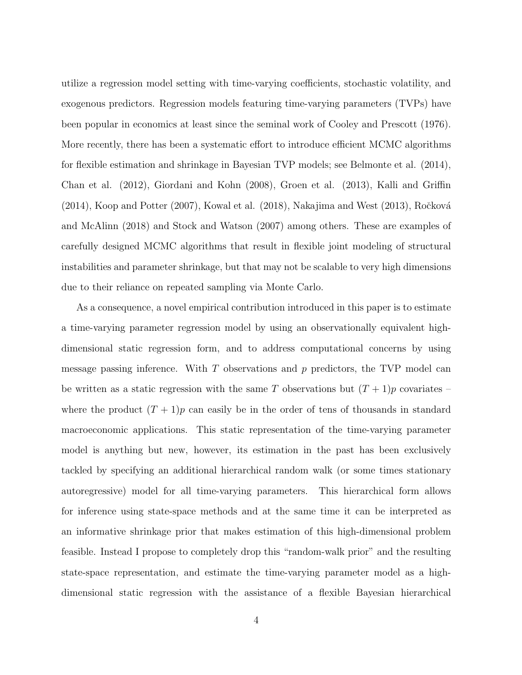utilize a regression model setting with time-varying coefficients, stochastic volatility, and exogenous predictors. Regression models featuring time-varying parameters (TVPs) have been popular in economics at least since the seminal work of Cooley and Prescott (1976). More recently, there has been a systematic effort to introduce efficient MCMC algorithms for flexible estimation and shrinkage in Bayesian TVP models; see Belmonte et al. (2014), Chan et al. (2012), Giordani and Kohn (2008), Groen et al. (2013), Kalli and Griffin  $(2014)$ , Koop and Potter  $(2007)$ , Kowal et al.  $(2018)$ , Nakajima and West  $(2013)$ , Ročková and McAlinn (2018) and Stock and Watson (2007) among others. These are examples of carefully designed MCMC algorithms that result in flexible joint modeling of structural instabilities and parameter shrinkage, but that may not be scalable to very high dimensions due to their reliance on repeated sampling via Monte Carlo.

As a consequence, a novel empirical contribution introduced in this paper is to estimate a time-varying parameter regression model by using an observationally equivalent highdimensional static regression form, and to address computational concerns by using message passing inference. With  $T$  observations and  $p$  predictors, the TVP model can be written as a static regression with the same T observations but  $(T + 1)p$  covariates – where the product  $(T + 1)p$  can easily be in the order of tens of thousands in standard macroeconomic applications. This static representation of the time-varying parameter model is anything but new, however, its estimation in the past has been exclusively tackled by specifying an additional hierarchical random walk (or some times stationary autoregressive) model for all time-varying parameters. This hierarchical form allows for inference using state-space methods and at the same time it can be interpreted as an informative shrinkage prior that makes estimation of this high-dimensional problem feasible. Instead I propose to completely drop this "random-walk prior" and the resulting state-space representation, and estimate the time-varying parameter model as a highdimensional static regression with the assistance of a flexible Bayesian hierarchical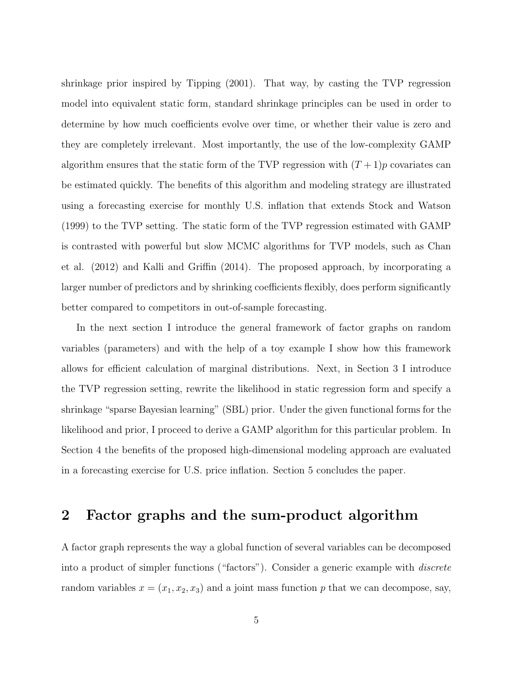shrinkage prior inspired by Tipping (2001). That way, by casting the TVP regression model into equivalent static form, standard shrinkage principles can be used in order to determine by how much coefficients evolve over time, or whether their value is zero and they are completely irrelevant. Most importantly, the use of the low-complexity GAMP algorithm ensures that the static form of the TVP regression with  $(T + 1)p$  covariates can be estimated quickly. The benefits of this algorithm and modeling strategy are illustrated using a forecasting exercise for monthly U.S. inflation that extends Stock and Watson (1999) to the TVP setting. The static form of the TVP regression estimated with GAMP is contrasted with powerful but slow MCMC algorithms for TVP models, such as Chan et al. (2012) and Kalli and Griffin (2014). The proposed approach, by incorporating a larger number of predictors and by shrinking coefficients flexibly, does perform significantly better compared to competitors in out-of-sample forecasting.

In the next section I introduce the general framework of factor graphs on random variables (parameters) and with the help of a toy example I show how this framework allows for efficient calculation of marginal distributions. Next, in Section 3 I introduce the TVP regression setting, rewrite the likelihood in static regression form and specify a shrinkage "sparse Bayesian learning" (SBL) prior. Under the given functional forms for the likelihood and prior, I proceed to derive a GAMP algorithm for this particular problem. In Section 4 the benefits of the proposed high-dimensional modeling approach are evaluated in a forecasting exercise for U.S. price inflation. Section 5 concludes the paper.

### 2 Factor graphs and the sum-product algorithm

A factor graph represents the way a global function of several variables can be decomposed into a product of simpler functions ("factors"). Consider a generic example with discrete random variables  $x = (x_1, x_2, x_3)$  and a joint mass function p that we can decompose, say,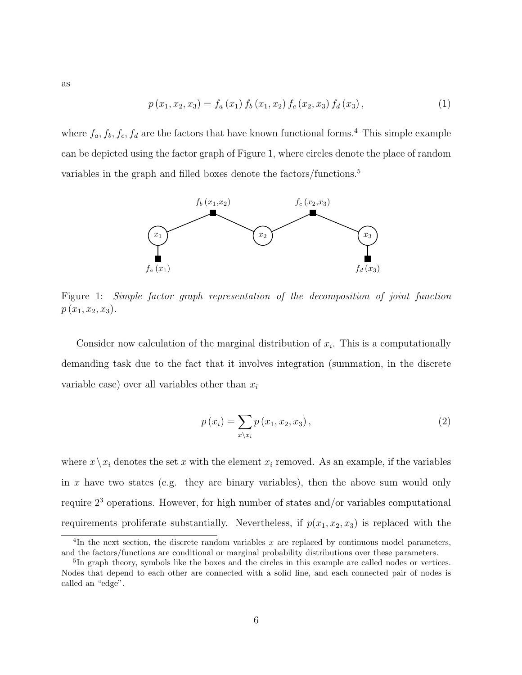as

$$
p(x_1, x_2, x_3) = f_a(x_1) f_b(x_1, x_2) f_c(x_2, x_3) f_d(x_3), \qquad (1)
$$

where  $f_a, f_b, f_c, f_d$  are the factors that have known functional forms.<sup>4</sup> This simple example can be depicted using the factor graph of Figure 1, where circles denote the place of random variables in the graph and filled boxes denote the factors/functions.<sup>5</sup>



Figure 1: Simple factor graph representation of the decomposition of joint function  $p(x_1, x_2, x_3)$ .

Consider now calculation of the marginal distribution of  $x_i$ . This is a computationally demanding task due to the fact that it involves integration (summation, in the discrete variable case) over all variables other than  $x_i$ 

$$
p(x_i) = \sum_{x \backslash x_i} p(x_1, x_2, x_3),
$$
\n(2)

where  $x \backslash x_i$  denotes the set x with the element  $x_i$  removed. As an example, if the variables in x have two states (e.g. they are binary variables), then the above sum would only require 2<sup>3</sup> operations. However, for high number of states and/or variables computational requirements proliferate substantially. Nevertheless, if  $p(x_1, x_2, x_3)$  is replaced with the

<sup>&</sup>lt;sup>4</sup>In the next section, the discrete random variables x are replaced by continuous model parameters, and the factors/functions are conditional or marginal probability distributions over these parameters.

<sup>&</sup>lt;sup>5</sup>In graph theory, symbols like the boxes and the circles in this example are called nodes or vertices. Nodes that depend to each other are connected with a solid line, and each connected pair of nodes is called an "edge".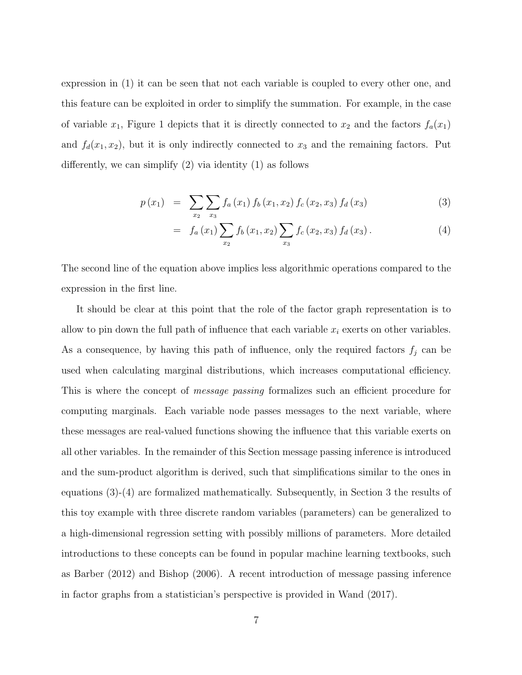expression in (1) it can be seen that not each variable is coupled to every other one, and this feature can be exploited in order to simplify the summation. For example, in the case of variable  $x_1$ , Figure 1 depicts that it is directly connected to  $x_2$  and the factors  $f_a(x_1)$ and  $f_d(x_1, x_2)$ , but it is only indirectly connected to  $x_3$  and the remaining factors. Put differently, we can simplify (2) via identity (1) as follows

$$
p(x_1) = \sum_{x_2} \sum_{x_3} f_a(x_1) f_b(x_1, x_2) f_c(x_2, x_3) f_d(x_3)
$$
 (3)

$$
= f_a(x_1) \sum_{x_2} f_b(x_1, x_2) \sum_{x_3} f_c(x_2, x_3) f_d(x_3).
$$
 (4)

The second line of the equation above implies less algorithmic operations compared to the expression in the first line.

It should be clear at this point that the role of the factor graph representation is to allow to pin down the full path of influence that each variable  $x_i$  exerts on other variables. As a consequence, by having this path of influence, only the required factors  $f_j$  can be used when calculating marginal distributions, which increases computational efficiency. This is where the concept of *message passing* formalizes such an efficient procedure for computing marginals. Each variable node passes messages to the next variable, where these messages are real-valued functions showing the influence that this variable exerts on all other variables. In the remainder of this Section message passing inference is introduced and the sum-product algorithm is derived, such that simplifications similar to the ones in equations (3)-(4) are formalized mathematically. Subsequently, in Section 3 the results of this toy example with three discrete random variables (parameters) can be generalized to a high-dimensional regression setting with possibly millions of parameters. More detailed introductions to these concepts can be found in popular machine learning textbooks, such as Barber (2012) and Bishop (2006). A recent introduction of message passing inference in factor graphs from a statistician's perspective is provided in Wand (2017).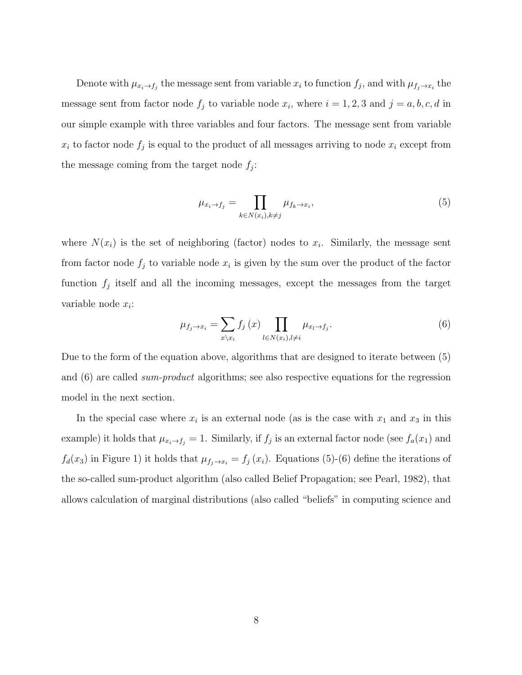Denote with  $\mu_{x_i \to f_j}$  the message sent from variable  $x_i$  to function  $f_j$ , and with  $\mu_{f_j \to x_i}$  the message sent from factor node  $f_j$  to variable node  $x_i$ , where  $i = 1, 2, 3$  and  $j = a, b, c, d$  in our simple example with three variables and four factors. The message sent from variable  $x_i$  to factor node  $f_j$  is equal to the product of all messages arriving to node  $x_i$  except from the message coming from the target node  $f_j$ :

$$
\mu_{x_i \to f_j} = \prod_{k \in N(x_i), k \neq j} \mu_{f_k \to x_i},\tag{5}
$$

where  $N(x_i)$  is the set of neighboring (factor) nodes to  $x_i$ . Similarly, the message sent from factor node  $f_j$  to variable node  $x_i$  is given by the sum over the product of the factor function  $f_j$  itself and all the incoming messages, except the messages from the target variable node  $x_i$ :

$$
\mu_{f_j \to x_i} = \sum_{x \backslash x_i} f_j(x) \prod_{l \in N(x_i), l \neq i} \mu_{x_l \to f_j}.
$$
\n
$$
(6)
$$

Due to the form of the equation above, algorithms that are designed to iterate between (5) and (6) are called sum-product algorithms; see also respective equations for the regression model in the next section.

In the special case where  $x_i$  is an external node (as is the case with  $x_1$  and  $x_3$  in this example) it holds that  $\mu_{x_i \to f_j} = 1$ . Similarly, if  $f_j$  is an external factor node (see  $f_a(x_1)$ ) and  $f_d(x_3)$  in Figure 1) it holds that  $\mu_{f_j \to x_i} = f_j(x_i)$ . Equations (5)-(6) define the iterations of the so-called sum-product algorithm (also called Belief Propagation; see Pearl, 1982), that allows calculation of marginal distributions (also called "beliefs" in computing science and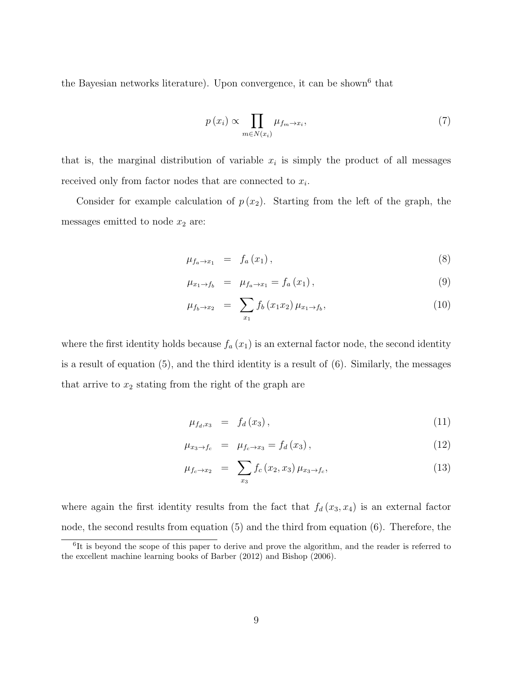the Bayesian networks literature). Upon convergence, it can be shown<sup>6</sup> that

$$
p(x_i) \propto \prod_{m \in N(x_i)} \mu_{f_m \to x_i},\tag{7}
$$

that is, the marginal distribution of variable  $x_i$  is simply the product of all messages received only from factor nodes that are connected to  $x_i$ .

Consider for example calculation of  $p(x_2)$ . Starting from the left of the graph, the messages emitted to node  $x_2$  are:

$$
\mu_{f_a \to x_1} = f_a(x_1), \tag{8}
$$

$$
\mu_{x_1 \to f_b} = \mu_{f_a \to x_1} = f_a(x_1), \tag{9}
$$

$$
\mu_{f_b \to x_2} = \sum_{x_1} f_b(x_1 x_2) \mu_{x_1 \to f_b}, \tag{10}
$$

where the first identity holds because  $f_a(x_1)$  is an external factor node, the second identity is a result of equation (5), and the third identity is a result of (6). Similarly, the messages that arrive to  $x_2$  stating from the right of the graph are

$$
\mu_{f_d, x_3} = f_d(x_3), \tag{11}
$$

$$
\mu_{x_3 \to f_c} = \mu_{f_c \to x_3} = f_d(x_3), \tag{12}
$$

$$
\mu_{f_c \to x_2} = \sum_{x_3} f_c(x_2, x_3) \mu_{x_3 \to f_c}, \tag{13}
$$

where again the first identity results from the fact that  $f_d(x_3, x_4)$  is an external factor node, the second results from equation (5) and the third from equation (6). Therefore, the

<sup>&</sup>lt;sup>6</sup>It is beyond the scope of this paper to derive and prove the algorithm, and the reader is referred to the excellent machine learning books of Barber (2012) and Bishop (2006).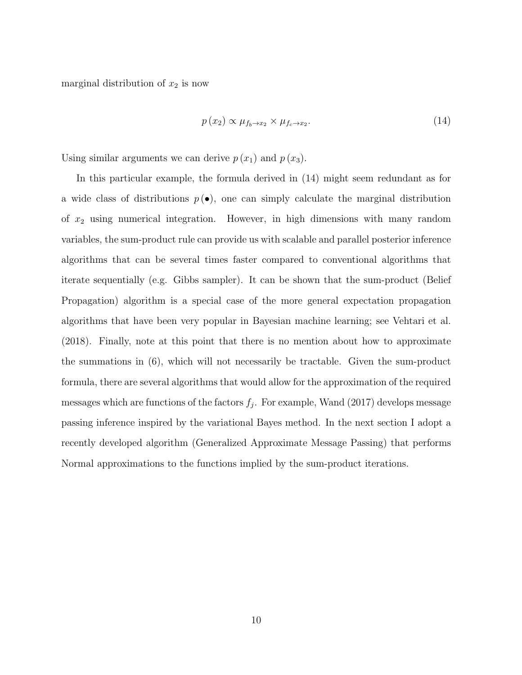marginal distribution of  $x_2$  is now

$$
p(x_2) \propto \mu_{f_b \to x_2} \times \mu_{f_c \to x_2}.\tag{14}
$$

Using similar arguments we can derive  $p(x_1)$  and  $p(x_3)$ .

In this particular example, the formula derived in (14) might seem redundant as for a wide class of distributions  $p(\bullet)$ , one can simply calculate the marginal distribution of  $x_2$  using numerical integration. However, in high dimensions with many random variables, the sum-product rule can provide us with scalable and parallel posterior inference algorithms that can be several times faster compared to conventional algorithms that iterate sequentially (e.g. Gibbs sampler). It can be shown that the sum-product (Belief Propagation) algorithm is a special case of the more general expectation propagation algorithms that have been very popular in Bayesian machine learning; see Vehtari et al. (2018). Finally, note at this point that there is no mention about how to approximate the summations in (6), which will not necessarily be tractable. Given the sum-product formula, there are several algorithms that would allow for the approximation of the required messages which are functions of the factors  $f_j$ . For example, Wand (2017) develops message passing inference inspired by the variational Bayes method. In the next section I adopt a recently developed algorithm (Generalized Approximate Message Passing) that performs Normal approximations to the functions implied by the sum-product iterations.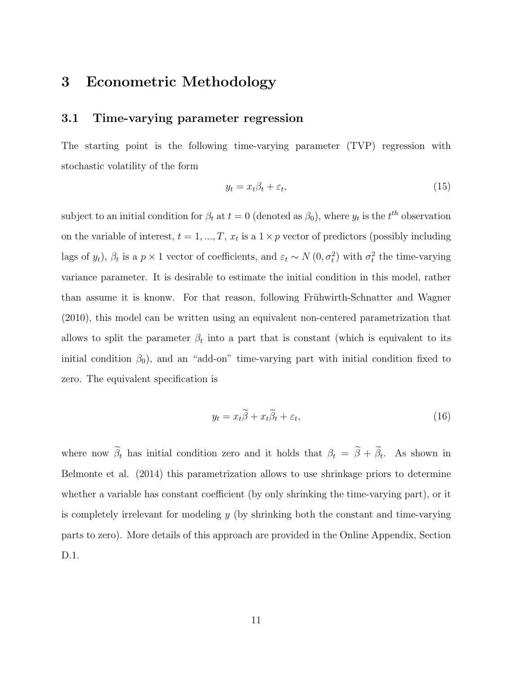## 3 Econometric Methodology

#### 3.1 Time-varying parameter regression

The starting point is the following time-varying parameter (TVP) regression with stochastic volatility of the form

$$
y_t = x_t \beta_t + \varepsilon_t,\tag{15}
$$

subject to an initial condition for  $\beta_t$  at  $t=0$  (denoted as  $\beta_0$ ), where  $y_t$  is the  $t^{th}$  observation on the variable of interest,  $t = 1, ..., T$ ,  $x_t$  is a  $1 \times p$  vector of predictors (possibly including lags of  $y_t$ ),  $\beta_t$  is a  $p \times 1$  vector of coefficients, and  $\varepsilon_t \sim N(0, \sigma_t^2)$  with  $\sigma_t^2$  the time-varying variance parameter. It is desirable to estimate the initial condition in this model, rather than assume it is knonw. For that reason, following Frühwirth-Schnatter and Wagner (2010), this model can be written using an equivalent non-centered parametrization that allows to split the parameter  $\beta_t$  into a part that is constant (which is equivalent to its initial condition  $\beta_0$ ), and an "add-on" time-varying part with initial condition fixed to zero. The equivalent specification is

$$
y_t = x_t \tilde{\beta} + x_t \tilde{\beta}_t + \varepsilon_t, \tag{16}
$$

where now  $\beta_t$  has initial condition zero and it holds that  $\beta_t = \beta + \beta_t$ . As shown in Belmonte et al. (2014) this parametrization allows to use shrinkage priors to determine whether a variable has constant coefficient (by only shrinking the time-varying part), or it is completely irrelevant for modeling  $y$  (by shrinking both the constant and time-varying parts to zero). More details of this approach are provided in the Online Appendix, Section D.1.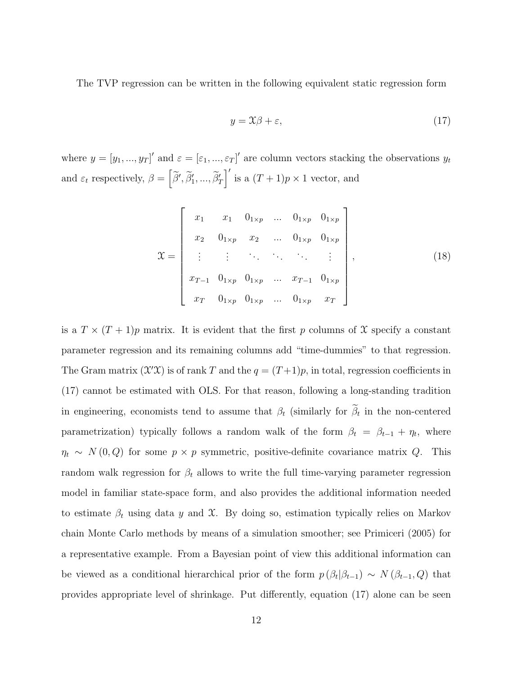The TVP regression can be written in the following equivalent static regression form

$$
y = \mathfrak{X}\beta + \varepsilon,\tag{17}
$$

where  $y = [y_1, ..., y_T]'$  and  $\varepsilon = [\varepsilon_1, ..., \varepsilon_T]'$  are column vectors stacking the observations  $y_t$ and  $\varepsilon_t$  respectively,  $\beta = \left[\widetilde{\beta}', \widetilde{\beta}'_1, ..., \widetilde{\beta}'_T\right]$  $\int'$  is a  $(T+1)p \times 1$  vector, and

$$
\mathfrak{X} = \begin{bmatrix} x_1 & x_1 & 0_{1 \times p} & \dots & 0_{1 \times p} & 0_{1 \times p} \\ x_2 & 0_{1 \times p} & x_2 & \dots & 0_{1 \times p} & 0_{1 \times p} \\ \vdots & \vdots & \ddots & \ddots & \vdots & \vdots \\ x_{T-1} & 0_{1 \times p} & 0_{1 \times p} & \dots & x_{T-1} & 0_{1 \times p} \\ x_T & 0_{1 \times p} & 0_{1 \times p} & \dots & 0_{1 \times p} & x_T \end{bmatrix},
$$
(18)

is a  $T \times (T + 1)p$  matrix. It is evident that the first p columns of X specify a constant parameter regression and its remaining columns add "time-dummies" to that regression. The Gram matrix  $(\mathcal{X}'\mathcal{X})$  is of rank T and the  $q = (T+1)p$ , in total, regression coefficients in (17) cannot be estimated with OLS. For that reason, following a long-standing tradition in engineering, economists tend to assume that  $\beta_t$  (similarly for  $\beta_t$  in the non-centered parametrization) typically follows a random walk of the form  $\beta_t = \beta_{t-1} + \eta_t$ , where  $\eta_t \sim N(0, Q)$  for some  $p \times p$  symmetric, positive-definite covariance matrix Q. This random walk regression for  $\beta_t$  allows to write the full time-varying parameter regression model in familiar state-space form, and also provides the additional information needed to estimate  $\beta_t$  using data y and X. By doing so, estimation typically relies on Markov chain Monte Carlo methods by means of a simulation smoother; see Primiceri (2005) for a representative example. From a Bayesian point of view this additional information can be viewed as a conditional hierarchical prior of the form  $p(\beta_t|\beta_{t-1}) \sim N(\beta_{t-1}, Q)$  that provides appropriate level of shrinkage. Put differently, equation (17) alone can be seen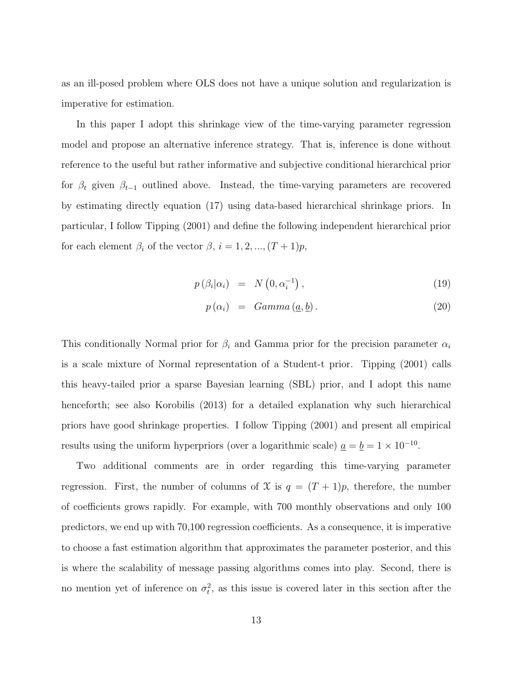as an ill-posed problem where OLS does not have a unique solution and regularization is imperative for estimation.

In this paper I adopt this shrinkage view of the time-varying parameter regression model and propose an alternative inference strategy. That is, inference is done without reference to the useful but rather informative and subjective conditional hierarchical prior for  $\beta_t$  given  $\beta_{t-1}$  outlined above. Instead, the time-varying parameters are recovered by estimating directly equation (17) using data-based hierarchical shrinkage priors. In particular, I follow Tipping (2001) and define the following independent hierarchical prior for each element  $\beta_i$  of the vector  $\beta$ ,  $i = 1, 2, ..., (T + 1)p$ ,

$$
p\left(\beta_i|\alpha_i\right) = N\left(0, \alpha_i^{-1}\right),\tag{19}
$$

$$
p(\alpha_i) = Gamma(\underline{a}, \underline{b}). \qquad (20)
$$

This conditionally Normal prior for  $\beta_i$  and Gamma prior for the precision parameter  $\alpha_i$ is a scale mixture of Normal representation of a Student-t prior. Tipping (2001) calls this heavy-tailed prior a sparse Bayesian learning (SBL) prior, and I adopt this name henceforth; see also Korobilis (2013) for a detailed explanation why such hierarchical priors have good shrinkage properties. I follow Tipping (2001) and present all empirical results using the uniform hyperpriors (over a logarithmic scale)  $\underline{a} = \underline{b} = 1 \times 10^{-10}$ .

Two additional comments are in order regarding this time-varying parameter regression. First, the number of columns of X is  $q = (T + 1)p$ , therefore, the number of coefficients grows rapidly. For example, with 700 monthly observations and only 100 predictors, we end up with 70,100 regression coefficients. As a consequence, it is imperative to choose a fast estimation algorithm that approximates the parameter posterior, and this is where the scalability of message passing algorithms comes into play. Second, there is no mention yet of inference on  $\sigma_t^2$ , as this issue is covered later in this section after the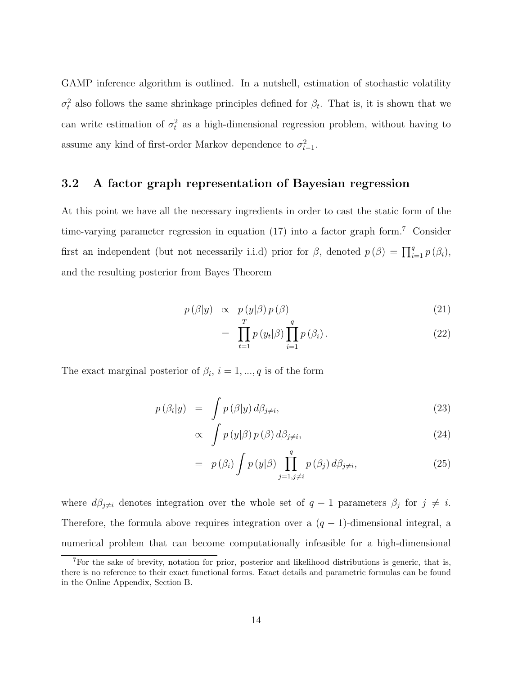GAMP inference algorithm is outlined. In a nutshell, estimation of stochastic volatility  $\sigma_t^2$  also follows the same shrinkage principles defined for  $\beta_t$ . That is, it is shown that we can write estimation of  $\sigma_t^2$  as a high-dimensional regression problem, without having to assume any kind of first-order Markov dependence to  $\sigma_{t-1}^2$ .

#### 3.2 A factor graph representation of Bayesian regression

At this point we have all the necessary ingredients in order to cast the static form of the time-varying parameter regression in equation (17) into a factor graph form.<sup>7</sup> Consider first an independent (but not necessarily i.i.d) prior for  $\beta$ , denoted  $p(\beta) = \prod_{i=1}^{q} p(\beta_i)$ , and the resulting posterior from Bayes Theorem

$$
p(\beta|y) \propto p(y|\beta) p(\beta) \tag{21}
$$

$$
= \prod_{t=1}^{T} p(y_t|\beta) \prod_{i=1}^{q} p(\beta_i).
$$
 (22)

The exact marginal posterior of  $\beta_i$ ,  $i = 1, ..., q$  is of the form

$$
p(\beta_i|y) = \int p(\beta|y) d\beta_{j\neq i}, \qquad (23)
$$

$$
\propto \int p(y|\beta) p(\beta) d\beta_{j\neq i}, \qquad (24)
$$

$$
= p(\beta_i) \int p(y|\beta) \prod_{j=1, j \neq i}^{q} p(\beta_j) d\beta_{j \neq i}, \qquad (25)
$$

where  $d\beta_{j\neq i}$  denotes integration over the whole set of  $q-1$  parameters  $\beta_j$  for  $j \neq i$ . Therefore, the formula above requires integration over a  $(q - 1)$ -dimensional integral, a numerical problem that can become computationally infeasible for a high-dimensional

<sup>&</sup>lt;sup>7</sup>For the sake of brevity, notation for prior, posterior and likelihood distributions is generic, that is, there is no reference to their exact functional forms. Exact details and parametric formulas can be found in the Online Appendix, Section B.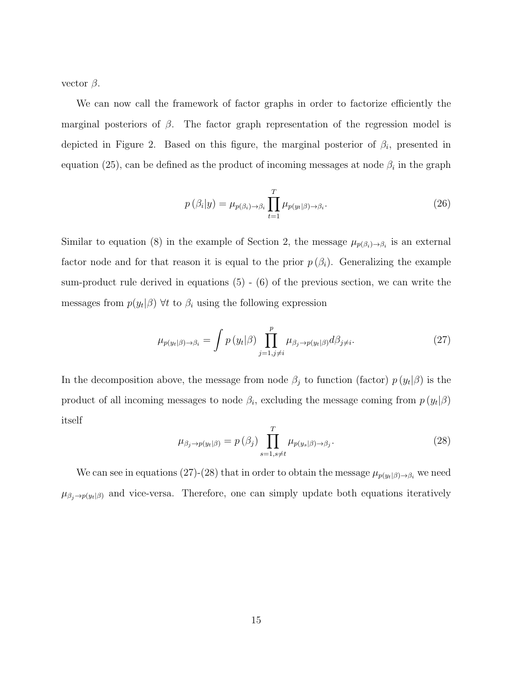vector  $\beta$ .

We can now call the framework of factor graphs in order to factorize efficiently the marginal posteriors of  $\beta$ . The factor graph representation of the regression model is depicted in Figure 2. Based on this figure, the marginal posterior of  $\beta_i$ , presented in equation (25), can be defined as the product of incoming messages at node  $\beta_i$  in the graph

$$
p(\beta_i|y) = \mu_{p(\beta_i)\to\beta_i} \prod_{t=1}^T \mu_{p(y_t|\beta)\to\beta_i}.
$$
\n(26)

Similar to equation (8) in the example of Section 2, the message  $\mu_{p(\beta_i)\rightarrow\beta_i}$  is an external factor node and for that reason it is equal to the prior  $p(\beta_i)$ . Generalizing the example sum-product rule derived in equations  $(5)$  -  $(6)$  of the previous section, we can write the messages from  $p(y_t|\beta)$   $\forall t$  to  $\beta_i$  using the following expression

$$
\mu_{p(y_t|\beta)\to\beta_i} = \int p\left(y_t|\beta\right) \prod_{j=1,j\neq i}^p \mu_{\beta_j \to p(y_t|\beta)} d\beta_{j\neq i}.\tag{27}
$$

In the decomposition above, the message from node  $\beta_j$  to function (factor)  $p(y_t|\beta)$  is the product of all incoming messages to node  $\beta_i$ , excluding the message coming from  $p(y_t|\beta)$ itself

$$
\mu_{\beta_j \to p(y_t|\beta)} = p(\beta_j) \prod_{s=1, s \neq t}^{T} \mu_{p(y_s|\beta) \to \beta_j}.
$$
\n(28)

We can see in equations (27)-(28) that in order to obtain the message  $\mu_{p(y_t|\beta)\to\beta_i}$  we need  $\mu_{\beta_j \to p(y_t|\beta)}$  and vice-versa. Therefore, one can simply update both equations iteratively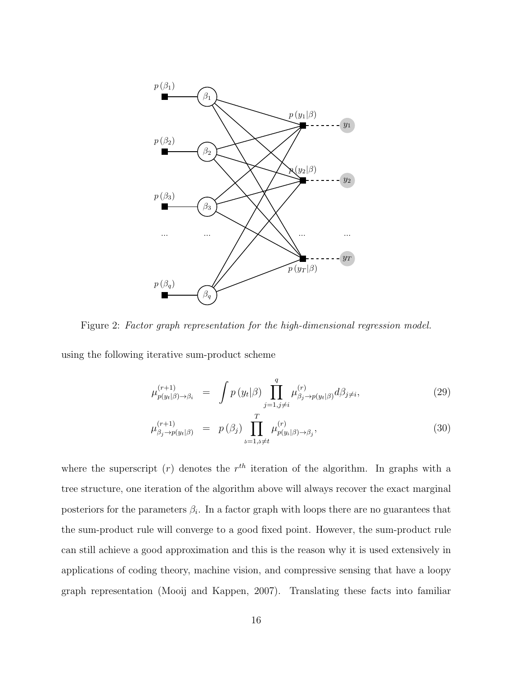

Figure 2: Factor graph representation for the high-dimensional regression model.

using the following iterative sum-product scheme

$$
\mu_{p(y_t|\beta)\to\beta_i}^{(r+1)} = \int p(y_t|\beta) \prod_{j=1, j\neq i}^q \mu_{\beta_j \to p(y_t|\beta)}^{(r)} d\beta_{j\neq i}, \tag{29}
$$

$$
\mu_{\beta_j \to p(y_t|\beta)}^{(r+1)} = p(\beta_j) \prod_{\delta=1, \delta \neq t}^{1} \mu_{p(y_\delta|\beta) \to \beta_j}^{(r)}, \tag{30}
$$

where the superscript  $(r)$  denotes the  $r^{th}$  iteration of the algorithm. In graphs with a tree structure, one iteration of the algorithm above will always recover the exact marginal posteriors for the parameters  $\beta_i$ . In a factor graph with loops there are no guarantees that the sum-product rule will converge to a good fixed point. However, the sum-product rule can still achieve a good approximation and this is the reason why it is used extensively in applications of coding theory, machine vision, and compressive sensing that have a loopy graph representation (Mooij and Kappen, 2007). Translating these facts into familiar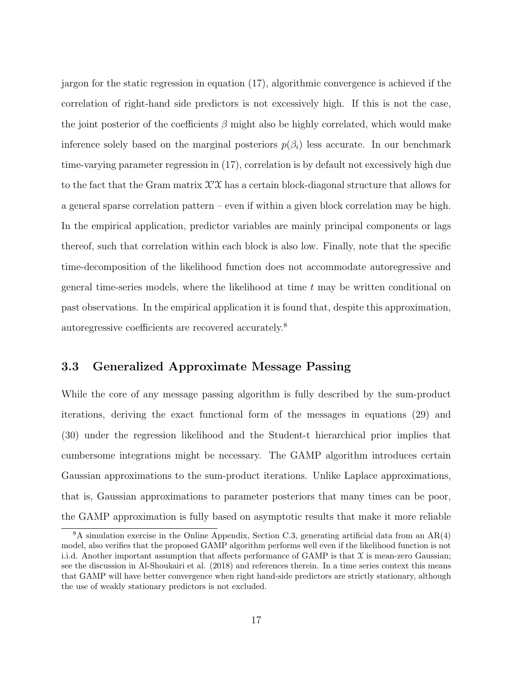jargon for the static regression in equation (17), algorithmic convergence is achieved if the correlation of right-hand side predictors is not excessively high. If this is not the case, the joint posterior of the coefficients  $\beta$  might also be highly correlated, which would make inference solely based on the marginal posteriors  $p(\beta_i)$  less accurate. In our benchmark time-varying parameter regression in (17), correlation is by default not excessively high due to the fact that the Gram matrix  $\mathcal{X}'\mathcal{X}$  has a certain block-diagonal structure that allows for a general sparse correlation pattern – even if within a given block correlation may be high. In the empirical application, predictor variables are mainly principal components or lags thereof, such that correlation within each block is also low. Finally, note that the specific time-decomposition of the likelihood function does not accommodate autoregressive and general time-series models, where the likelihood at time  $t$  may be written conditional on past observations. In the empirical application it is found that, despite this approximation, autoregressive coefficients are recovered accurately.<sup>8</sup>

### 3.3 Generalized Approximate Message Passing

While the core of any message passing algorithm is fully described by the sum-product iterations, deriving the exact functional form of the messages in equations (29) and (30) under the regression likelihood and the Student-t hierarchical prior implies that cumbersome integrations might be necessary. The GAMP algorithm introduces certain Gaussian approximations to the sum-product iterations. Unlike Laplace approximations, that is, Gaussian approximations to parameter posteriors that many times can be poor, the GAMP approximation is fully based on asymptotic results that make it more reliable

 ${}^{8}$ A simulation exercise in the Online Appendix, Section C.3, generating artificial data from an AR(4) model, also verifies that the proposed GAMP algorithm performs well even if the likelihood function is not i.i.d. Another important assumption that affects performance of GAMP is that  $\mathfrak X$  is mean-zero Gaussian; see the discussion in Al-Shoukairi et al. (2018) and references therein. In a time series context this means that GAMP will have better convergence when right hand-side predictors are strictly stationary, although the use of weakly stationary predictors is not excluded.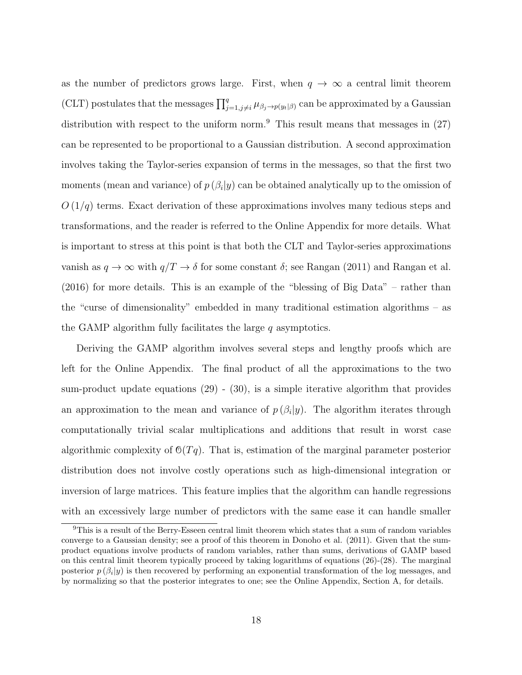as the number of predictors grows large. First, when  $q \to \infty$  a central limit theorem (CLT) postulates that the messages  $\prod_{j=1,j\neq i}^{q} \mu_{\beta_j\to p(y_t|\beta)}$  can be approximated by a Gaussian distribution with respect to the uniform norm.<sup>9</sup> This result means that messages in  $(27)$ can be represented to be proportional to a Gaussian distribution. A second approximation involves taking the Taylor-series expansion of terms in the messages, so that the first two moments (mean and variance) of  $p(\beta_i|y)$  can be obtained analytically up to the omission of  $O(1/q)$  terms. Exact derivation of these approximations involves many tedious steps and transformations, and the reader is referred to the Online Appendix for more details. What is important to stress at this point is that both the CLT and Taylor-series approximations vanish as  $q \to \infty$  with  $q/T \to \delta$  for some constant  $\delta$ ; see Rangan (2011) and Rangan et al. (2016) for more details. This is an example of the "blessing of Big Data" – rather than the "curse of dimensionality" embedded in many traditional estimation algorithms – as the GAMP algorithm fully facilitates the large  $q$  asymptotics.

Deriving the GAMP algorithm involves several steps and lengthy proofs which are left for the Online Appendix. The final product of all the approximations to the two sum-product update equations (29) - (30), is a simple iterative algorithm that provides an approximation to the mean and variance of  $p(\beta_i|y)$ . The algorithm iterates through computationally trivial scalar multiplications and additions that result in worst case algorithmic complexity of  $\mathcal{O}(T_q)$ . That is, estimation of the marginal parameter posterior distribution does not involve costly operations such as high-dimensional integration or inversion of large matrices. This feature implies that the algorithm can handle regressions with an excessively large number of predictors with the same ease it can handle smaller

<sup>9</sup>This is a result of the Berry-Esseen central limit theorem which states that a sum of random variables converge to a Gaussian density; see a proof of this theorem in Donoho et al. (2011). Given that the sumproduct equations involve products of random variables, rather than sums, derivations of GAMP based on this central limit theorem typically proceed by taking logarithms of equations  $(26)-(28)$ . The marginal posterior  $p(\beta_i|y)$  is then recovered by performing an exponential transformation of the log messages, and by normalizing so that the posterior integrates to one; see the Online Appendix, Section A, for details.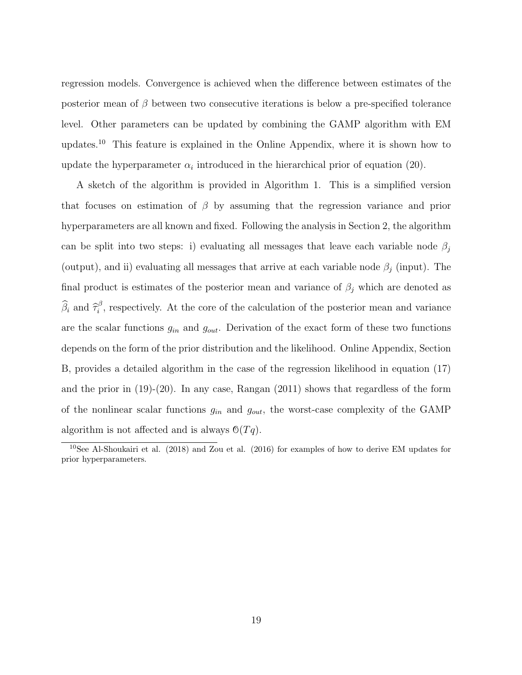regression models. Convergence is achieved when the difference between estimates of the posterior mean of  $\beta$  between two consecutive iterations is below a pre-specified tolerance level. Other parameters can be updated by combining the GAMP algorithm with EM updates.<sup>10</sup> This feature is explained in the Online Appendix, where it is shown how to update the hyperparameter  $\alpha_i$  introduced in the hierarchical prior of equation (20).

A sketch of the algorithm is provided in Algorithm 1. This is a simplified version that focuses on estimation of  $\beta$  by assuming that the regression variance and prior hyperparameters are all known and fixed. Following the analysis in Section 2, the algorithm can be split into two steps: i) evaluating all messages that leave each variable node  $\beta_i$ (output), and ii) evaluating all messages that arrive at each variable node  $\beta_j$  (input). The final product is estimates of the posterior mean and variance of  $\beta_j$  which are denoted as  $\widehat{\beta}_i$  and  $\widehat{\tau}_i^{\beta}$  $i<sub>i</sub>$ , respectively. At the core of the calculation of the posterior mean and variance are the scalar functions  $g_{in}$  and  $g_{out}$ . Derivation of the exact form of these two functions depends on the form of the prior distribution and the likelihood. Online Appendix, Section B, provides a detailed algorithm in the case of the regression likelihood in equation (17) and the prior in (19)-(20). In any case, Rangan (2011) shows that regardless of the form of the nonlinear scalar functions  $g_{in}$  and  $g_{out}$ , the worst-case complexity of the GAMP algorithm is not affected and is always  $\mathcal{O}(Tq)$ .

<sup>&</sup>lt;sup>10</sup>See Al-Shoukairi et al.  $(2018)$  and Zou et al.  $(2016)$  for examples of how to derive EM updates for prior hyperparameters.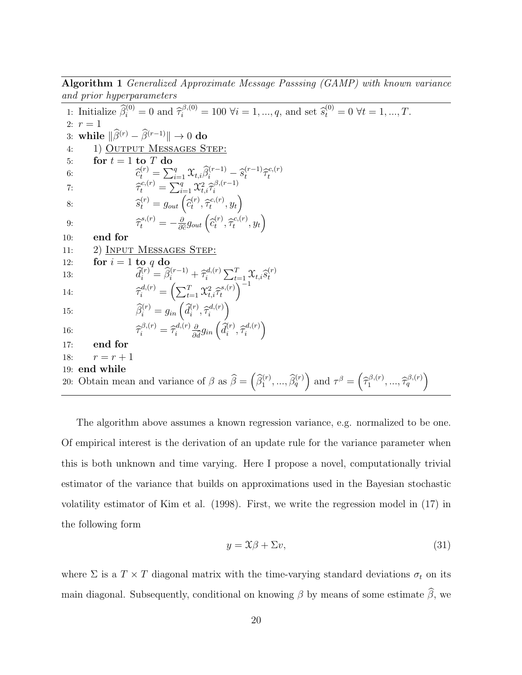Algorithm 1 Generalized Approximate Message Passsing (GAMP) with known variance and prior hyperparameters

1: Initialize  $\hat{\beta}_i^{(0)} = 0$  and  $\hat{\tau}_i^{\beta,(0)} = 100 \ \forall i = 1, ..., q$ , and set  $\hat{s}_t^{(0)} = 0 \ \forall t = 1, ..., T$ . 2:  $r = 1$ 3: while  $\|\widehat{\beta}^{(r)} - \widehat{\beta}^{(r-1)}\| \to 0$  do<br>4: 1) OUTPUT MESSAGES S<sup>o</sup> 1) OUTPUT MESSAGES STEP: 5: for  $t = 1$  to  $T$  do 6:  $\widehat{c}_t^{(r)} = \sum_{i=1}^q \mathfrak{X}_{t,i} \widehat{\beta}_i^{(r-1)} - \widehat{s}_t^{(r-1)}$  $\big(\begin{matrix} (r-1) \\ t \end{matrix} \big) \widehat{\tau}_t^{c,(r)}$ t 7:  $\widehat{\tau}_t^{c,(r)} = \sum_{i=1}^q \mathfrak{X}_{t,i}^2 \widehat{\tau}_i^{\beta,(r-1)}$ i 8:  $\qquad \qquad \widehat{s}_{i}$  $f_t^{(r)} = g_{out} \left( \hat{c}_t^{(r)} \right)$  $\mathcal{F}_t^{(r)}, \widehat{\tau}_t^{c,(r)}$  $x^{c,(r)}$ ,  $y_t$ 9:  $\widehat{\tau}_i$  $t^{s,(r)}=-\frac{\partial}{\partial r}$  $\frac{\partial}{\partial \widehat{c}}g_{out}\left(\widehat{c}_{t}^{\left(r\right)}\right)$  $\mathcal{F}_t^{(r)}, \widehat{\tau}_t^{c,(r)}$  $\left(\begin{matrix} c, (r), \ t \end{matrix}\right)$ 10: end for 11: 2) INPUT MESSAGES STEP: 12: for  $i = 1$  to q do 13:  $\widehat{d}_i^{(r)} = \widehat{\beta}_i^{(r-1)} + \widehat{\tau}_i^{d,(r)}$  $\sum_{t=1}^{d,(r)} \sum_{t=1}^{T} \chi_{t,i} \widehat{s}_{t}^{(r)}$ t 14:  $\widehat{\tau}_{i}^{d,(r)} = \left( \sum_{t=1}^{T} \mathcal{X}_{t,i}^{2} \widehat{\tau}_{t}^{s,(r)} \right)$ t  $\setminus^{-1}$ 15:  $\widehat{\beta}_i^{(r)} = g_{in} \left( \widehat{d}_i^{(r)}, \widehat{\tau}_i^{d,(r)} \right)$ i  $\overline{ }$ 16:  $\widehat{\tau}_i$  $\widehat{\tau}_i^{\beta,(r)} = \widehat{\tau}_i^{d,(r)}$  $\frac{d}{i}$  ∂  $\frac{\partial}{\partial \widehat{d}}g_{in}\left(\widehat{d}_{i}^{\left(r\right)},\widehat{\tau}_{i}^{d,\left(r\right)}\right)$ i  $\overline{ }$ 17: end for 18:  $r = r + 1$ 19: end while 20: Obtain mean and variance of  $\beta$  as  $\widehat{\beta} = (\widehat{\beta}_1^{(r)}, ..., \widehat{\beta}_q^{(r)})$  and  $\tau^{\beta} = (\widehat{\tau}_1^{\beta,(r)})$  $\widehat{T}_1^{(\beta,(r)},...,\widehat{T}_q^{(\beta,(r)})$ 

The algorithm above assumes a known regression variance, e.g. normalized to be one. Of empirical interest is the derivation of an update rule for the variance parameter when this is both unknown and time varying. Here I propose a novel, computationally trivial estimator of the variance that builds on approximations used in the Bayesian stochastic volatility estimator of Kim et al. (1998). First, we write the regression model in (17) in the following form

$$
y = \mathfrak{X}\beta + \Sigma v,\tag{31}
$$

where  $\Sigma$  is a  $T \times T$  diagonal matrix with the time-varying standard deviations  $\sigma_t$  on its main diagonal. Subsequently, conditional on knowing  $\beta$  by means of some estimate  $\widehat{\beta}$ , we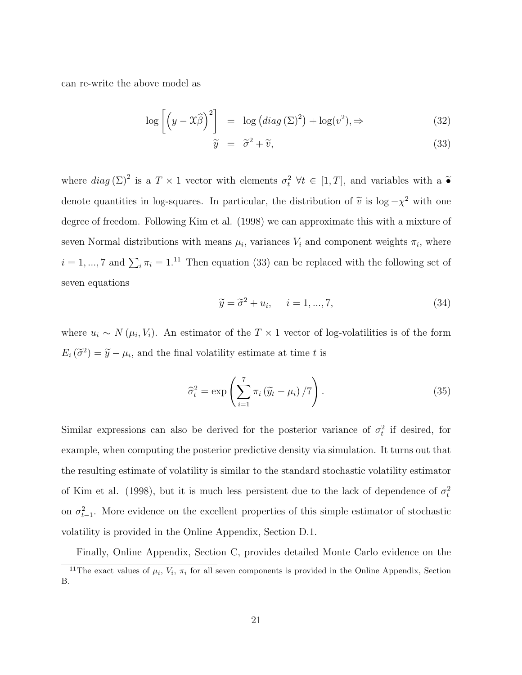can re-write the above model as

$$
\log\left[\left(y-\mathfrak{X}\widehat{\beta}\right)^{2}\right] = \log\left(\operatorname{diag}\left(\Sigma\right)^{2}\right) + \log(v^{2}), \Rightarrow \tag{32}
$$

$$
\widetilde{y} = \widetilde{\sigma}^2 + \widetilde{v}, \tag{33}
$$

where  $diag(\Sigma)^2$  is a  $T \times 1$  vector with elements  $\sigma_t^2 \forall t \in [1, T]$ , and variables with a  $\widetilde{\bullet}$ denote quantities in log-squares. In particular, the distribution of  $\tilde{v}$  is log  $-\chi^2$  with one degree of freedom. Following Kim et al. (1998) we can approximate this with a mixture of seven Normal distributions with means  $\mu_i$ , variances  $V_i$  and component weights  $\pi_i$ , where  $i = 1, ..., 7$  and  $\sum_i \pi_i = 1.1$ <sup>11</sup> Then equation (33) can be replaced with the following set of seven equations

$$
\widetilde{y} = \widetilde{\sigma}^2 + u_i, \quad i = 1, ..., 7,
$$
\n(34)

where  $u_i \sim N(\mu_i, V_i)$ . An estimator of the  $T \times 1$  vector of log-volatilities is of the form  $E_i(\tilde{\sigma}^2) = \tilde{y} - \mu_i$ , and the final volatility estimate at time t is

$$
\widehat{\sigma}_t^2 = \exp\left(\sum_{i=1}^7 \pi_i \left(\widetilde{y}_t - \mu_i\right)/7\right). \tag{35}
$$

Similar expressions can also be derived for the posterior variance of  $\sigma_t^2$  if desired, for example, when computing the posterior predictive density via simulation. It turns out that the resulting estimate of volatility is similar to the standard stochastic volatility estimator of Kim et al. (1998), but it is much less persistent due to the lack of dependence of  $\sigma_t^2$ on  $\sigma_{t-1}^2$ . More evidence on the excellent properties of this simple estimator of stochastic volatility is provided in the Online Appendix, Section D.1.

Finally, Online Appendix, Section C, provides detailed Monte Carlo evidence on the <sup>11</sup>The exact values of  $\mu_i$ ,  $V_i$ ,  $\pi_i$  for all seven components is provided in the Online Appendix, Section B.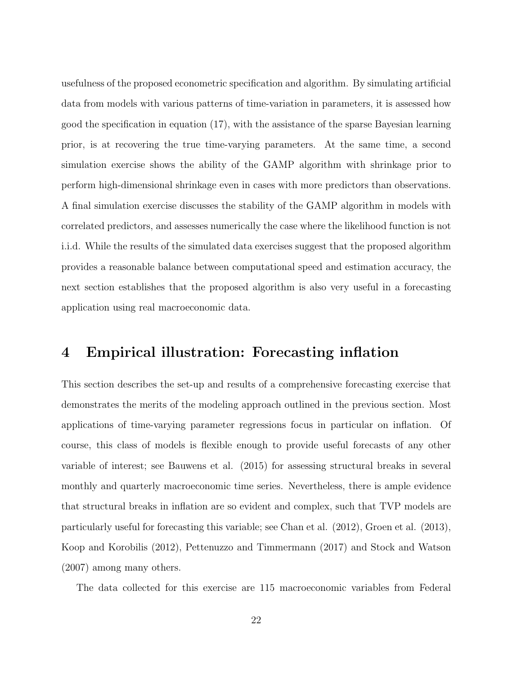usefulness of the proposed econometric specification and algorithm. By simulating artificial data from models with various patterns of time-variation in parameters, it is assessed how good the specification in equation (17), with the assistance of the sparse Bayesian learning prior, is at recovering the true time-varying parameters. At the same time, a second simulation exercise shows the ability of the GAMP algorithm with shrinkage prior to perform high-dimensional shrinkage even in cases with more predictors than observations. A final simulation exercise discusses the stability of the GAMP algorithm in models with correlated predictors, and assesses numerically the case where the likelihood function is not i.i.d. While the results of the simulated data exercises suggest that the proposed algorithm provides a reasonable balance between computational speed and estimation accuracy, the next section establishes that the proposed algorithm is also very useful in a forecasting application using real macroeconomic data.

## 4 Empirical illustration: Forecasting inflation

This section describes the set-up and results of a comprehensive forecasting exercise that demonstrates the merits of the modeling approach outlined in the previous section. Most applications of time-varying parameter regressions focus in particular on inflation. Of course, this class of models is flexible enough to provide useful forecasts of any other variable of interest; see Bauwens et al. (2015) for assessing structural breaks in several monthly and quarterly macroeconomic time series. Nevertheless, there is ample evidence that structural breaks in inflation are so evident and complex, such that TVP models are particularly useful for forecasting this variable; see Chan et al. (2012), Groen et al. (2013), Koop and Korobilis (2012), Pettenuzzo and Timmermann (2017) and Stock and Watson (2007) among many others.

The data collected for this exercise are 115 macroeconomic variables from Federal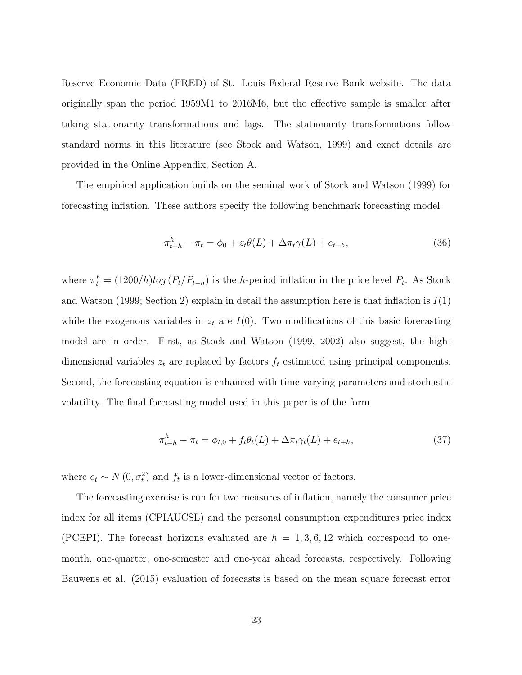Reserve Economic Data (FRED) of St. Louis Federal Reserve Bank website. The data originally span the period 1959M1 to 2016M6, but the effective sample is smaller after taking stationarity transformations and lags. The stationarity transformations follow standard norms in this literature (see Stock and Watson, 1999) and exact details are provided in the Online Appendix, Section A.

The empirical application builds on the seminal work of Stock and Watson (1999) for forecasting inflation. These authors specify the following benchmark forecasting model

$$
\pi_{t+h}^h - \pi_t = \phi_0 + z_t \theta(L) + \Delta \pi_t \gamma(L) + e_{t+h}, \qquad (36)
$$

where  $\pi_t^h = (1200/h) \log (P_t/P_{t-h})$  is the h-period inflation in the price level  $P_t$ . As Stock and Watson (1999; Section 2) explain in detail the assumption here is that inflation is  $I(1)$ while the exogenous variables in  $z_t$  are  $I(0)$ . Two modifications of this basic forecasting model are in order. First, as Stock and Watson (1999, 2002) also suggest, the highdimensional variables  $z_t$  are replaced by factors  $f_t$  estimated using principal components. Second, the forecasting equation is enhanced with time-varying parameters and stochastic volatility. The final forecasting model used in this paper is of the form

$$
\pi_{t+h}^h - \pi_t = \phi_{t,0} + f_t \theta_t(L) + \Delta \pi_t \gamma_t(L) + e_{t+h},
$$
\n(37)

where  $e_t \sim N(0, \sigma_t^2)$  and  $f_t$  is a lower-dimensional vector of factors.

The forecasting exercise is run for two measures of inflation, namely the consumer price index for all items (CPIAUCSL) and the personal consumption expenditures price index (PCEPI). The forecast horizons evaluated are  $h = 1, 3, 6, 12$  which correspond to onemonth, one-quarter, one-semester and one-year ahead forecasts, respectively. Following Bauwens et al. (2015) evaluation of forecasts is based on the mean square forecast error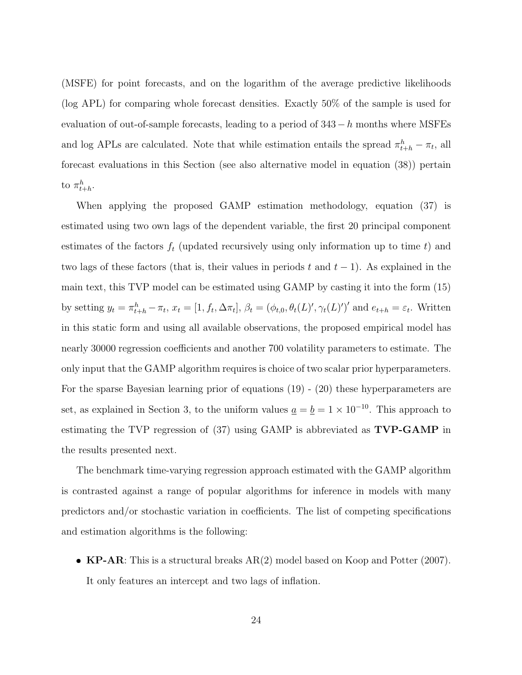(MSFE) for point forecasts, and on the logarithm of the average predictive likelihoods (log APL) for comparing whole forecast densities. Exactly 50% of the sample is used for evaluation of out-of-sample forecasts, leading to a period of  $343-h$  months where MSFEs and log APLs are calculated. Note that while estimation entails the spread  $\pi_{t+h}^h - \pi_t$ , all forecast evaluations in this Section (see also alternative model in equation (38)) pertain to  $\pi^h_{t+h}$ .

When applying the proposed GAMP estimation methodology, equation (37) is estimated using two own lags of the dependent variable, the first 20 principal component estimates of the factors  $f_t$  (updated recursively using only information up to time  $t$ ) and two lags of these factors (that is, their values in periods t and  $t - 1$ ). As explained in the main text, this TVP model can be estimated using GAMP by casting it into the form (15) by setting  $y_t = \pi_{t+h}^h - \pi_t$ ,  $x_t = [1, f_t, \Delta \pi_t]$ ,  $\beta_t = (\phi_{t,0}, \theta_t(L)', \gamma_t(L)')'$  and  $e_{t+h} = \varepsilon_t$ . Written in this static form and using all available observations, the proposed empirical model has nearly 30000 regression coefficients and another 700 volatility parameters to estimate. The only input that the GAMP algorithm requires is choice of two scalar prior hyperparameters. For the sparse Bayesian learning prior of equations (19) - (20) these hyperparameters are set, as explained in Section 3, to the uniform values  $\underline{a} = \underline{b} = 1 \times 10^{-10}$ . This approach to estimating the TVP regression of (37) using GAMP is abbreviated as TVP-GAMP in the results presented next.

The benchmark time-varying regression approach estimated with the GAMP algorithm is contrasted against a range of popular algorithms for inference in models with many predictors and/or stochastic variation in coefficients. The list of competing specifications and estimation algorithms is the following:

•  $\mathbf{KP-AR:}$  This is a structural breaks  $AR(2)$  model based on Koop and Potter (2007). It only features an intercept and two lags of inflation.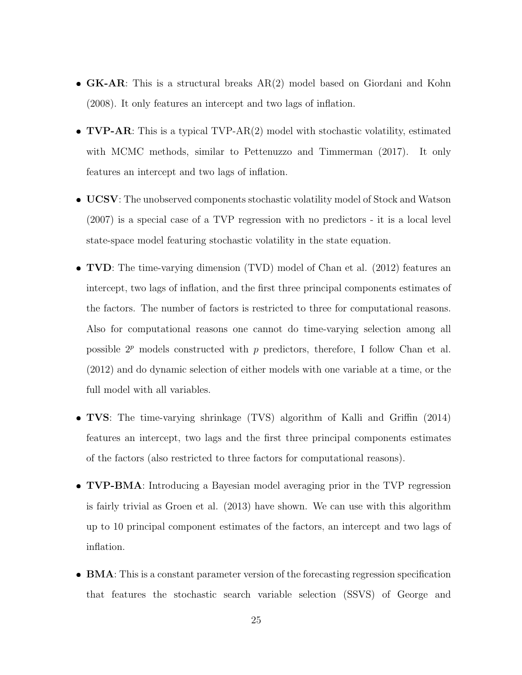- **GK-AR**: This is a structural breaks AR(2) model based on Giordani and Kohn (2008). It only features an intercept and two lags of inflation.
- **TVP-AR**: This is a typical TVP-AR(2) model with stochastic volatility, estimated with MCMC methods, similar to Pettenuzzo and Timmerman (2017). It only features an intercept and two lags of inflation.
- **UCSV**: The unobserved components stochastic volatility model of Stock and Watson (2007) is a special case of a TVP regression with no predictors - it is a local level state-space model featuring stochastic volatility in the state equation.
- ❼ TVD: The time-varying dimension (TVD) model of Chan et al. (2012) features an intercept, two lags of inflation, and the first three principal components estimates of the factors. The number of factors is restricted to three for computational reasons. Also for computational reasons one cannot do time-varying selection among all possible  $2^p$  models constructed with p predictors, therefore, I follow Chan et al. (2012) and do dynamic selection of either models with one variable at a time, or the full model with all variables.
- ❼ TVS: The time-varying shrinkage (TVS) algorithm of Kalli and Griffin (2014) features an intercept, two lags and the first three principal components estimates of the factors (also restricted to three factors for computational reasons).
- ❼ TVP-BMA: Introducing a Bayesian model averaging prior in the TVP regression is fairly trivial as Groen et al. (2013) have shown. We can use with this algorithm up to 10 principal component estimates of the factors, an intercept and two lags of inflation.
- **BMA**: This is a constant parameter version of the forecasting regression specification that features the stochastic search variable selection (SSVS) of George and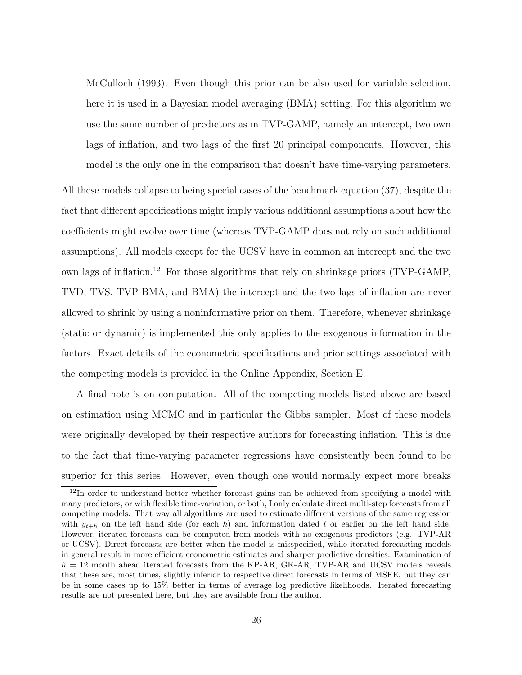McCulloch (1993). Even though this prior can be also used for variable selection, here it is used in a Bayesian model averaging (BMA) setting. For this algorithm we use the same number of predictors as in TVP-GAMP, namely an intercept, two own lags of inflation, and two lags of the first 20 principal components. However, this model is the only one in the comparison that doesn't have time-varying parameters.

All these models collapse to being special cases of the benchmark equation (37), despite the fact that different specifications might imply various additional assumptions about how the coefficients might evolve over time (whereas TVP-GAMP does not rely on such additional assumptions). All models except for the UCSV have in common an intercept and the two own lags of inflation.<sup>12</sup> For those algorithms that rely on shrinkage priors (TVP-GAMP, TVD, TVS, TVP-BMA, and BMA) the intercept and the two lags of inflation are never allowed to shrink by using a noninformative prior on them. Therefore, whenever shrinkage (static or dynamic) is implemented this only applies to the exogenous information in the factors. Exact details of the econometric specifications and prior settings associated with the competing models is provided in the Online Appendix, Section E.

A final note is on computation. All of the competing models listed above are based on estimation using MCMC and in particular the Gibbs sampler. Most of these models were originally developed by their respective authors for forecasting inflation. This is due to the fact that time-varying parameter regressions have consistently been found to be superior for this series. However, even though one would normally expect more breaks

<sup>&</sup>lt;sup>12</sup>In order to understand better whether forecast gains can be achieved from specifying a model with many predictors, or with flexible time-variation, or both, I only calculate direct multi-step forecasts from all competing models. That way all algorithms are used to estimate different versions of the same regression with  $y_{t+h}$  on the left hand side (for each h) and information dated t or earlier on the left hand side. However, iterated forecasts can be computed from models with no exogenous predictors (e.g. TVP-AR or UCSV). Direct forecasts are better when the model is misspecified, while iterated forecasting models in general result in more efficient econometric estimates and sharper predictive densities. Examination of  $h = 12$  month ahead iterated forecasts from the KP-AR, GK-AR, TVP-AR and UCSV models reveals that these are, most times, slightly inferior to respective direct forecasts in terms of MSFE, but they can be in some cases up to 15% better in terms of average log predictive likelihoods. Iterated forecasting results are not presented here, but they are available from the author.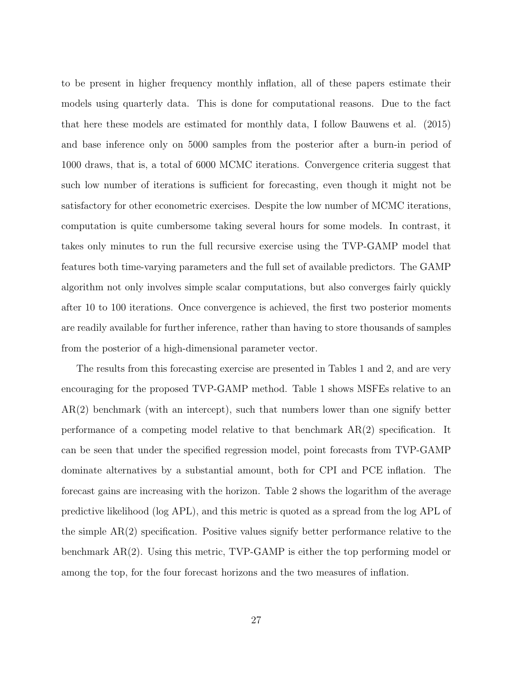to be present in higher frequency monthly inflation, all of these papers estimate their models using quarterly data. This is done for computational reasons. Due to the fact that here these models are estimated for monthly data, I follow Bauwens et al. (2015) and base inference only on 5000 samples from the posterior after a burn-in period of 1000 draws, that is, a total of 6000 MCMC iterations. Convergence criteria suggest that such low number of iterations is sufficient for forecasting, even though it might not be satisfactory for other econometric exercises. Despite the low number of MCMC iterations, computation is quite cumbersome taking several hours for some models. In contrast, it takes only minutes to run the full recursive exercise using the TVP-GAMP model that features both time-varying parameters and the full set of available predictors. The GAMP algorithm not only involves simple scalar computations, but also converges fairly quickly after 10 to 100 iterations. Once convergence is achieved, the first two posterior moments are readily available for further inference, rather than having to store thousands of samples from the posterior of a high-dimensional parameter vector.

The results from this forecasting exercise are presented in Tables 1 and 2, and are very encouraging for the proposed TVP-GAMP method. Table 1 shows MSFEs relative to an AR(2) benchmark (with an intercept), such that numbers lower than one signify better performance of a competing model relative to that benchmark AR(2) specification. It can be seen that under the specified regression model, point forecasts from TVP-GAMP dominate alternatives by a substantial amount, both for CPI and PCE inflation. The forecast gains are increasing with the horizon. Table 2 shows the logarithm of the average predictive likelihood (log APL), and this metric is quoted as a spread from the log APL of the simple  $AR(2)$  specification. Positive values signify better performance relative to the benchmark AR(2). Using this metric, TVP-GAMP is either the top performing model or among the top, for the four forecast horizons and the two measures of inflation.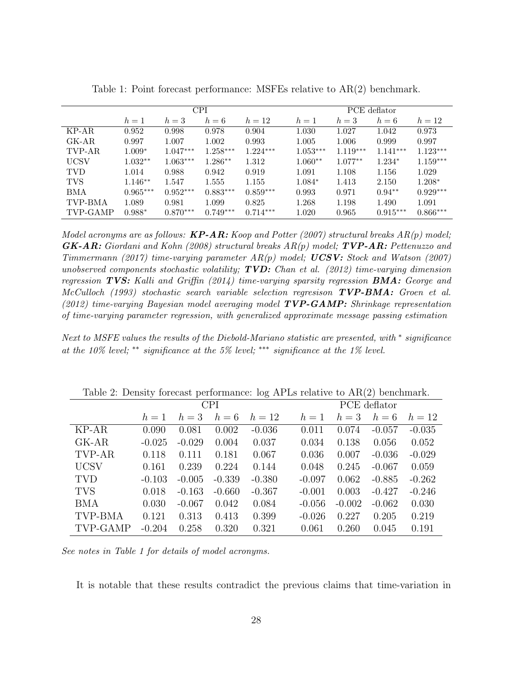|             | <b>CPI</b> |            |            |            | PCE deflator |            |            |            |  |
|-------------|------------|------------|------------|------------|--------------|------------|------------|------------|--|
|             | $h=1$      | $h=3$      | $h=6$      | $h=12$     | $h=1$        | $h=3$      | $h=6$      | $h = 12$   |  |
| KP-AR       | 0.952      | 0.998      | 0.978      | 0.904      | 1.030        | 1.027      | 1.042      | 0.973      |  |
| GK-AR       | 0.997      | 1.007      | 1.002      | 0.993      | 1.005        | 1.006      | 0.999      | 0.997      |  |
| TVP-AR      | $1.009*$   | $1.047***$ | $1.258***$ | $1.224***$ | $1.053***$   | $1.119***$ | $1.141***$ | $1.123***$ |  |
| <b>UCSV</b> | $1.032**$  | $1.063***$ | $1.286**$  | 1.312      | $1.060**$    | $1.077**$  | $1.234*$   | $1.159***$ |  |
| <b>TVD</b>  | 1.014      | 0.988      | 0.942      | 0.919      | 1.091        | 1.108      | 1.156      | 1.029      |  |
| <b>TVS</b>  | $1.146**$  | 1.547      | 1.555      | 1.155      | $1.084*$     | 1.413      | 2.150      | $1.208*$   |  |
| <b>BMA</b>  | $0.965***$ | $0.952***$ | $0.883***$ | $0.859***$ | 0.993        | 0.971      | $0.94**$   | $0.929***$ |  |
| TVP-BMA     | 1.089      | 0.981      | 1.099      | 0.825      | 1.268        | 1.198      | 1.490      | 1.091      |  |
| TVP-GAMP    | $0.988*$   | $0.870***$ | $0.749***$ | $0.714***$ | 1.020        | 0.965      | $0.915***$ | $0.866***$ |  |

Table 1: Point forecast performance: MSFEs relative to AR(2) benchmark.

Model acronyms are as follows:  $\boldsymbol{KP-AR:}$  Koop and Potter (2007) structural breaks  $AR(p)$  model;  $GK-AR: Giordani and Kohn (2008) structural breaks AR(p) model; TVP-AR: Pettenuzzo and$ Timmermann (2017) time-varying parameter  $AR(p)$  model; UCSV: Stock and Watson (2007) unobserved components stochastic volatility;  $TVD:$  Chan et al. (2012) time-varying dimension regression TVS: Kalli and Griffin  $(2014)$  time-varying sparsity regression **BMA**: George and  $McCulloch$  (1993) stochastic search variable selection regresison  $TVP-BMA$ : Groen et al. (2012) time-varying Bayesian model averaging model  $\boldsymbol{TVP\text{-}GAMP: Shrinkage}$  representation of time-varying parameter regression, with generalized approximate message passing estimation

Next to MSFE values the results of the Diebold-Mariano statistic are presented, with  $*$  significance at the 10% level; ∗∗ significance at the 5% level; ∗∗∗ significance at the 1% level.

| Table 2. Density forecast performance. Tog AT LS relative to AIV(2) benchmark. |            |          |          |          |              |          |          |          |
|--------------------------------------------------------------------------------|------------|----------|----------|----------|--------------|----------|----------|----------|
|                                                                                | <b>CPI</b> |          |          |          | PCE deflator |          |          |          |
|                                                                                | $h=1$      | $h=3$    | $h=6$    | $h = 12$ | $h=1$        | $h=3$    | $h=6$    | $h = 12$ |
| $KP-AR$                                                                        | 0.090      | 0.081    | 0.002    | $-0.036$ | 0.011        | 0.074    | $-0.057$ | $-0.035$ |
| GK-AR                                                                          | $-0.025$   | $-0.029$ | 0.004    | 0.037    | 0.034        | 0.138    | 0.056    | 0.052    |
| TVP-AR                                                                         | 0.118      | 0.111    | 0.181    | 0.067    | 0.036        | 0.007    | $-0.036$ | $-0.029$ |
| <b>UCSV</b>                                                                    | 0.161      | 0.239    | 0.224    | 0.144    | 0.048        | 0.245    | $-0.067$ | 0.059    |
| <b>TVD</b>                                                                     | $-0.103$   | $-0.005$ | $-0.339$ | $-0.380$ | $-0.097$     | 0.062    | $-0.885$ | $-0.262$ |
| <b>TVS</b>                                                                     | 0.018      | $-0.163$ | $-0.660$ | $-0.367$ | $-0.001$     | 0.003    | $-0.427$ | $-0.246$ |
| <b>BMA</b>                                                                     | 0.030      | $-0.067$ | 0.042    | 0.084    | $-0.056$     | $-0.002$ | $-0.062$ | 0.030    |
| TVP-BMA                                                                        | 0.121      | 0.313    | 0.413    | 0.399    | $-0.026$     | 0.227    | 0.205    | 0.219    |
| TVP-GAMP                                                                       | $-0.204$   | 0.258    | 0.320    | 0.321    | 0.061        | 0.260    | 0.045    | 0.191    |

Table 2: Density forecast performance:  $\log AP$  s relative to  $AR(2)$  benchmark.

See notes in Table 1 for details of model acronyms.

It is notable that these results contradict the previous claims that time-variation in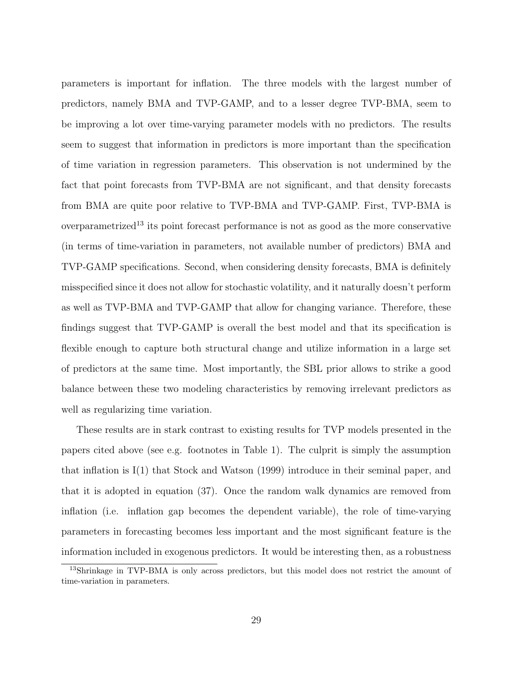parameters is important for inflation. The three models with the largest number of predictors, namely BMA and TVP-GAMP, and to a lesser degree TVP-BMA, seem to be improving a lot over time-varying parameter models with no predictors. The results seem to suggest that information in predictors is more important than the specification of time variation in regression parameters. This observation is not undermined by the fact that point forecasts from TVP-BMA are not significant, and that density forecasts from BMA are quite poor relative to TVP-BMA and TVP-GAMP. First, TVP-BMA is overparametrized<sup>13</sup> its point forecast performance is not as good as the more conservative (in terms of time-variation in parameters, not available number of predictors) BMA and TVP-GAMP specifications. Second, when considering density forecasts, BMA is definitely misspecified since it does not allow for stochastic volatility, and it naturally doesn't perform as well as TVP-BMA and TVP-GAMP that allow for changing variance. Therefore, these findings suggest that TVP-GAMP is overall the best model and that its specification is flexible enough to capture both structural change and utilize information in a large set of predictors at the same time. Most importantly, the SBL prior allows to strike a good balance between these two modeling characteristics by removing irrelevant predictors as well as regularizing time variation.

These results are in stark contrast to existing results for TVP models presented in the papers cited above (see e.g. footnotes in Table 1). The culprit is simply the assumption that inflation is I(1) that Stock and Watson (1999) introduce in their seminal paper, and that it is adopted in equation (37). Once the random walk dynamics are removed from inflation (i.e. inflation gap becomes the dependent variable), the role of time-varying parameters in forecasting becomes less important and the most significant feature is the information included in exogenous predictors. It would be interesting then, as a robustness

<sup>&</sup>lt;sup>13</sup>Shrinkage in TVP-BMA is only across predictors, but this model does not restrict the amount of time-variation in parameters.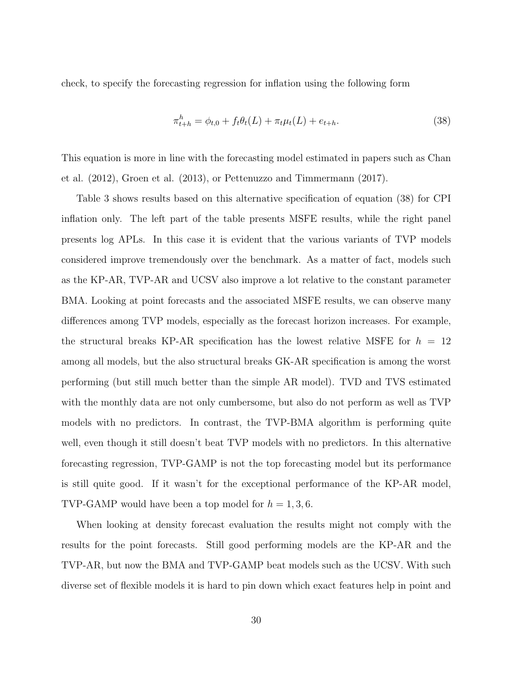check, to specify the forecasting regression for inflation using the following form

$$
\pi_{t+h}^h = \phi_{t,0} + f_t \theta_t(L) + \pi_t \mu_t(L) + e_{t+h}.
$$
\n(38)

This equation is more in line with the forecasting model estimated in papers such as Chan et al. (2012), Groen et al. (2013), or Pettenuzzo and Timmermann (2017).

Table 3 shows results based on this alternative specification of equation (38) for CPI inflation only. The left part of the table presents MSFE results, while the right panel presents log APLs. In this case it is evident that the various variants of TVP models considered improve tremendously over the benchmark. As a matter of fact, models such as the KP-AR, TVP-AR and UCSV also improve a lot relative to the constant parameter BMA. Looking at point forecasts and the associated MSFE results, we can observe many differences among TVP models, especially as the forecast horizon increases. For example, the structural breaks KP-AR specification has the lowest relative MSFE for  $h = 12$ among all models, but the also structural breaks GK-AR specification is among the worst performing (but still much better than the simple AR model). TVD and TVS estimated with the monthly data are not only cumbersome, but also do not perform as well as TVP models with no predictors. In contrast, the TVP-BMA algorithm is performing quite well, even though it still doesn't beat TVP models with no predictors. In this alternative forecasting regression, TVP-GAMP is not the top forecasting model but its performance is still quite good. If it wasn't for the exceptional performance of the KP-AR model, TVP-GAMP would have been a top model for  $h = 1, 3, 6$ .

When looking at density forecast evaluation the results might not comply with the results for the point forecasts. Still good performing models are the KP-AR and the TVP-AR, but now the BMA and TVP-GAMP beat models such as the UCSV. With such diverse set of flexible models it is hard to pin down which exact features help in point and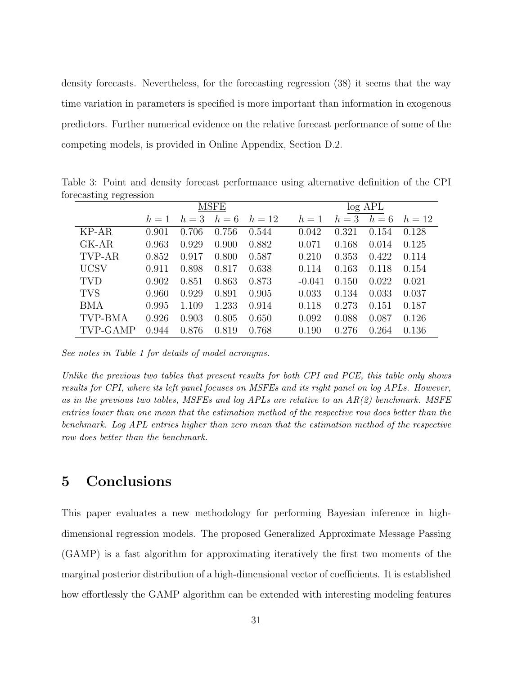density forecasts. Nevertheless, for the forecasting regression (38) it seems that the way time variation in parameters is specified is more important than information in exogenous predictors. Further numerical evidence on the relative forecast performance of some of the competing models, is provided in Online Appendix, Section D.2.

|             | <b>MSFE</b> |       |       |        | log APL  |       |       |          |
|-------------|-------------|-------|-------|--------|----------|-------|-------|----------|
|             | $h=1$       | $h=3$ | $h=6$ | $h=12$ | $h=1$    | $h=3$ | $h=6$ | $h = 12$ |
| KP-AR       | 0.901       | 0.706 | 0.756 | 0.544  | 0.042    | 0.321 | 0.154 | 0.128    |
| $GK-AR$     | 0.963       | 0.929 | 0.900 | 0.882  | 0.071    | 0.168 | 0.014 | 0.125    |
| TVP-AR      | 0.852       | 0.917 | 0.800 | 0.587  | 0.210    | 0.353 | 0.422 | 0.114    |
| <b>UCSV</b> | 0.911       | 0.898 | 0.817 | 0.638  | 0.114    | 0.163 | 0.118 | 0.154    |
| <b>TVD</b>  | 0.902       | 0.851 | 0.863 | 0.873  | $-0.041$ | 0.150 | 0.022 | 0.021    |
| <b>TVS</b>  | 0.960       | 0.929 | 0.891 | 0.905  | 0.033    | 0.134 | 0.033 | 0.037    |
| <b>BMA</b>  | 0.995       | 1.109 | 1.233 | 0.914  | 0.118    | 0.273 | 0.151 | 0.187    |
| TVP-BMA     | 0.926       | 0.903 | 0.805 | 0.650  | 0.092    | 0.088 | 0.087 | 0.126    |
| TVP-GAMP    | 0.944       | 0.876 | 0.819 | 0.768  | 0.190    | 0.276 | 0.264 | 0.136    |

Table 3: Point and density forecast performance using alternative definition of the CPI forecasting regression

See notes in Table 1 for details of model acronyms.

Unlike the previous two tables that present results for both CPI and PCE, this table only shows results for CPI, where its left panel focuses on MSFEs and its right panel on log APLs. However, as in the previous two tables, MSFEs and log APLs are relative to an  $AR(2)$  benchmark. MSFE entries lower than one mean that the estimation method of the respective row does better than the benchmark. Log APL entries higher than zero mean that the estimation method of the respective row does better than the benchmark.

## 5 Conclusions

This paper evaluates a new methodology for performing Bayesian inference in highdimensional regression models. The proposed Generalized Approximate Message Passing (GAMP) is a fast algorithm for approximating iteratively the first two moments of the marginal posterior distribution of a high-dimensional vector of coefficients. It is established how effortlessly the GAMP algorithm can be extended with interesting modeling features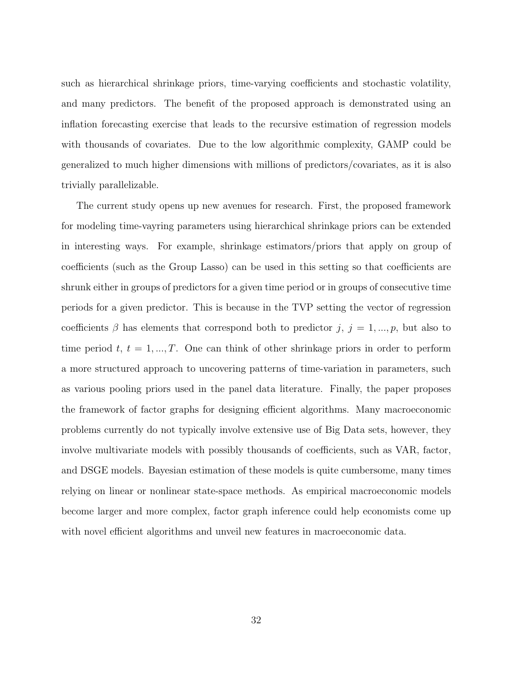such as hierarchical shrinkage priors, time-varying coefficients and stochastic volatility, and many predictors. The benefit of the proposed approach is demonstrated using an inflation forecasting exercise that leads to the recursive estimation of regression models with thousands of covariates. Due to the low algorithmic complexity, GAMP could be generalized to much higher dimensions with millions of predictors/covariates, as it is also trivially parallelizable.

The current study opens up new avenues for research. First, the proposed framework for modeling time-vayring parameters using hierarchical shrinkage priors can be extended in interesting ways. For example, shrinkage estimators/priors that apply on group of coefficients (such as the Group Lasso) can be used in this setting so that coefficients are shrunk either in groups of predictors for a given time period or in groups of consecutive time periods for a given predictor. This is because in the TVP setting the vector of regression coefficients  $\beta$  has elements that correspond both to predictor  $j, j = 1, ..., p$ , but also to time period  $t, t = 1, ..., T$ . One can think of other shrinkage priors in order to perform a more structured approach to uncovering patterns of time-variation in parameters, such as various pooling priors used in the panel data literature. Finally, the paper proposes the framework of factor graphs for designing efficient algorithms. Many macroeconomic problems currently do not typically involve extensive use of Big Data sets, however, they involve multivariate models with possibly thousands of coefficients, such as VAR, factor, and DSGE models. Bayesian estimation of these models is quite cumbersome, many times relying on linear or nonlinear state-space methods. As empirical macroeconomic models become larger and more complex, factor graph inference could help economists come up with novel efficient algorithms and unveil new features in macroeconomic data.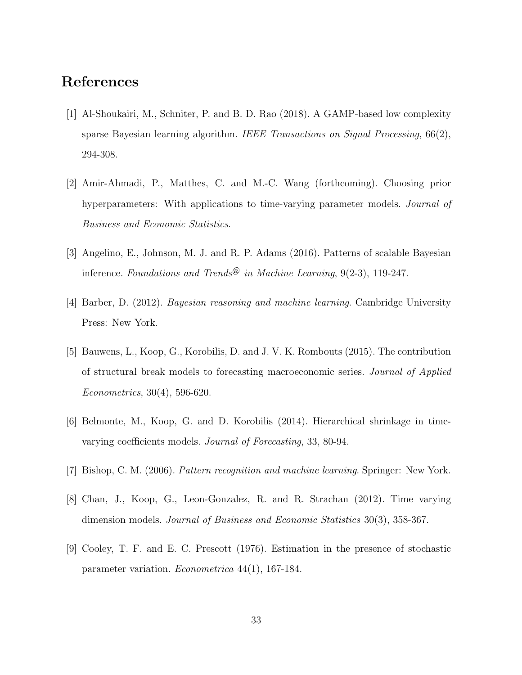## References

- [1] Al-Shoukairi, M., Schniter, P. and B. D. Rao (2018). A GAMP-based low complexity sparse Bayesian learning algorithm. IEEE Transactions on Signal Processing,  $66(2)$ , 294-308.
- [2] Amir-Ahmadi, P., Matthes, C. and M.-C. Wang (forthcoming). Choosing prior hyperparameters: With applications to time-varying parameter models. Journal of Business and Economic Statistics.
- [3] Angelino, E., Johnson, M. J. and R. P. Adams (2016). Patterns of scalable Bayesian inference. Foundations and Trends<sup>®</sup> in Machine Learning,  $9(2-3)$ , 119-247.
- [4] Barber, D. (2012). Bayesian reasoning and machine learning. Cambridge University Press: New York.
- [5] Bauwens, L., Koop, G., Korobilis, D. and J. V. K. Rombouts (2015). The contribution of structural break models to forecasting macroeconomic series. Journal of Applied Econometrics, 30(4), 596-620.
- [6] Belmonte, M., Koop, G. and D. Korobilis (2014). Hierarchical shrinkage in timevarying coefficients models. Journal of Forecasting, 33, 80-94.
- [7] Bishop, C. M. (2006). Pattern recognition and machine learning. Springer: New York.
- [8] Chan, J., Koop, G., Leon-Gonzalez, R. and R. Strachan (2012). Time varying dimension models. Journal of Business and Economic Statistics 30(3), 358-367.
- [9] Cooley, T. F. and E. C. Prescott (1976). Estimation in the presence of stochastic parameter variation. Econometrica 44(1), 167-184.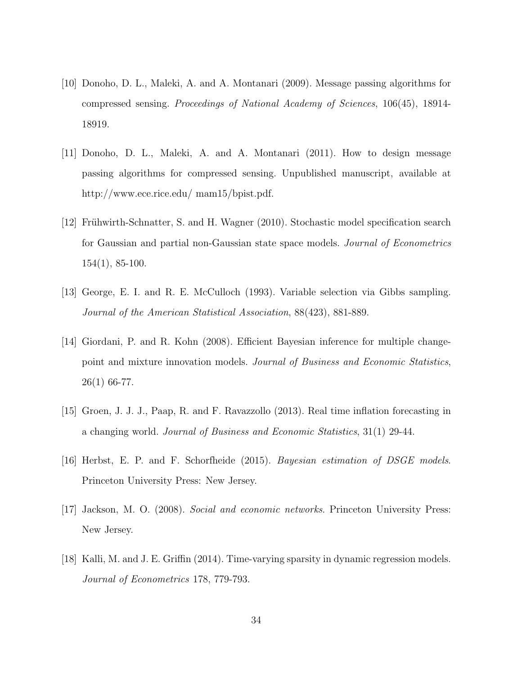- [10] Donoho, D. L., Maleki, A. and A. Montanari (2009). Message passing algorithms for compressed sensing. Proceedings of National Academy of Sciences, 106(45), 18914- 18919.
- [11] Donoho, D. L., Maleki, A. and A. Montanari (2011). How to design message passing algorithms for compressed sensing. Unpublished manuscript, available at http://www.ece.rice.edu/ mam15/bpist.pdf.
- [12] Frühwirth-Schnatter, S. and H. Wagner (2010). Stochastic model specification search for Gaussian and partial non-Gaussian state space models. Journal of Econometrics 154(1), 85-100.
- [13] George, E. I. and R. E. McCulloch (1993). Variable selection via Gibbs sampling. Journal of the American Statistical Association, 88(423), 881-889.
- [14] Giordani, P. and R. Kohn (2008). Efficient Bayesian inference for multiple changepoint and mixture innovation models. Journal of Business and Economic Statistics, 26(1) 66-77.
- [15] Groen, J. J. J., Paap, R. and F. Ravazzollo (2013). Real time inflation forecasting in a changing world. Journal of Business and Economic Statistics, 31(1) 29-44.
- [16] Herbst, E. P. and F. Schorfheide (2015). Bayesian estimation of DSGE models. Princeton University Press: New Jersey.
- [17] Jackson, M. O. (2008). Social and economic networks. Princeton University Press: New Jersey.
- [18] Kalli, M. and J. E. Griffin (2014). Time-varying sparsity in dynamic regression models. Journal of Econometrics 178, 779-793.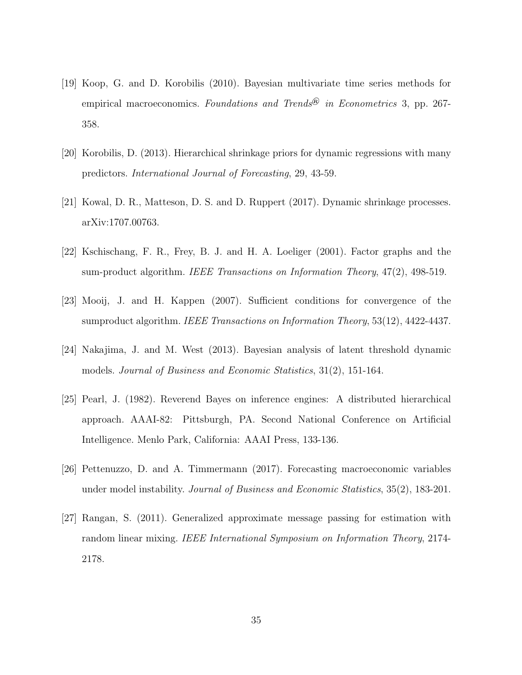- [19] Koop, G. and D. Korobilis (2010). Bayesian multivariate time series methods for empirical macroeconomics. Foundations and Trends<sup>®</sup> in Econometrics 3, pp. 267-358.
- [20] Korobilis, D. (2013). Hierarchical shrinkage priors for dynamic regressions with many predictors. International Journal of Forecasting, 29, 43-59.
- [21] Kowal, D. R., Matteson, D. S. and D. Ruppert (2017). Dynamic shrinkage processes. arXiv:1707.00763.
- [22] Kschischang, F. R., Frey, B. J. and H. A. Loeliger (2001). Factor graphs and the sum-product algorithm. IEEE Transactions on Information Theory, 47(2), 498-519.
- [23] Mooij, J. and H. Kappen (2007). Sufficient conditions for convergence of the sumproduct algorithm. IEEE Transactions on Information Theory, 53(12), 4422-4437.
- [24] Nakajima, J. and M. West (2013). Bayesian analysis of latent threshold dynamic models. Journal of Business and Economic Statistics, 31(2), 151-164.
- [25] Pearl, J. (1982). Reverend Bayes on inference engines: A distributed hierarchical approach. AAAI-82: Pittsburgh, PA. Second National Conference on Artificial Intelligence. Menlo Park, California: AAAI Press, 133-136.
- [26] Pettenuzzo, D. and A. Timmermann (2017). Forecasting macroeconomic variables under model instability. Journal of Business and Economic Statistics, 35(2), 183-201.
- [27] Rangan, S. (2011). Generalized approximate message passing for estimation with random linear mixing. IEEE International Symposium on Information Theory, 2174- 2178.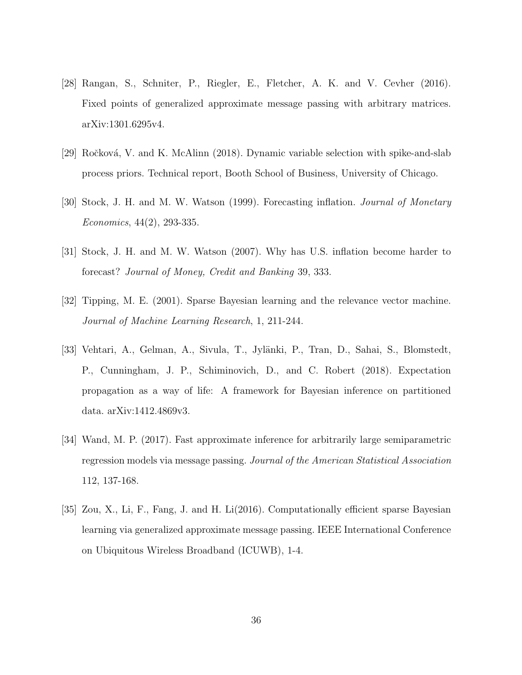- [28] Rangan, S., Schniter, P., Riegler, E., Fletcher, A. K. and V. Cevher (2016). Fixed points of generalized approximate message passing with arbitrary matrices. arXiv:1301.6295v4.
- [29] Ročková, V. and K. McAlinn (2018). Dynamic variable selection with spike-and-slab process priors. Technical report, Booth School of Business, University of Chicago.
- [30] Stock, J. H. and M. W. Watson (1999). Forecasting inflation. Journal of Monetary Economics, 44(2), 293-335.
- [31] Stock, J. H. and M. W. Watson (2007). Why has U.S. inflation become harder to forecast? Journal of Money, Credit and Banking 39, 333.
- [32] Tipping, M. E. (2001). Sparse Bayesian learning and the relevance vector machine. Journal of Machine Learning Research, 1, 211-244.
- [33] Vehtari, A., Gelman, A., Sivula, T., Jylänki, P., Tran, D., Sahai, S., Blomstedt, P., Cunningham, J. P., Schiminovich, D., and C. Robert (2018). Expectation propagation as a way of life: A framework for Bayesian inference on partitioned data. arXiv:1412.4869v3.
- [34] Wand, M. P. (2017). Fast approximate inference for arbitrarily large semiparametric regression models via message passing. Journal of the American Statistical Association 112, 137-168.
- [35] Zou, X., Li, F., Fang, J. and H. Li(2016). Computationally efficient sparse Bayesian learning via generalized approximate message passing. IEEE International Conference on Ubiquitous Wireless Broadband (ICUWB), 1-4.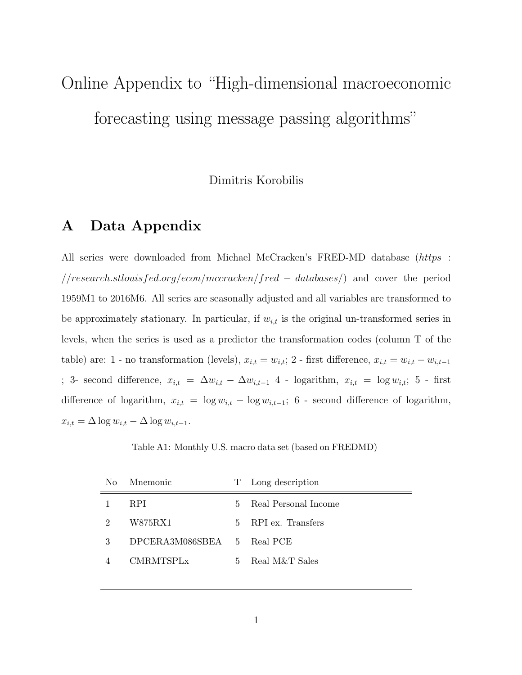# Online Appendix to "High-dimensional macroeconomic forecasting using message passing algorithms"

### Dimitris Korobilis

### A Data Appendix

All series were downloaded from Michael McCracken's FRED-MD database (https : //research.stlouisfed.org/econ/mccracken/fred − databases/) and cover the period 1959M1 to 2016M6. All series are seasonally adjusted and all variables are transformed to be approximately stationary. In particular, if  $w_{i,t}$  is the original un-transformed series in levels, when the series is used as a predictor the transformation codes (column T of the table) are: 1 - no transformation (levels),  $x_{i,t} = w_{i,t}$ ; 2 - first difference,  $x_{i,t} = w_{i,t} - w_{i,t-1}$ ; 3- second difference,  $x_{i,t} = \Delta w_{i,t} - \Delta w_{i,t-1}$  4 - logarithm,  $x_{i,t} = \log w_{i,t}$ ; 5 - first difference of logarithm,  $x_{i,t} = \log w_{i,t} - \log w_{i,t-1}$ ; 6 - second difference of logarithm,  $x_{i,t} = \Delta \log w_{i,t} - \Delta \log w_{i,t-1}.$ 

Table A1: Monthly U.S. macro data set (based on FREDMD)

| No.                         | Mnemonic                   |       | T Long description   |
|-----------------------------|----------------------------|-------|----------------------|
|                             | RPI.                       | 5.    | Real Personal Income |
| $\mathcal{D}_{\mathcal{L}}$ | W875RX1                    | 5.    | RPI ex. Transfers    |
| 3                           | DPCERA3M086SBEA 5 Real PCE |       |                      |
|                             | <b>CMRMTSPLx</b>           | $5 -$ | Real M&T Sales       |
|                             |                            |       |                      |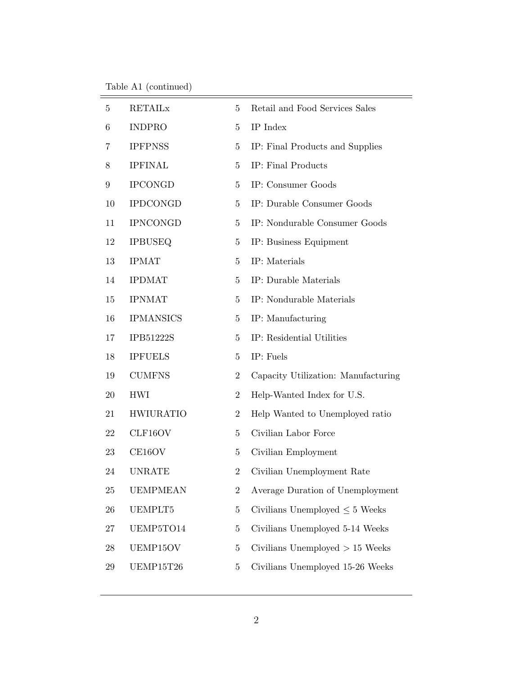| $\overline{5}$ | RETAILX          | 5              | Retail and Food Services Sales      |
|----------------|------------------|----------------|-------------------------------------|
| 6              | <b>INDPRO</b>    | $\overline{5}$ | IP Index                            |
| 7              | <b>IPFPNSS</b>   | $\overline{5}$ | IP: Final Products and Supplies     |
| 8              | <b>IPFINAL</b>   | $\overline{5}$ | IP: Final Products                  |
| 9              | <b>IPCONGD</b>   | $\overline{5}$ | IP: Consumer Goods                  |
| 10             | <b>IPDCONGD</b>  | $\overline{5}$ | IP: Durable Consumer Goods          |
| 11             | <b>IPNCONGD</b>  | $\overline{5}$ | IP: Nondurable Consumer Goods       |
| 12             | <b>IPBUSEQ</b>   | $\overline{5}$ | IP: Business Equipment              |
| 13             | <b>IPMAT</b>     | $\overline{5}$ | IP: Materials                       |
| 14             | <b>IPDMAT</b>    | 5              | IP: Durable Materials               |
| 15             | <b>IPNMAT</b>    | $\overline{5}$ | IP: Nondurable Materials            |
| 16             | <b>IPMANSICS</b> | $\overline{5}$ | IP: Manufacturing                   |
| 17             | <b>IPB51222S</b> | $\overline{5}$ | IP: Residential Utilities           |
| 18             | <b>IPFUELS</b>   | $\overline{5}$ | IP: Fuels                           |
| 19             | <b>CUMFNS</b>    | $\overline{2}$ | Capacity Utilization: Manufacturing |
| 20             | <b>HWI</b>       | $\overline{2}$ | Help-Wanted Index for U.S.          |
| 21             | <b>HWIURATIO</b> | $\overline{2}$ | Help Wanted to Unemployed ratio     |
| 22             | CLF16OV          | $\bf 5$        | Civilian Labor Force                |
| 23             | CE16OV           | $\overline{5}$ | Civilian Employment                 |
| 24             | <b>UNRATE</b>    | $\overline{2}$ | Civilian Unemployment Rate          |
| 25             | <b>UEMPMEAN</b>  | $\overline{2}$ | Average Duration of Unemployment    |
| 26             | UEMPLT5          | $\overline{5}$ | Civilians Unemployed $\leq 5$ Weeks |
| 27             | UEMP5TO14        | $\bf 5$        | Civilians Unemployed 5-14 Weeks     |
| 28             | UEMP15OV         | $\overline{5}$ | Civilians Unemployed $> 15$ Weeks   |
| 29             | UEMP15T26        | $\overline{5}$ | Civilians Unemployed 15-26 Weeks    |
|                |                  |                |                                     |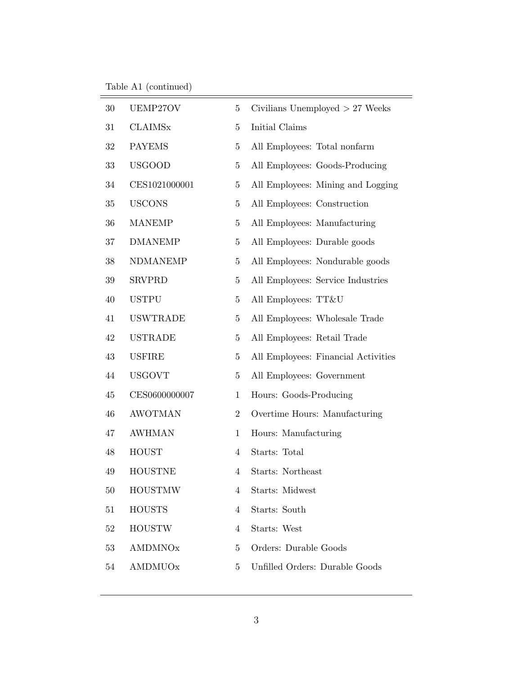| $30\,$ | UEMP27OV        | $\overline{5}$ | Civilians Unemployed $> 27$ Weeks   |  |
|--------|-----------------|----------------|-------------------------------------|--|
| 31     | <b>CLAIMSx</b>  | $\overline{5}$ | Initial Claims                      |  |
| 32     | <b>PAYEMS</b>   | $\overline{5}$ | All Employees: Total nonfarm        |  |
| 33     | <b>USGOOD</b>   | $\overline{5}$ | All Employees: Goods-Producing      |  |
| 34     | CES1021000001   | $\bf 5$        | All Employees: Mining and Logging   |  |
| $35\,$ | <b>USCONS</b>   | $\overline{5}$ | All Employees: Construction         |  |
| 36     | <b>MANEMP</b>   | $\overline{5}$ | All Employees: Manufacturing        |  |
| 37     | <b>DMANEMP</b>  | $\overline{5}$ | All Employees: Durable goods        |  |
| 38     | <b>NDMANEMP</b> | $\bf 5$        | All Employees: Nondurable goods     |  |
| 39     | <b>SRVPRD</b>   | $\overline{5}$ | All Employees: Service Industries   |  |
| 40     | <b>USTPU</b>    | $\overline{5}$ | All Employees: TT&U                 |  |
| 41     | <b>USWTRADE</b> | $\overline{5}$ | All Employees: Wholesale Trade      |  |
| 42     | <b>USTRADE</b>  | $\bf 5$        | All Employees: Retail Trade         |  |
| 43     | <b>USFIRE</b>   | $\bf 5$        | All Employees: Financial Activities |  |
| 44     | <b>USGOVT</b>   | $\overline{5}$ | All Employees: Government           |  |
| 45     | CES0600000007   | $\mathbf{1}$   | Hours: Goods-Producing              |  |
| 46     | <b>AWOTMAN</b>  | $\overline{2}$ | Overtime Hours: Manufacturing       |  |
| 47     | <b>AWHMAN</b>   | $\mathbf{1}$   | Hours: Manufacturing                |  |
| 48     | <b>HOUST</b>    | $\overline{4}$ | Starts: Total                       |  |
| 49     | <b>HOUSTNE</b>  | $\overline{4}$ | Starts: Northeast                   |  |
| 50     | <b>HOUSTMW</b>  | 4              | Starts: Midwest                     |  |
| 51     | <b>HOUSTS</b>   | 4              | Starts: South                       |  |
| 52     | <b>HOUSTW</b>   | 4              | Starts: West                        |  |
| 53     | <b>AMDMNOx</b>  | $\overline{5}$ | Orders: Durable Goods               |  |
| 54     | AMDMUOx         | 5              | Unfilled Orders: Durable Goods      |  |
|        |                 |                |                                     |  |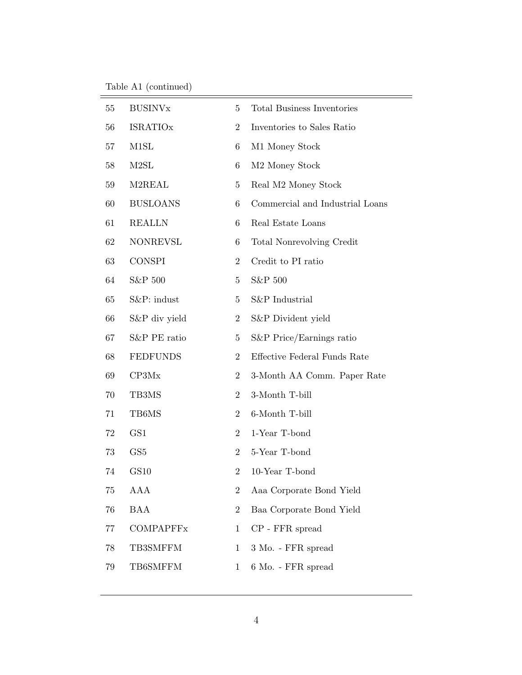Table A1 (continued)

| 55 | <b>BUSINV</b> <sub>x</sub> | 5              | Total Business Inventories      |
|----|----------------------------|----------------|---------------------------------|
| 56 | <b>ISRATIOx</b>            | $\overline{2}$ | Inventories to Sales Ratio      |
| 57 | M1SL                       | 6              | M1 Money Stock                  |
| 58 | M2SL                       | 6              | M <sub>2</sub> Money Stock      |
| 59 | M2REAL                     | $\overline{5}$ | Real M2 Money Stock             |
| 60 | <b>BUSLOANS</b>            | 6              | Commercial and Industrial Loans |
| 61 | <b>REALLN</b>              | 6              | Real Estate Loans               |
| 62 | <b>NONREVSL</b>            | 6              | Total Nonrevolving Credit       |
| 63 | <b>CONSPI</b>              | $\overline{2}$ | Credit to PI ratio              |
| 64 | S&P 500                    | $\overline{5}$ | S&P 500                         |
| 65 | S&P: indust                | 5              | S&P Industrial                  |
| 66 | S&P div yield              | $\overline{2}$ | S&P Divident yield              |
| 67 | S&P PE ratio               | $\overline{5}$ | $S\&P$ Price/Earnings ratio     |
| 68 | <b>FEDFUNDS</b>            | $\overline{2}$ | Effective Federal Funds Rate    |
| 69 | CP3Mx                      | $\overline{2}$ | 3-Month AA Comm. Paper Rate     |
| 70 | TB3MS                      | $\overline{2}$ | 3-Month T-bill                  |
| 71 | TB6MS                      | $\overline{2}$ | 6-Month T-bill                  |
| 72 | GS1                        | $\overline{2}$ | 1-Year T-bond                   |
| 73 | GS <sub>5</sub>            | $\overline{2}$ | 5-Year T-bond                   |
| 74 | GS10                       | $\overline{2}$ | 10-Year T-bond                  |
| 75 | AAA                        | $\overline{2}$ | Aaa Corporate Bond Yield        |
| 76 | <b>BAA</b>                 | $\overline{2}$ | Baa Corporate Bond Yield        |
| 77 | <b>COMPAPFFx</b>           | $\mathbf{1}$   | CP - FFR spread                 |
| 78 | <b>TB3SMFFM</b>            | $\mathbf{1}$   | 3 Mo. - FFR spread              |
| 79 | TB6SMFFM                   | $\mathbf{1}$   | 6 Mo. - FFR spread              |
|    |                            |                |                                 |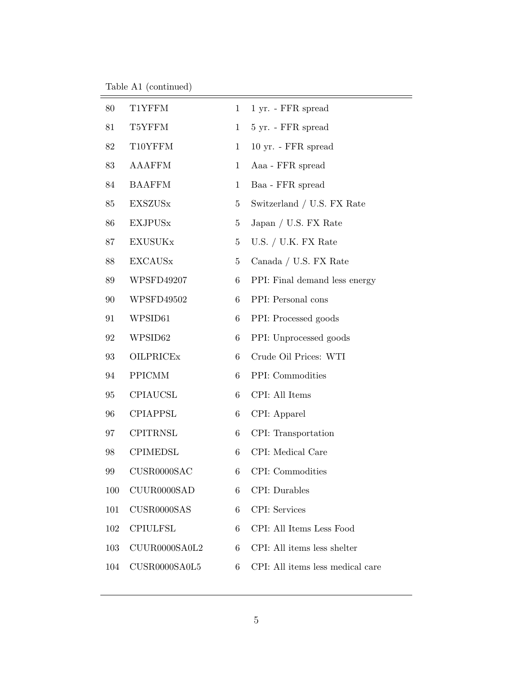Table A1 (continued)

| 80  | T1YFFM            | $\mathbf{1}$   | 1 yr. - FFR spread               |
|-----|-------------------|----------------|----------------------------------|
| 81  | T5YFFM            | $\mathbf{1}$   | 5 yr. - FFR spread               |
| 82  | T10YFFM           | $\mathbf{1}$   | 10 yr. - FFR spread              |
| 83  | <b>AAAFFM</b>     | $\mathbf{1}$   | Aaa - FFR spread                 |
| 84  | <b>BAAFFM</b>     | $\mathbf{1}$   | Baa - FFR spread                 |
| 85  | <b>EXSZUS</b> x   | $\overline{5}$ | Switzerland / U.S. FX Rate       |
| 86  | <b>EXJPUSx</b>    | $\bf 5$        | Japan / U.S. FX Rate             |
| 87  | <b>EXUSUK</b> x   | $\overline{5}$ | U.S. $/$ U.K. FX Rate            |
| 88  | <b>EXCAUS</b> x   | $\overline{5}$ | Canada / U.S. FX Rate            |
| 89  | WPSFD49207        | $\,6\,$        | PPI: Final demand less energy    |
| 90  | <b>WPSFD49502</b> | 6              | PPI: Personal cons               |
| 91  | WPSID61           | $\,6$          | PPI: Processed goods             |
| 92  | WPSID62           | $\,6\,$        | PPI: Unprocessed goods           |
| 93  | OILPRICEX         | $\,6\,$        | Crude Oil Prices: WTI            |
| 94  | <b>PPICMM</b>     | 6              | PPI: Commodities                 |
| 95  | <b>CPIAUCSL</b>   | $\,6\,$        | CPI: All Items                   |
| 96  | <b>CPIAPPSL</b>   | 6              | CPI: Apparel                     |
| 97  | <b>CPITRNSL</b>   | $\,6$          | CPI: Transportation              |
| 98  | <b>CPIMEDSL</b>   | 6              | CPI: Medical Care                |
| 99  | CUSR0000SAC       | $\,6\,$        | CPI: Commodities                 |
| 100 | CUUR0000SAD       | 6              | CPI: Durables                    |
| 101 | CUSR0000SAS       | 6              | <b>CPI:</b> Services             |
| 102 | <b>CPIULFSL</b>   | 6              | CPI: All Items Less Food         |
| 103 | CUUR0000SA0L2     | 6              | CPI: All items less shelter      |
| 104 | CUSR0000SA0L5     | 6              | CPI: All items less medical care |
|     |                   |                |                                  |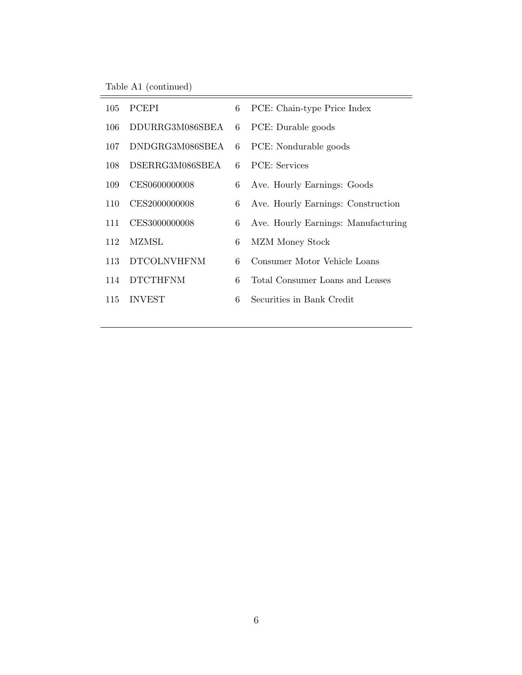Table A1 (continued)

| 105 | PCEPI              | 6 | PCE: Chain-type Price Index         |
|-----|--------------------|---|-------------------------------------|
| 106 | DDURRG3M086SBEA    |   | 6 PCE: Durable goods                |
| 107 | DNDGRG3M086SBEA    | 6 | PCE: Nondurable goods               |
| 108 | DSERRG3M086SBEA    | 6 | PCE: Services                       |
| 109 | CES0600000008      | 6 | Ave. Hourly Earnings: Goods         |
| 110 | CES2000000008      | 6 | Ave. Hourly Earnings: Construction  |
| 111 | CES3000000008      | 6 | Ave. Hourly Earnings: Manufacturing |
| 112 | <b>MZMSL</b>       | 6 | MZM Money Stock                     |
| 113 | <b>DTCOLNVHFNM</b> | 6 | Consumer Motor Vehicle Loans        |
| 114 | <b>DTCTHFNM</b>    | 6 | Total Consumer Loans and Leases     |
| 115 | <b>INVEST</b>      | 6 | Securities in Bank Credit           |
|     |                    |   |                                     |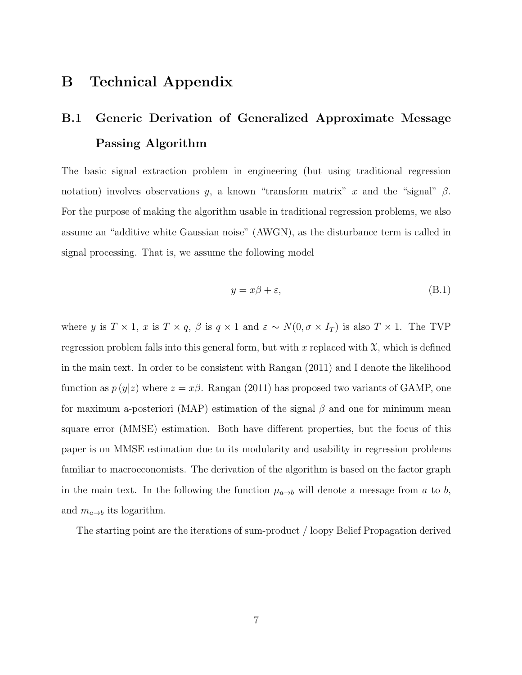### B Technical Appendix

## B.1 Generic Derivation of Generalized Approximate Message Passing Algorithm

The basic signal extraction problem in engineering (but using traditional regression notation) involves observations y, a known "transform matrix" x and the "signal"  $\beta$ . For the purpose of making the algorithm usable in traditional regression problems, we also assume an "additive white Gaussian noise" (AWGN), as the disturbance term is called in signal processing. That is, we assume the following model

$$
y = x\beta + \varepsilon,\tag{B.1}
$$

where y is  $T \times 1$ , x is  $T \times q$ ,  $\beta$  is  $q \times 1$  and  $\varepsilon \sim N(0, \sigma \times I_T)$  is also  $T \times 1$ . The TVP regression problem falls into this general form, but with x replaced with  $\mathfrak{X}$ , which is defined in the main text. In order to be consistent with Rangan (2011) and I denote the likelihood function as  $p(y|z)$  where  $z = x\beta$ . Rangan (2011) has proposed two variants of GAMP, one for maximum a-posteriori (MAP) estimation of the signal  $\beta$  and one for minimum mean square error (MMSE) estimation. Both have different properties, but the focus of this paper is on MMSE estimation due to its modularity and usability in regression problems familiar to macroeconomists. The derivation of the algorithm is based on the factor graph in the main text. In the following the function  $\mu_{a\to b}$  will denote a message from a to b, and  $m_{a\rightarrow b}$  its logarithm.

The starting point are the iterations of sum-product / loopy Belief Propagation derived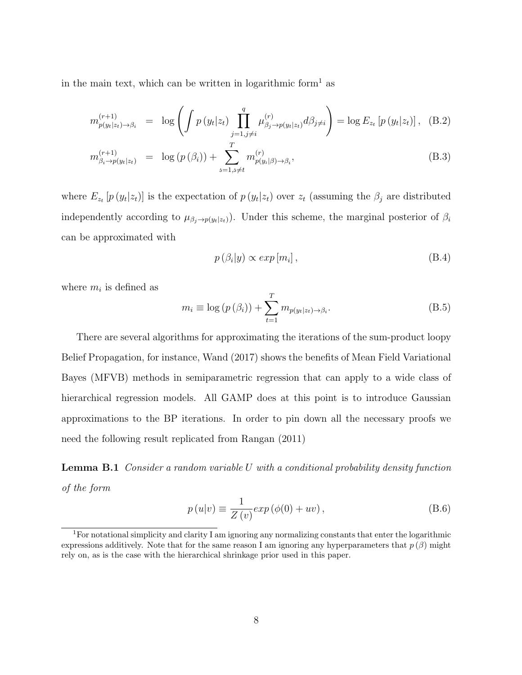in the main text, which can be written in logarithmic form<sup>1</sup> as

$$
m_{p(y_t|z_t)\to\beta_i}^{(r+1)} = \log\left(\int p\left(y_t|z_t\right) \prod_{j=1,j\neq i}^q \mu_{\beta_j \to p(y_t|z_t)}^{(r)} d\beta_{j\neq i}\right) = \log E_{z_t} \left[p\left(y_t|z_t\right)\right], \quad (B.2)
$$

$$
m_{\beta_i \to p(y_t|z_t)}^{(r+1)} = \log (p(\beta_i)) + \sum_{s=1, s \neq t}^{T} m_{p(y_s|\beta) \to \beta_i}^{(r)},
$$
\n(B.3)

where  $E_{z_t}[p(y_t|z_t)]$  is the expectation of  $p(y_t|z_t)$  over  $z_t$  (assuming the  $\beta_j$  are distributed independently according to  $\mu_{\beta_j \to p(y_t|z_t)}$ . Under this scheme, the marginal posterior of  $\beta_i$ can be approximated with

$$
p\left(\beta_i|y\right) \propto \exp\left[m_i\right],\tag{B.4}
$$

where  $m_i$  is defined as

$$
m_i \equiv \log (p(\beta_i)) + \sum_{t=1}^{T} m_{p(y_t|z_t) \to \beta_i}.
$$
 (B.5)

There are several algorithms for approximating the iterations of the sum-product loopy Belief Propagation, for instance, Wand (2017) shows the benefits of Mean Field Variational Bayes (MFVB) methods in semiparametric regression that can apply to a wide class of hierarchical regression models. All GAMP does at this point is to introduce Gaussian approximations to the BP iterations. In order to pin down all the necessary proofs we need the following result replicated from Rangan (2011)

**Lemma B.1** Consider a random variable U with a conditional probability density function of the form

$$
p(u|v) \equiv \frac{1}{Z(v)} exp(\phi(0) + uv), \qquad (B.6)
$$

<sup>1</sup>For notational simplicity and clarity I am ignoring any normalizing constants that enter the logarithmic expressions additively. Note that for the same reason I am ignoring any hyperparameters that  $p(\beta)$  might rely on, as is the case with the hierarchical shrinkage prior used in this paper.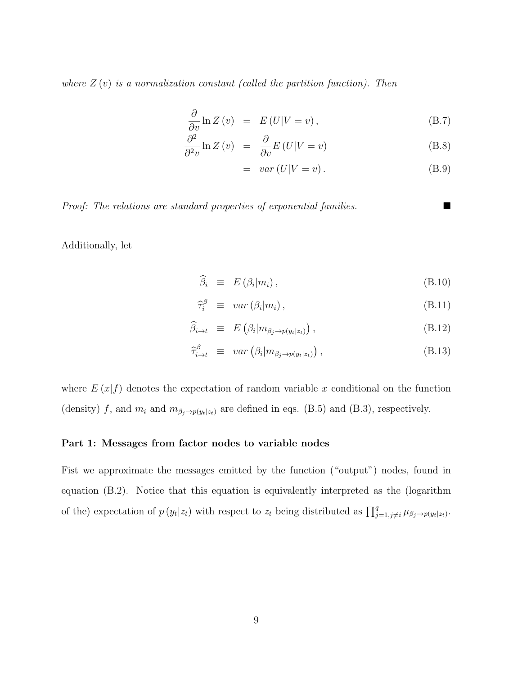where  $Z(v)$  is a normalization constant (called the partition function). Then

$$
\frac{\partial}{\partial v} \ln Z(v) = E(U|V = v), \qquad (B.7)
$$

$$
\frac{\partial^2}{\partial^2 v} \ln Z(v) = \frac{\partial}{\partial v} E(U|V=v)
$$
 (B.8)

$$
= var(U|V = v).
$$
 (B.9)

**Proof:** The relations are standard properties of exponential families.

Additionally, let

$$
\widehat{\beta}_i \equiv E(\beta_i|m_i), \tag{B.10}
$$

$$
\widehat{\tau}_i^{\beta} \equiv var(\beta_i|m_i), \qquad (B.11)
$$

$$
\widehat{\beta}_{i \to t} \equiv E\left(\beta_i | m_{\beta_j \to p(y_t | z_t)}\right), \tag{B.12}
$$

$$
\widehat{\tau}_{i \to t}^{\beta} \equiv \; var \left( \beta_i | m_{\beta_j \to p(y_t | z_t)} \right), \tag{B.13}
$$

where  $E(x|f)$  denotes the expectation of random variable x conditional on the function (density) f, and  $m_i$  and  $m_{\beta_j \to p(y_t|z_t)}$  are defined in eqs. (B.5) and (B.3), respectively.

#### Part 1: Messages from factor nodes to variable nodes

Fist we approximate the messages emitted by the function ("output") nodes, found in equation (B.2). Notice that this equation is equivalently interpreted as the (logarithm of the) expectation of  $p(y_t|z_t)$  with respect to  $z_t$  being distributed as  $\prod_{j=1,j\neq i}^q \mu_{\beta_j\rightarrow p(y_t|z_t)}$ .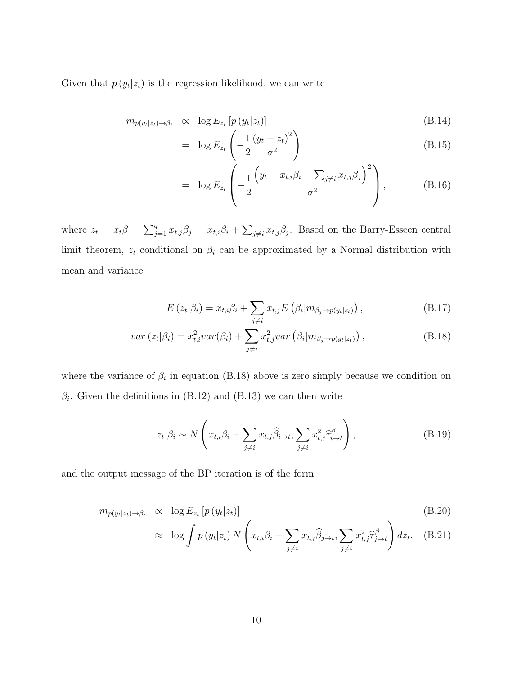Given that  $p(y_t|z_t)$  is the regression likelihood, we can write

$$
m_{p(y_t|z_t)\to\beta_i} \propto \log E_{z_t} \left[ p\left(y_t|z_t\right) \right] \tag{B.14}
$$

$$
= \log E_{z_t} \left( -\frac{1}{2} \frac{(y_t - z_t)^2}{\sigma^2} \right)
$$
 (B.15)

$$
= \log E_{z_t} \left( -\frac{1}{2} \frac{\left( y_t - x_{t,i} \beta_i - \sum_{j \neq i} x_{t,j} \beta_j \right)^2}{\sigma^2} \right), \tag{B.16}
$$

where  $z_t = x_t \beta = \sum_{j=1}^q x_{t,j} \beta_j = x_{t,i} \beta_i + \sum_{j \neq i} x_{t,j} \beta_j$ . Based on the Barry-Esseen central limit theorem,  $z_t$  conditional on  $\beta_i$  can be approximated by a Normal distribution with mean and variance

$$
E(z_t|\beta_i) = x_{t,i}\beta_i + \sum_{j \neq i} x_{t,j} E\left(\beta_i | m_{\beta_j \to p(y_t|z_t)}\right), \tag{B.17}
$$

$$
var(z_t|\beta_i) = x_{t,i}^2 var(\beta_i) + \sum_{j \neq i} x_{t,j}^2 var(\beta_i|m_{\beta_j \to p(y_t|z_t)}),
$$
\n(B.18)

where the variance of  $\beta_i$  in equation (B.18) above is zero simply because we condition on  $\beta_i$ . Given the definitions in (B.12) and (B.13) we can then write

$$
z_t | \beta_i \sim N \left( x_{t,i} \beta_i + \sum_{j \neq i} x_{t,j} \widehat{\beta}_{i \to t}, \sum_{j \neq i} x_{t,j}^2 \widehat{\tau}_{i \to t}^{\beta} \right), \tag{B.19}
$$

and the output message of the BP iteration is of the form

$$
m_{p(y_t|z_t)\to\beta_i} \propto \log E_{z_t} \left[ p\left(y_t|z_t\right) \right] \tag{B.20}
$$

$$
\approx \log \int p(y_t|z_t) N\left(x_{t,i}\beta_i + \sum_{j \neq i} x_{t,j}\widehat{\beta}_{j \to t}, \sum_{j \neq i} x_{t,j}^2 \widehat{\tau}_{j \to t}^{\beta}\right) dz_t. \quad (B.21)
$$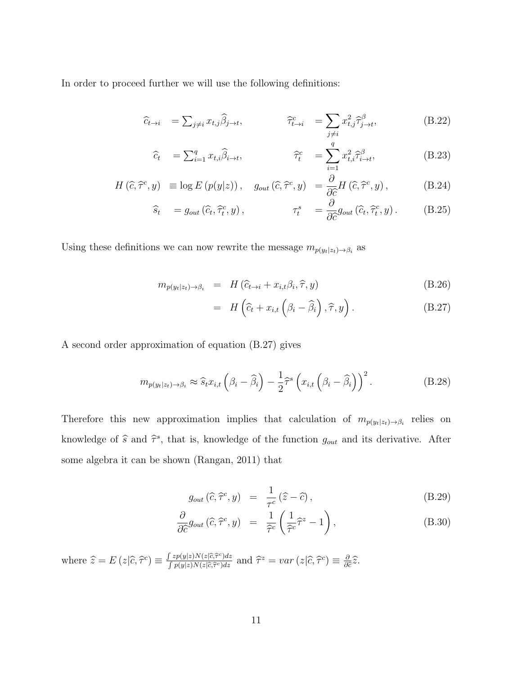In order to proceed further we will use the following definitions:

$$
\widehat{c}_{t \to i} = \sum_{j \neq i} x_{t,j} \widehat{\beta}_{j \to t}, \qquad \widehat{\tau}_{t \to i}^c = \sum_{j \neq i} x_{t,j}^2 \widehat{\tau}_{j \to t}^\beta, \qquad (B.22)
$$

$$
\widehat{c}_t = \sum_{i=1}^q x_{t,i} \widehat{\beta}_{i \to t}, \qquad \widehat{\tau}_t^c = \sum_{i=1}^q x_{t,i}^2 \widehat{\tau}_{i \to t}^\beta, \qquad (B.23)
$$

$$
H(\hat{c}, \hat{\tau}^c, y) \equiv \log E(p(y|z)), \quad g_{out}(\hat{c}, \hat{\tau}^c, y) = \frac{\partial}{\partial \hat{c}} H(\hat{c}, \hat{\tau}^c, y), \quad (B.24)
$$

$$
\widehat{s}_t = g_{out}(\widehat{c}_t, \widehat{\tau}_t^c, y), \qquad \qquad \tau_t^s = \frac{\partial}{\partial \widehat{c}} g_{out}(\widehat{c}_t, \widehat{\tau}_t^c, y). \qquad (B.25)
$$

Using these definitions we can now rewrite the message  $m_{p(y_t|z_t)\to\beta_i}$  as

$$
m_{p(y_t|z_t)\to\beta_i} = H(\hat{c}_{t\to i} + x_{i,t}\beta_i, \hat{\tau}, y)
$$
\n(B.26)

$$
= H\left(\widehat{c}_t + x_{i,t}\left(\beta_i - \widehat{\beta}_i\right), \widehat{\tau}, y\right). \tag{B.27}
$$

A second order approximation of equation (B.27) gives

$$
m_{p(y_t|z_t)\to\beta_i} \approx \widehat{s}_t x_{i,t} \left(\beta_i - \widehat{\beta}_i\right) - \frac{1}{2} \widehat{\tau}^s \left(x_{i,t} \left(\beta_i - \widehat{\beta}_i\right)\right)^2. \tag{B.28}
$$

Therefore this new approximation implies that calculation of  $m_{p(y_t|z_t)\to\beta_i}$  relies on knowledge of  $\hat{s}$  and  $\hat{\tau}^s$ , that is, knowledge of the function  $g_{out}$  and its derivative. After some algebra it can be shown (Rangan, 2011) that

$$
g_{out}(\hat{c}, \hat{\tau}^c, y) = \frac{1}{\tau^c} (\hat{z} - \hat{c}), \qquad (B.29)
$$

$$
\frac{\partial}{\partial \hat{c}} g_{out}(\hat{c}, \hat{\tau}^c, y) = \frac{1}{\hat{\tau}^c} \left( \frac{1}{\hat{\tau}^c} \hat{\tau}^z - 1 \right), \tag{B.30}
$$

where  $\hat{z} = E (z|\hat{c}, \hat{\tau}^c) \equiv \frac{\int zp(y|z)N(z|\hat{c}, \hat{\tau}^c)dz}{\int p(y|z)N(z|\hat{c}, \hat{\tau}^c)dz}$  $\int \frac{z p(y|z) N(z|\tilde{c}, \tilde{\tau}^c) dz}{\int p(y|z) N(z|\tilde{c}, \tilde{\tau}^c) dz}$  and  $\hat{\tau}^z = var(z|\hat{c}, \hat{\tau}^c) \equiv \frac{\partial}{\partial \tilde{\theta}}$  $rac{\partial}{\partial \widehat{c}}\widehat{z}.$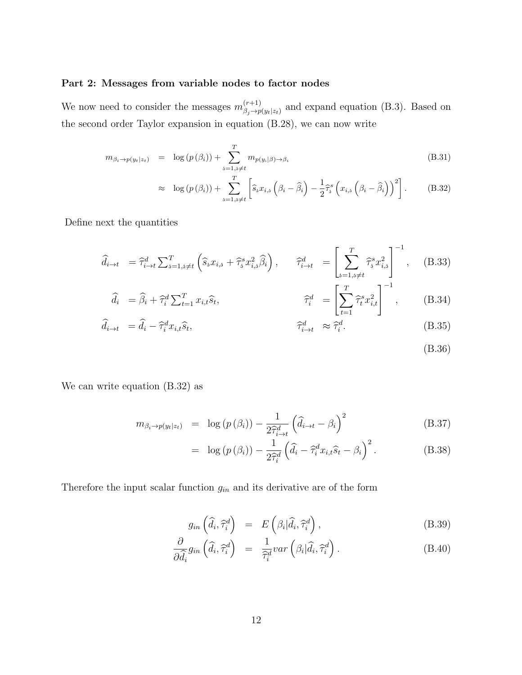#### Part 2: Messages from variable nodes to factor nodes

We now need to consider the messages  $m_{\beta, \rightarrow n}^{(r+1)}$  $\binom{(r+1)}{\beta_j \to p(y_t|z_t)}$  and expand equation (B.3). Based on the second order Taylor expansion in equation (B.28), we can now write

$$
m_{\beta_i \to p(y_t | z_t)} = \log (p(\beta_i)) + \sum_{\delta=1, \delta \neq t}^{T} m_{p(y_s | \beta) \to \beta_i}
$$
 (B.31)

$$
\approx \log(p(\beta_i)) + \sum_{\beta=1,\beta\neq t}^{T} \left[ \widehat{s}_{\beta} x_{i,\beta} \left( \beta_i - \widehat{\beta}_i \right) - \frac{1}{2} \widehat{\tau}_{\beta}^s \left( x_{i,\beta} \left( \beta_i - \widehat{\beta}_i \right) \right)^2 \right]. \tag{B.32}
$$

Define next the quantities

$$
\widehat{d}_{i \to t} = \widehat{\tau}_{i \to t}^d \sum_{s=1, s \neq t}^T \left( \widehat{s}_s x_{i,s} + \widehat{\tau}_s^s x_{i,s}^2 \widehat{\beta}_i \right), \qquad \widehat{\tau}_{i \to t}^d = \left[ \sum_{s=1, s \neq t}^T \widehat{\tau}_s^s x_{i,s}^2 \right]^{-1}, \quad \text{(B.33)}
$$

$$
\widehat{d}_i = \widehat{\beta}_i + \widehat{\tau}_i^d \sum_{t=1}^T x_{i,t} \widehat{s}_t, \qquad \qquad \widehat{\tau}_i^d = \left[ \sum_{t=1}^T \widehat{\tau}_t^s x_{i,t}^2 \right]^{-1}, \qquad (B.34)
$$

$$
\widehat{d}_{i \to t} = \widehat{d}_i - \widehat{\tau}_i^d x_{i,t} \widehat{s}_t, \qquad \widehat{\tau}_{i \to t}^d \approx \widehat{\tau}_i^d. \qquad (B.35)
$$

(B.36)

We can write equation (B.32) as

$$
m_{\beta_i \to p(y_t | z_t)} = \log (p(\beta_i)) - \frac{1}{2\widehat{\tau}_{i \to t}^d} \left(\widehat{d}_{i \to t} - \beta_i\right)^2 \tag{B.37}
$$

$$
= \log (p(\beta_i)) - \frac{1}{2\widehat{\tau}_i^d} \left( \widehat{d}_i - \widehat{\tau}_i^d x_{i,t} \widehat{s}_t - \beta_i \right)^2.
$$
 (B.38)

Therefore the input scalar function  $g_{in}$  and its derivative are of the form

$$
g_{in}\left(\widehat{d}_{i},\widehat{\tau}_{i}^{d}\right) = E\left(\beta_{i}|\widehat{d}_{i},\widehat{\tau}_{i}^{d}\right), \tag{B.39}
$$

$$
\frac{\partial}{\partial \widehat{d}_i} g_{in} \left( \widehat{d}_i, \widehat{\tau}_i^d \right) = \frac{1}{\widehat{\tau}_i^d} var \left( \beta_i | \widehat{d}_i, \widehat{\tau}_i^d \right). \tag{B.40}
$$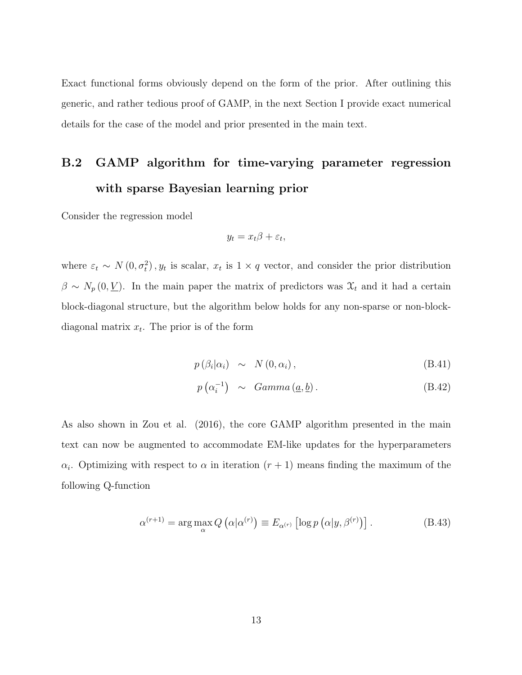Exact functional forms obviously depend on the form of the prior. After outlining this generic, and rather tedious proof of GAMP, in the next Section I provide exact numerical details for the case of the model and prior presented in the main text.

# B.2 GAMP algorithm for time-varying parameter regression with sparse Bayesian learning prior

Consider the regression model

$$
y_t = x_t \beta + \varepsilon_t,
$$

where  $\varepsilon_t \sim N(0, \sigma_t^2)$ ,  $y_t$  is scalar,  $x_t$  is  $1 \times q$  vector, and consider the prior distribution  $\beta \sim N_p(0, \underline{V})$ . In the main paper the matrix of predictors was  $\mathcal{X}_t$  and it had a certain block-diagonal structure, but the algorithm below holds for any non-sparse or non-blockdiagonal matrix  $x_t$ . The prior is of the form

$$
p\left(\beta_i|\alpha_i\right) \sim N\left(0,\alpha_i\right),\tag{B.41}
$$

$$
p\left(\alpha_i^{-1}\right) \sim Gamma\left(\underline{a}, \underline{b}\right). \tag{B.42}
$$

As also shown in Zou et al. (2016), the core GAMP algorithm presented in the main text can now be augmented to accommodate EM-like updates for the hyperparameters  $\alpha_i$ . Optimizing with respect to  $\alpha$  in iteration  $(r + 1)$  means finding the maximum of the following Q-function

$$
\alpha^{(r+1)} = \arg \max_{\alpha} Q\left(\alpha|\alpha^{(r)}\right) \equiv E_{\alpha^{(r)}}\left[\log p\left(\alpha|y,\beta^{(r)}\right)\right]. \tag{B.43}
$$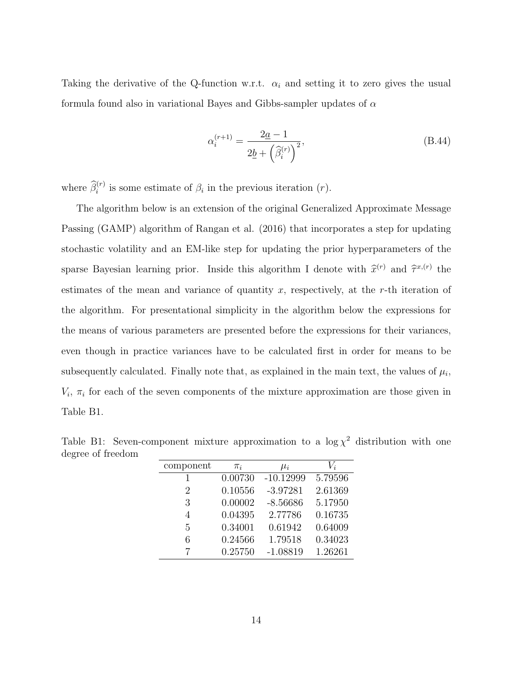Taking the derivative of the Q-function w.r.t.  $\alpha_i$  and setting it to zero gives the usual formula found also in variational Bayes and Gibbs-sampler updates of  $\alpha$ 

$$
\alpha_i^{(r+1)} = \frac{2\underline{a} - 1}{2\underline{b} + \left(\widehat{\beta}_i^{(r)}\right)^2},
$$
\n(B.44)

where  $\widehat{\beta}_i^{(r)}$  is some estimate of  $\beta_i$  in the previous iteration  $(r)$ .

The algorithm below is an extension of the original Generalized Approximate Message Passing (GAMP) algorithm of Rangan et al. (2016) that incorporates a step for updating stochastic volatility and an EM-like step for updating the prior hyperparameters of the sparse Bayesian learning prior. Inside this algorithm I denote with  $\hat{x}^{(r)}$  and  $\hat{\tau}^{x,(r)}$  the estimates of the mean and variance of quantity  $x$ , respectively, at the r-th iteration of the algorithm. For presentational simplicity in the algorithm below the expressions for the means of various parameters are presented before the expressions for their variances, even though in practice variances have to be calculated first in order for means to be subsequently calculated. Finally note that, as explained in the main text, the values of  $\mu_i$ ,  $V_i$ ,  $\pi_i$  for each of the seven components of the mixture approximation are those given in Table B1.

| component      | $\pi_i$ | $\mu_i$     | $V_i$   |
|----------------|---------|-------------|---------|
| 1              | 0.00730 | $-10.12999$ | 5.79596 |
| $\overline{2}$ | 0.10556 | $-3.97281$  | 2.61369 |
| 3              | 0.00002 | $-8.56686$  | 5.17950 |
| 4              | 0.04395 | 2.77786     | 0.16735 |
| 5              | 0.34001 | 0.61942     | 0.64009 |
| 6              | 0.24566 | 1.79518     | 0.34023 |
|                | 0.25750 | $-1.08819$  | 1.26261 |

Table B1: Seven-component mixture approximation to a  $\log \chi^2$  distribution with one degree of freedom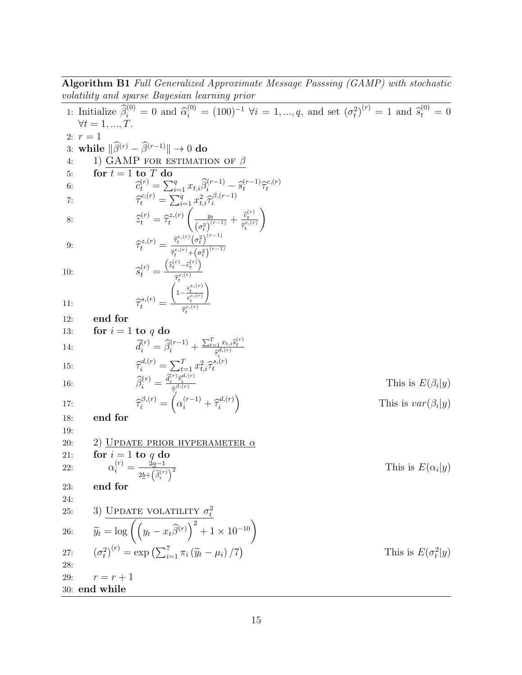Algorithm B1 Full Generalized Approximate Message Passsing (GAMP) with stochastic volatility and sparse Bayesian learning prior

1: Initialize  $\hat{\beta}_i^{(0)} = 0$  and  $\hat{\alpha}_i^{(0)} = (100)^{-1}$   $\forall i = 1, ..., q$ , and set  $(\sigma_t^2)^{(r)} = 1$  and  $\hat{s}_t^{(0)} = 0$  $\forall t = 1, ..., T.$ 2:  $r = 1$ 3: while  $\|\widehat{\beta}^{(r)} - \widehat{\beta}^{(r-1)}\| \to 0$  do<br>4: 1) GAMP FOR ESTIMATI 1) GAMP FOR ESTIMATION OF  $\beta$ 5: for  $t = 1$  to  $T$  do 6:  $\hat{c}_t^{(r)} = \sum_{i=1}^q x_{t,i} \hat{\beta}_i^{(r-1)} - \hat{s}_t^{(r-1)}$  $\big(\begin{matrix} (r-1) \\ t \end{matrix} \big) \widehat{\tau}_t^{c,(r)}$ t 7:  $\widehat{\tau}_t^{c,(r)} = \sum_{i=1}^q x_{t,i}^2 \widehat{\tau}_i^{\beta,(r-1)}$ i 8:  $\widehat{z}_t^{(r)} = \widehat{\tau}_t^{z,(r)}$ t  $\begin{pmatrix} y_t \\ y_t \end{pmatrix}$  $\left(\sigma_t^2\right)$  $\frac{a_{t}}{(r-1)} + \frac{\widehat{c}_{t}^{(r)}}{\widehat{c}_{t}^{(r)}}$  $\widehat{\tau}^{c,(r)}_t$  $\lambda$ 9:  $\widehat{\tau}_t^{z,(r)} = \frac{\widehat{\tau}_t^{c,(r)}(\sigma_t^2)^{(r-1)}}{\widehat{\tau}_t^{c,(r)}+(\sigma_t^2)^{(r-1)}}$  $\frac{\widehat{\tau}_{t}^{c,(r)} + (\sigma_{t}^{2})^{(r-1)}}{r}$ 10:  $\widehat{s}_t^{(r)} =$  $\left(\widehat{\boldsymbol{z}}_{t}^{\left(r\right)}\!-\!\widehat{\boldsymbol{c}}_{t}^{\left(r\right)}\right)$  $\widehat{\tau}^{c,(r)}_t$ 11:  $\widehat{\tau}_i$  $t^{s,(r)} =$  $\sqrt{ }$  $1-\frac{\widehat{\tau}^{z,(r)}_t}{\widehat{\tau}^{c,(r)}_t}$ !  $\widehat{\tau}^{c,(r)}_t$ 12: end for 13: for  $i = 1$  to q do 14:  $\hat{d}_i^{(r)} = \hat{\beta}_i^{(r-1)} + \frac{\sum_{t=1}^T x_{t,i} \hat{s}_t^{(r)}}{\hat{\tau}_i^{d,(r)}}$  $\widehat{\tau}^{d,(r)}_i$ 15:  $\widehat{\tau}_i^{d,(r)} = \sum_{t=1}^T x_{t,i}^2 \widehat{\tau}_t^{s,(r)}$ t 16:  $\widehat{\beta}_i^{(r)} = \frac{\widehat{d}_i^{(r)} \widehat{\tau}_i^{d,(r)}}{\widehat{\tau}_i^{\beta,(r)}}$  $\widehat{\tau}^{\beta,(r)}_i$ This is  $E(\beta_i|y)$ 17:  $\widehat{\tau}_{i}^{\beta,(r)} = \left(\alpha_{i}^{(r-1)} + \widehat{\tau}_{i}^{d,(r)}\right)$ i  $\overline{ }$ This is  $var(\beta_i|y)$ 18: end for 19: 20: 2) UPDATE PRIOR HYPERAMETER  $\alpha$ 21: for  $i=1$  to q do 22:  $\alpha_i^{(r)} = \frac{\bar{2a}-1}{2a+\sqrt{2a}}$  $2\underline{b}+\left(\widehat{\beta}_{i}^{\left(r\right)}\right)$  $\overline{X}^2$  This is  $E(\alpha_i|y)$ 23: end for 24: 25: 3) UPDATE VOLATILITY  $\sigma_t^2$ <br>
26:  $\widetilde{y}_t = \log \left( \left( y_t - x_t \widehat{\beta}^{(r)} \right)^2 + 1 \times 10^{-10} \right)$ 27:  $(\sigma_t^2)^{(r)} = \exp \left( \sum_{i=1}^7 \pi_i \left( \widetilde{y}_t - \mu_i \right) / 7 \right)$ This is  $E(\sigma_t^2|y)$ 28: 29:  $r = r + 1$ 30: end while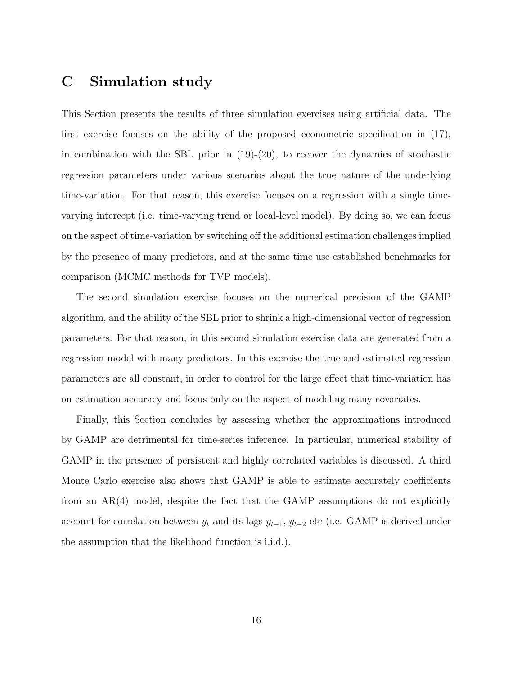### C Simulation study

This Section presents the results of three simulation exercises using artificial data. The first exercise focuses on the ability of the proposed econometric specification in (17), in combination with the SBL prior in  $(19)-(20)$ , to recover the dynamics of stochastic regression parameters under various scenarios about the true nature of the underlying time-variation. For that reason, this exercise focuses on a regression with a single timevarying intercept (i.e. time-varying trend or local-level model). By doing so, we can focus on the aspect of time-variation by switching off the additional estimation challenges implied by the presence of many predictors, and at the same time use established benchmarks for comparison (MCMC methods for TVP models).

The second simulation exercise focuses on the numerical precision of the GAMP algorithm, and the ability of the SBL prior to shrink a high-dimensional vector of regression parameters. For that reason, in this second simulation exercise data are generated from a regression model with many predictors. In this exercise the true and estimated regression parameters are all constant, in order to control for the large effect that time-variation has on estimation accuracy and focus only on the aspect of modeling many covariates.

Finally, this Section concludes by assessing whether the approximations introduced by GAMP are detrimental for time-series inference. In particular, numerical stability of GAMP in the presence of persistent and highly correlated variables is discussed. A third Monte Carlo exercise also shows that GAMP is able to estimate accurately coefficients from an AR(4) model, despite the fact that the GAMP assumptions do not explicitly account for correlation between  $y_t$  and its lags  $y_{t-1}$ ,  $y_{t-2}$  etc (i.e. GAMP is derived under the assumption that the likelihood function is i.i.d.).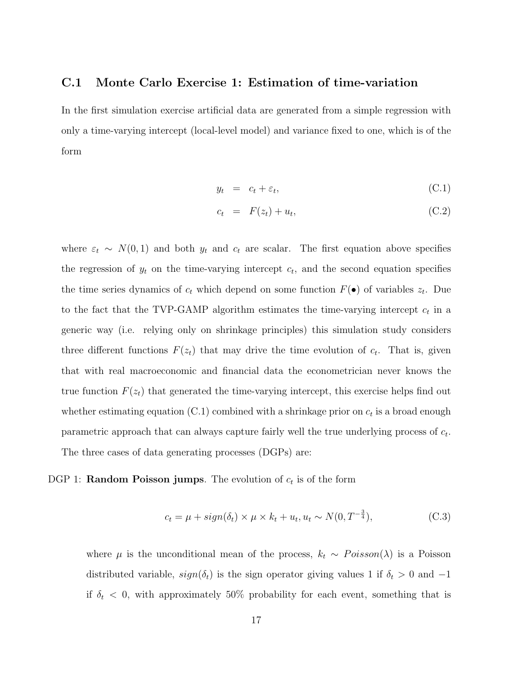### C.1 Monte Carlo Exercise 1: Estimation of time-variation

In the first simulation exercise artificial data are generated from a simple regression with only a time-varying intercept (local-level model) and variance fixed to one, which is of the form

$$
y_t = c_t + \varepsilon_t, \tag{C.1}
$$

$$
c_t = F(z_t) + u_t, \tag{C.2}
$$

where  $\varepsilon_t \sim N(0, 1)$  and both  $y_t$  and  $c_t$  are scalar. The first equation above specifies the regression of  $y_t$  on the time-varying intercept  $c_t$ , and the second equation specifies the time series dynamics of  $c_t$  which depend on some function  $F(\bullet)$  of variables  $z_t$ . Due to the fact that the TVP-GAMP algorithm estimates the time-varying intercept  $c_t$  in a generic way (i.e. relying only on shrinkage principles) this simulation study considers three different functions  $F(z_t)$  that may drive the time evolution of  $c_t$ . That is, given that with real macroeconomic and financial data the econometrician never knows the true function  $F(z_t)$  that generated the time-varying intercept, this exercise helps find out whether estimating equation  $(C.1)$  combined with a shrinkage prior on  $c_t$  is a broad enough parametric approach that can always capture fairly well the true underlying process of  $c_t$ . The three cases of data generating processes (DGPs) are:

### DGP 1: **Random Poisson jumps**. The evolution of  $c_t$  is of the form

$$
c_t = \mu + sign(\delta_t) \times \mu \times k_t + u_t, u_t \sim N(0, T^{-\frac{3}{4}}),
$$
\n(C.3)

where  $\mu$  is the unconditional mean of the process,  $k_t \sim Poisson(\lambda)$  is a Poisson distributed variable,  $sign(\delta_t)$  is the sign operator giving values 1 if  $\delta_t > 0$  and  $-1$ if  $\delta_t$  < 0, with approximately 50% probability for each event, something that is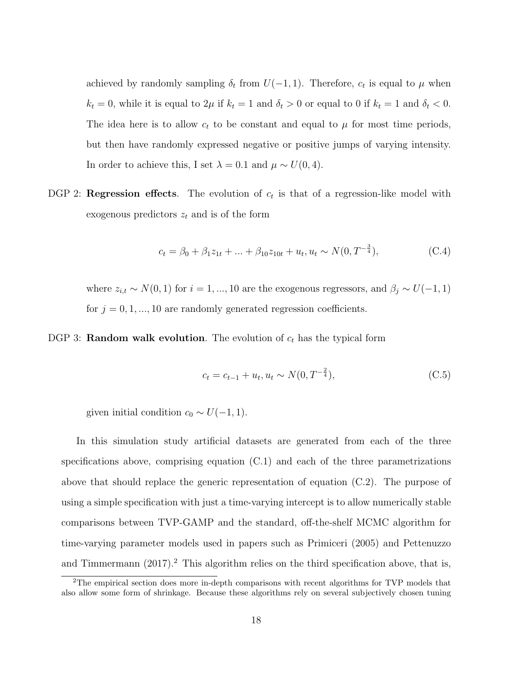achieved by randomly sampling  $\delta_t$  from  $U(-1,1)$ . Therefore,  $c_t$  is equal to  $\mu$  when  $k_t = 0$ , while it is equal to  $2\mu$  if  $k_t = 1$  and  $\delta_t > 0$  or equal to 0 if  $k_t = 1$  and  $\delta_t < 0$ . The idea here is to allow  $c_t$  to be constant and equal to  $\mu$  for most time periods, but then have randomly expressed negative or positive jumps of varying intensity. In order to achieve this, I set  $\lambda = 0.1$  and  $\mu \sim U(0, 4)$ .

DGP 2: **Regression effects**. The evolution of  $c_t$  is that of a regression-like model with exogenous predictors  $z_t$  and is of the form

$$
c_t = \beta_0 + \beta_1 z_{1t} + \dots + \beta_{10} z_{10t} + u_t, u_t \sim N(0, T^{-\frac{3}{4}}),
$$
 (C.4)

where  $z_{i,t} \sim N(0, 1)$  for  $i = 1, ..., 10$  are the exogenous regressors, and  $\beta_j \sim U(-1, 1)$ for  $j = 0, 1, ..., 10$  are randomly generated regression coefficients.

#### DGP 3: **Random walk evolution**. The evolution of  $c_t$  has the typical form

$$
c_t = c_{t-1} + u_t, u_t \sim N(0, T^{-\frac{2}{4}}), \tag{C.5}
$$

given initial condition  $c_0 \sim U(-1, 1)$ .

In this simulation study artificial datasets are generated from each of the three specifications above, comprising equation  $(C.1)$  and each of the three parametrizations above that should replace the generic representation of equation (C.2). The purpose of using a simple specification with just a time-varying intercept is to allow numerically stable comparisons between TVP-GAMP and the standard, off-the-shelf MCMC algorithm for time-varying parameter models used in papers such as Primiceri (2005) and Pettenuzzo and Timmermann  $(2017).<sup>2</sup>$  This algorithm relies on the third specification above, that is,

<sup>2</sup>The empirical section does more in-depth comparisons with recent algorithms for TVP models that also allow some form of shrinkage. Because these algorithms rely on several subjectively chosen tuning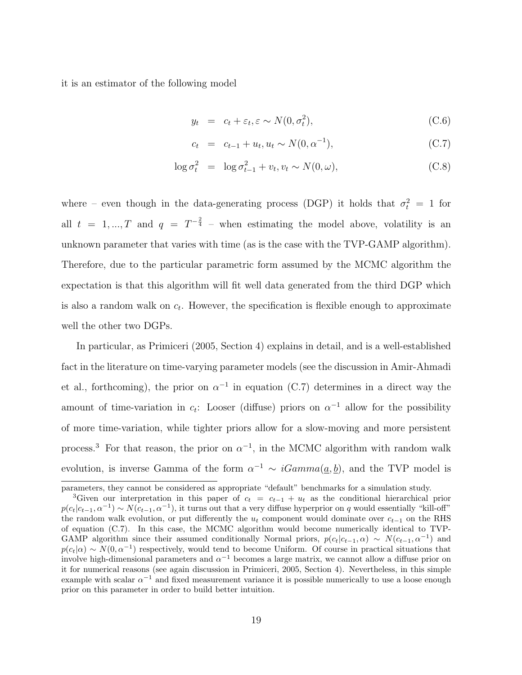it is an estimator of the following model

$$
y_t = c_t + \varepsilon_t, \varepsilon \sim N(0, \sigma_t^2), \tag{C.6}
$$

$$
c_t = c_{t-1} + u_t, u_t \sim N(0, \alpha^{-1}),
$$
\n(C.7)

$$
\log \sigma_t^2 = \log \sigma_{t-1}^2 + v_t, v_t \sim N(0, \omega), \tag{C.8}
$$

where – even though in the data-generating process (DGP) it holds that  $\sigma_t^2 = 1$  for all  $t = 1, ..., T$  and  $q = T^{-\frac{2}{4}}$  – when estimating the model above, volatility is an unknown parameter that varies with time (as is the case with the TVP-GAMP algorithm). Therefore, due to the particular parametric form assumed by the MCMC algorithm the expectation is that this algorithm will fit well data generated from the third DGP which is also a random walk on  $c_t$ . However, the specification is flexible enough to approximate well the other two DGPs.

In particular, as Primiceri (2005, Section 4) explains in detail, and is a well-established fact in the literature on time-varying parameter models (see the discussion in Amir-Ahmadi et al., forthcoming), the prior on  $\alpha^{-1}$  in equation (C.7) determines in a direct way the amount of time-variation in  $c_t$ : Looser (diffuse) priors on  $\alpha^{-1}$  allow for the possibility of more time-variation, while tighter priors allow for a slow-moving and more persistent process.<sup>3</sup> For that reason, the prior on  $\alpha^{-1}$ , in the MCMC algorithm with random walk evolution, is inverse Gamma of the form  $\alpha^{-1} \sim iGamma(\underline{a}, \underline{b})$ , and the TVP model is

parameters, they cannot be considered as appropriate "default" benchmarks for a simulation study.

<sup>&</sup>lt;sup>3</sup>Given our interpretation in this paper of  $c_t = c_{t-1} + u_t$  as the conditional hierarchical prior  $p(c_t|c_{t-1}, \alpha^{-1}) \sim N(c_{t-1}, \alpha^{-1})$ , it turns out that a very diffuse hyperprior on q would essentially "kill-off" the random walk evolution, or put differently the  $u_t$  component would dominate over  $c_{t-1}$  on the RHS of equation (C.7). In this case, the MCMC algorithm would become numerically identical to TVP-GAMP algorithm since their assumed conditionally Normal priors,  $p(c_t|c_{t-1}, \alpha) \sim N(c_{t-1}, \alpha^{-1})$  and  $p(c_t|\alpha) \sim N(0, \alpha^{-1})$  respectively, would tend to become Uniform. Of course in practical situations that involve high-dimensional parameters and  $\alpha^{-1}$  becomes a large matrix, we cannot allow a diffuse prior on it for numerical reasons (see again discussion in Primiceri, 2005, Section 4). Nevertheless, in this simple example with scalar  $\alpha^{-1}$  and fixed measurement variance it is possible numerically to use a loose enough prior on this parameter in order to build better intuition.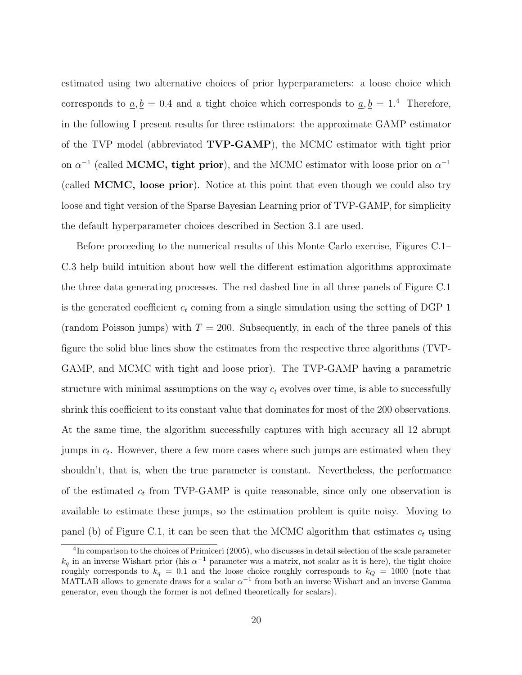estimated using two alternative choices of prior hyperparameters: a loose choice which corresponds to  $\underline{a}, \underline{b} = 0.4$  and a tight choice which corresponds to  $\underline{a}, \underline{b} = 1.4$  Therefore, in the following I present results for three estimators: the approximate GAMP estimator of the TVP model (abbreviated TVP-GAMP), the MCMC estimator with tight prior on  $\alpha^{-1}$  (called MCMC, tight prior), and the MCMC estimator with loose prior on  $\alpha^{-1}$ (called MCMC, loose prior). Notice at this point that even though we could also try loose and tight version of the Sparse Bayesian Learning prior of TVP-GAMP, for simplicity the default hyperparameter choices described in Section 3.1 are used.

Before proceeding to the numerical results of this Monte Carlo exercise, Figures C.1– C.3 help build intuition about how well the different estimation algorithms approximate the three data generating processes. The red dashed line in all three panels of Figure C.1 is the generated coefficient  $c_t$  coming from a single simulation using the setting of DGP 1 (random Poisson jumps) with  $T = 200$ . Subsequently, in each of the three panels of this figure the solid blue lines show the estimates from the respective three algorithms (TVP-GAMP, and MCMC with tight and loose prior). The TVP-GAMP having a parametric structure with minimal assumptions on the way  $c_t$  evolves over time, is able to successfully shrink this coefficient to its constant value that dominates for most of the 200 observations. At the same time, the algorithm successfully captures with high accuracy all 12 abrupt jumps in  $c_t$ . However, there a few more cases where such jumps are estimated when they shouldn't, that is, when the true parameter is constant. Nevertheless, the performance of the estimated  $c_t$  from TVP-GAMP is quite reasonable, since only one observation is available to estimate these jumps, so the estimation problem is quite noisy. Moving to panel (b) of Figure C.1, it can be seen that the MCMC algorithm that estimates  $c_t$  using

<sup>&</sup>lt;sup>4</sup>In comparison to the choices of Primiceri (2005), who discusses in detail selection of the scale parameter  $k_q$  in an inverse Wishart prior (his  $\alpha^{-1}$  parameter was a matrix, not scalar as it is here), the tight choice roughly corresponds to  $k_q = 0.1$  and the loose choice roughly corresponds to  $k_Q = 1000$  (note that MATLAB allows to generate draws for a scalar  $\alpha^{-1}$  from both an inverse Wishart and an inverse Gamma generator, even though the former is not defined theoretically for scalars).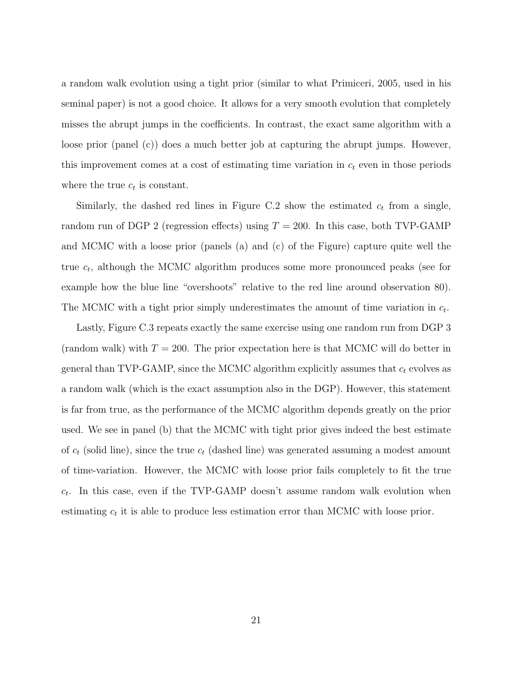a random walk evolution using a tight prior (similar to what Primiceri, 2005, used in his seminal paper) is not a good choice. It allows for a very smooth evolution that completely misses the abrupt jumps in the coefficients. In contrast, the exact same algorithm with a loose prior (panel (c)) does a much better job at capturing the abrupt jumps. However, this improvement comes at a cost of estimating time variation in  $c_t$  even in those periods where the true  $c_t$  is constant.

Similarly, the dashed red lines in Figure C.2 show the estimated  $c_t$  from a single, random run of DGP 2 (regression effects) using  $T = 200$ . In this case, both TVP-GAMP and MCMC with a loose prior (panels (a) and (c) of the Figure) capture quite well the true  $c_t$ , although the MCMC algorithm produces some more pronounced peaks (see for example how the blue line "overshoots" relative to the red line around observation 80). The MCMC with a tight prior simply underestimates the amount of time variation in  $c_t$ .

Lastly, Figure C.3 repeats exactly the same exercise using one random run from DGP 3 (random walk) with  $T = 200$ . The prior expectation here is that MCMC will do better in general than TVP-GAMP, since the MCMC algorithm explicitly assumes that  $c_t$  evolves as a random walk (which is the exact assumption also in the DGP). However, this statement is far from true, as the performance of the MCMC algorithm depends greatly on the prior used. We see in panel (b) that the MCMC with tight prior gives indeed the best estimate of  $c_t$  (solid line), since the true  $c_t$  (dashed line) was generated assuming a modest amount of time-variation. However, the MCMC with loose prior fails completely to fit the true  $c_t$ . In this case, even if the TVP-GAMP doesn't assume random walk evolution when estimating  $c_t$  it is able to produce less estimation error than MCMC with loose prior.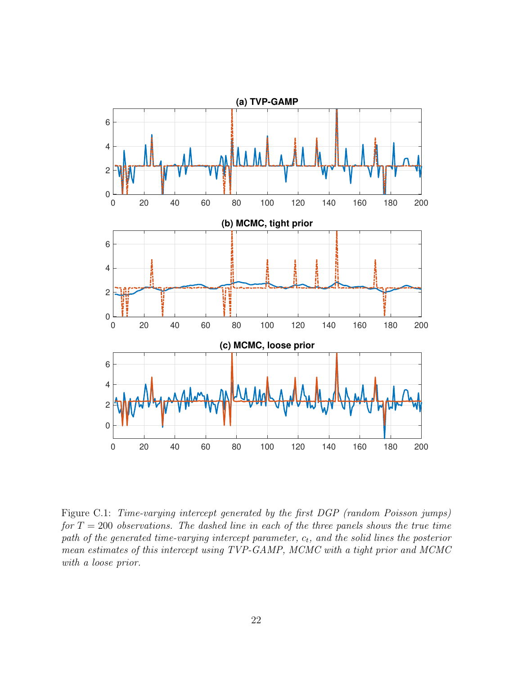

Figure C.1: Time-varying intercept generated by the first DGP (random Poisson jumps) for  $T = 200$  observations. The dashed line in each of the three panels shows the true time path of the generated time-varying intercept parameter,  $c_t$ , and the solid lines the posterior mean estimates of this intercept using TVP-GAMP, MCMC with a tight prior and MCMC with a loose prior.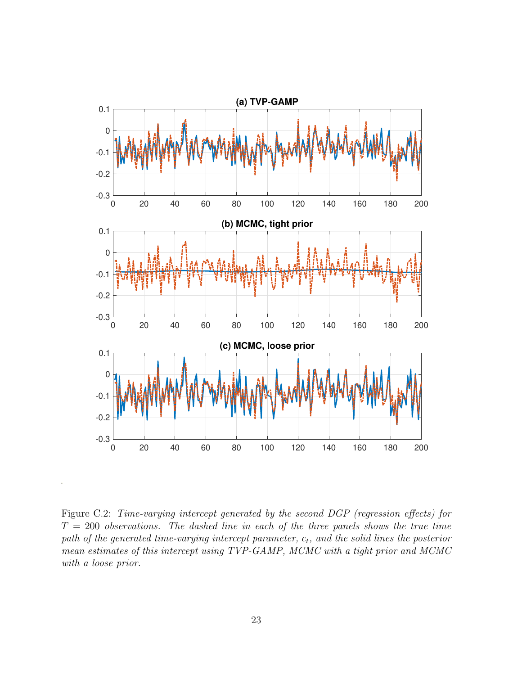

Figure C.2: Time-varying intercept generated by the second DGP (regression effects) for  $T = 200$  observations. The dashed line in each of the three panels shows the true time path of the generated time-varying intercept parameter,  $c_t$ , and the solid lines the posterior mean estimates of this intercept using TVP-GAMP, MCMC with a tight prior and MCMC with a loose prior.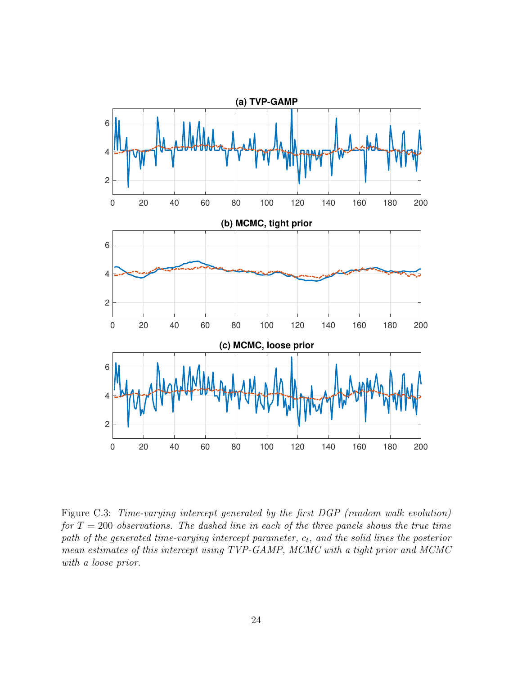

Figure C.3: Time-varying intercept generated by the first DGP (random walk evolution) for  $T = 200$  observations. The dashed line in each of the three panels shows the true time path of the generated time-varying intercept parameter,  $c_t$ , and the solid lines the posterior mean estimates of this intercept using TVP-GAMP, MCMC with a tight prior and MCMC with a loose prior.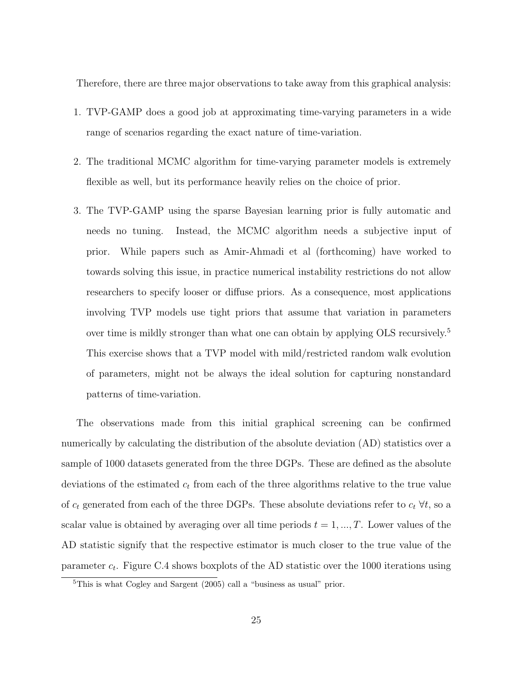Therefore, there are three major observations to take away from this graphical analysis:

- 1. TVP-GAMP does a good job at approximating time-varying parameters in a wide range of scenarios regarding the exact nature of time-variation.
- 2. The traditional MCMC algorithm for time-varying parameter models is extremely flexible as well, but its performance heavily relies on the choice of prior.
- 3. The TVP-GAMP using the sparse Bayesian learning prior is fully automatic and needs no tuning. Instead, the MCMC algorithm needs a subjective input of prior. While papers such as Amir-Ahmadi et al (forthcoming) have worked to towards solving this issue, in practice numerical instability restrictions do not allow researchers to specify looser or diffuse priors. As a consequence, most applications involving TVP models use tight priors that assume that variation in parameters over time is mildly stronger than what one can obtain by applying OLS recursively.<sup>5</sup> This exercise shows that a TVP model with mild/restricted random walk evolution of parameters, might not be always the ideal solution for capturing nonstandard patterns of time-variation.

The observations made from this initial graphical screening can be confirmed numerically by calculating the distribution of the absolute deviation (AD) statistics over a sample of 1000 datasets generated from the three DGPs. These are defined as the absolute deviations of the estimated  $c_t$  from each of the three algorithms relative to the true value of  $c_t$  generated from each of the three DGPs. These absolute deviations refer to  $c_t \ \forall t$ , so a scalar value is obtained by averaging over all time periods  $t = 1, ..., T$ . Lower values of the AD statistic signify that the respective estimator is much closer to the true value of the parameter  $c_t$ . Figure C.4 shows boxplots of the AD statistic over the 1000 iterations using

<sup>5</sup>This is what Cogley and Sargent (2005) call a "business as usual" prior.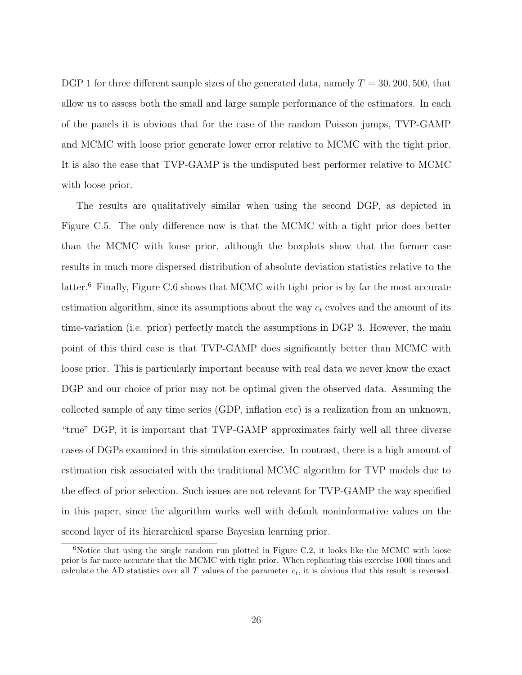DGP 1 for three different sample sizes of the generated data, namely  $T = 30, 200, 500$ , that allow us to assess both the small and large sample performance of the estimators. In each of the panels it is obvious that for the case of the random Poisson jumps, TVP-GAMP and MCMC with loose prior generate lower error relative to MCMC with the tight prior. It is also the case that TVP-GAMP is the undisputed best performer relative to MCMC with loose prior.

The results are qualitatively similar when using the second DGP, as depicted in Figure C.5. The only difference now is that the MCMC with a tight prior does better than the MCMC with loose prior, although the boxplots show that the former case results in much more dispersed distribution of absolute deviation statistics relative to the latter.<sup>6</sup> Finally, Figure C.6 shows that MCMC with tight prior is by far the most accurate estimation algorithm, since its assumptions about the way  $c_t$  evolves and the amount of its time-variation (i.e. prior) perfectly match the assumptions in DGP 3. However, the main point of this third case is that TVP-GAMP does significantly better than MCMC with loose prior. This is particularly important because with real data we never know the exact DGP and our choice of prior may not be optimal given the observed data. Assuming the collected sample of any time series (GDP, inflation etc) is a realization from an unknown, "true" DGP, it is important that TVP-GAMP approximates fairly well all three diverse cases of DGPs examined in this simulation exercise. In contrast, there is a high amount of estimation risk associated with the traditional MCMC algorithm for TVP models due to the effect of prior selection. Such issues are not relevant for TVP-GAMP the way specified in this paper, since the algorithm works well with default noninformative values on the second layer of its hierarchical sparse Bayesian learning prior.

 $6$ Notice that using the single random run plotted in Figure C.2, it looks like the MCMC with loose prior is far more accurate that the MCMC with tight prior. When replicating this exercise 1000 times and calculate the AD statistics over all T values of the parameter  $c_t$ , it is obvious that this result is reversed.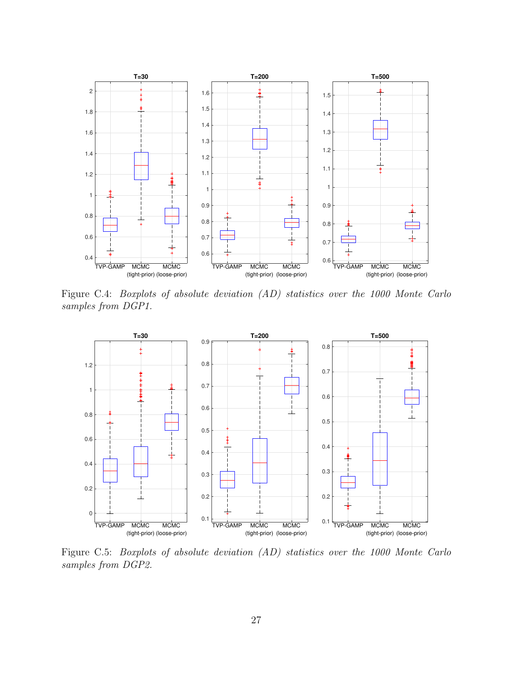

Figure C.4: Boxplots of absolute deviation (AD) statistics over the 1000 Monte Carlo samples from DGP1.



Figure C.5: Boxplots of absolute deviation (AD) statistics over the 1000 Monte Carlo samples from DGP2.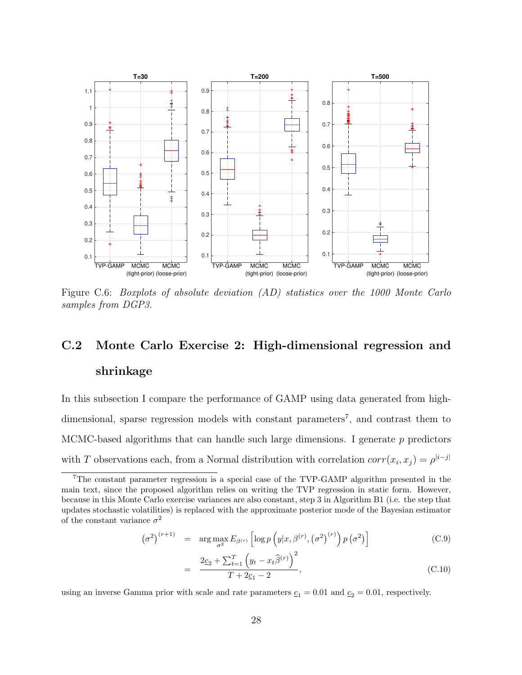

Figure C.6: Boxplots of absolute deviation (AD) statistics over the 1000 Monte Carlo samples from DGP3.

# C.2 Monte Carlo Exercise 2: High-dimensional regression and shrinkage

In this subsection I compare the performance of GAMP using data generated from highdimensional, sparse regression models with constant parameters<sup>7</sup>, and contrast them to MCMC-based algorithms that can handle such large dimensions. I generate  $p$  predictors with T observations each, from a Normal distribution with correlation  $corr(x_i, x_j) = \rho^{|i-j|}$ 

$$
\left(\sigma^2\right)^{(r+1)} = \arg \max_{\sigma^2} E_{\beta^{(r)}} \left[ \log p \left( y | x, \beta^{(r)}, \left(\sigma^2\right)^{(r)}\right) p \left(\sigma^2\right) \right] \tag{C.9}
$$

$$
= \frac{2_{\mathcal{L}_2} + \sum_{t=1}^T \left( y_t - x_t \widehat{\beta}^{(r)} \right)^2}{T + 2_{\mathcal{L}_1} - 2}, \tag{C.10}
$$

using an inverse Gamma prior with scale and rate parameters  $c_1 = 0.01$  and  $c_2 = 0.01$ , respectively.

<sup>7</sup>The constant parameter regression is a special case of the TVP-GAMP algorithm presented in the main text, since the proposed algorithm relies on writing the TVP regression in static form. However, because in this Monte Carlo exercise variances are also constant, step 3 in Algorithm B1 (i.e. the step that updates stochastic volatilities) is replaced with the approximate posterior mode of the Bayesian estimator of the constant variance  $\sigma^2$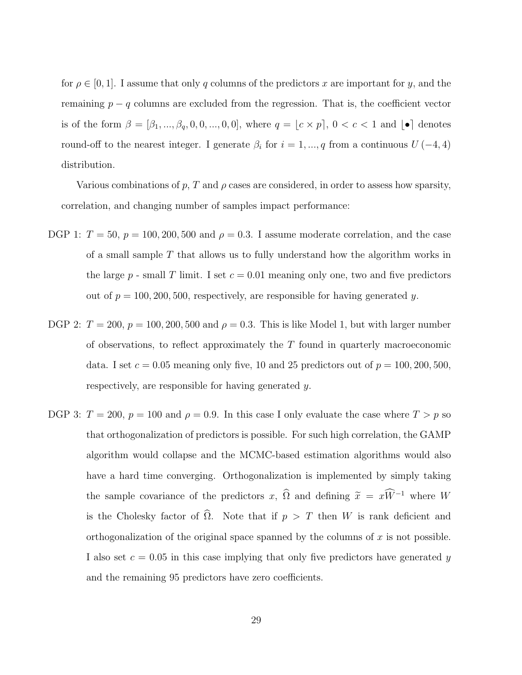for  $\rho \in [0, 1]$ . I assume that only q columns of the predictors x are important for y, and the remaining  $p - q$  columns are excluded from the regression. That is, the coefficient vector is of the form  $\beta = [\beta_1, ..., \beta_q, 0, 0, ..., 0, 0]$ , where  $q = \lfloor c \times p \rfloor$ ,  $0 < c < 1$  and  $\lfloor \bullet \rfloor$  denotes round-off to the nearest integer. I generate  $\beta_i$  for  $i = 1, ..., q$  from a continuous  $U(-4, 4)$ distribution.

Various combinations of  $p$ , T and  $\rho$  cases are considered, in order to assess how sparsity, correlation, and changing number of samples impact performance:

- DGP 1:  $T = 50$ ,  $p = 100, 200, 500$  and  $\rho = 0.3$ . I assume moderate correlation, and the case of a small sample  $T$  that allows us to fully understand how the algorithm works in the large  $p$  - small T limit. I set  $c = 0.01$  meaning only one, two and five predictors out of  $p = 100, 200, 500$ , respectively, are responsible for having generated y.
- DGP 2:  $T = 200$ ,  $p = 100, 200, 500$  and  $\rho = 0.3$ . This is like Model 1, but with larger number of observations, to reflect approximately the  $T$  found in quarterly macroeconomic data. I set  $c = 0.05$  meaning only five, 10 and 25 predictors out of  $p = 100, 200, 500$ , respectively, are responsible for having generated y.
- DGP 3:  $T = 200$ ,  $p = 100$  and  $\rho = 0.9$ . In this case I only evaluate the case where  $T > p$  so that orthogonalization of predictors is possible. For such high correlation, the GAMP algorithm would collapse and the MCMC-based estimation algorithms would also have a hard time converging. Orthogonalization is implemented by simply taking the sample covariance of the predictors x,  $\hat{\Omega}$  and defining  $\tilde{x} = x\hat{W}^{-1}$  where W is the Cholesky factor of  $\widehat{\Omega}$ . Note that if  $p > T$  then W is rank deficient and orthogonalization of the original space spanned by the columns of  $x$  is not possible. I also set  $c = 0.05$  in this case implying that only five predictors have generated y and the remaining 95 predictors have zero coefficients.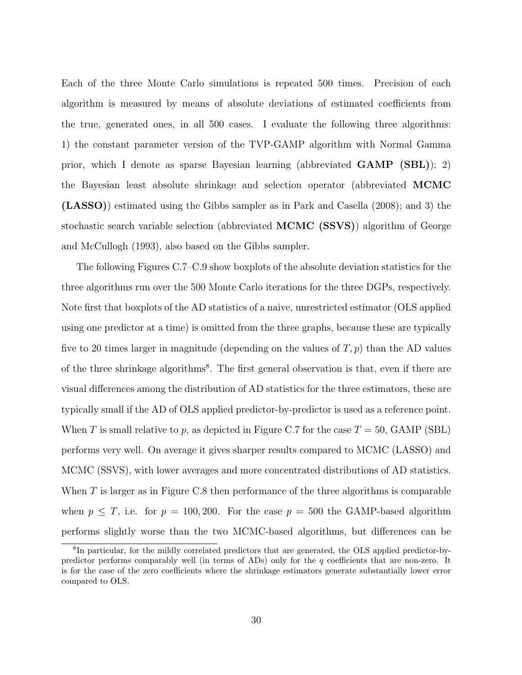Each of the three Monte Carlo simulations is repeated 500 times. Precision of each algorithm is measured by means of absolute deviations of estimated coefficients from the true, generated ones, in all 500 cases. I evaluate the following three algorithms: 1) the constant parameter version of the TVP-GAMP algorithm with Normal Gamma prior, which I denote as sparse Bayesian learning (abbreviated  $GAMP$   $(SBL)$ ); 2) the Bayesian least absolute shrinkage and selection operator (abbreviated MCMC (LASSO)) estimated using the Gibbs sampler as in Park and Casella (2008); and 3) the stochastic search variable selection (abbreviated MCMC (SSVS)) algorithm of George and McCullogh (1993), also based on the Gibbs sampler.

The following Figures C.7–C.9 show boxplots of the absolute deviation statistics for the three algorithms run over the 500 Monte Carlo iterations for the three DGPs, respectively. Note first that boxplots of the AD statistics of a naive, unrestricted estimator (OLS applied using one predictor at a time) is omitted from the three graphs, because these are typically five to 20 times larger in magnitude (depending on the values of  $T, p$ ) than the AD values of the three shrinkage algorithms<sup>8</sup>. The first general observation is that, even if there are visual differences among the distribution of AD statistics for the three estimators, these are typically small if the AD of OLS applied predictor-by-predictor is used as a reference point. When T is small relative to p, as depicted in Figure C.7 for the case  $T = 50$ , GAMP (SBL) performs very well. On average it gives sharper results compared to MCMC (LASSO) and MCMC (SSVS), with lower averages and more concentrated distributions of AD statistics. When  $T$  is larger as in Figure C.8 then performance of the three algorithms is comparable when  $p \leq T$ , i.e. for  $p = 100, 200$ . For the case  $p = 500$  the GAMP-based algorithm performs slightly worse than the two MCMC-based algorithms, but differences can be

<sup>&</sup>lt;sup>8</sup>In particular, for the mildly correlated predictors that are generated, the OLS applied predictor-bypredictor performs comparably well (in terms of ADs) only for the  $q$  coefficients that are non-zero. It is for the case of the zero coefficients where the shrinkage estimators generate substantially lower error compared to OLS.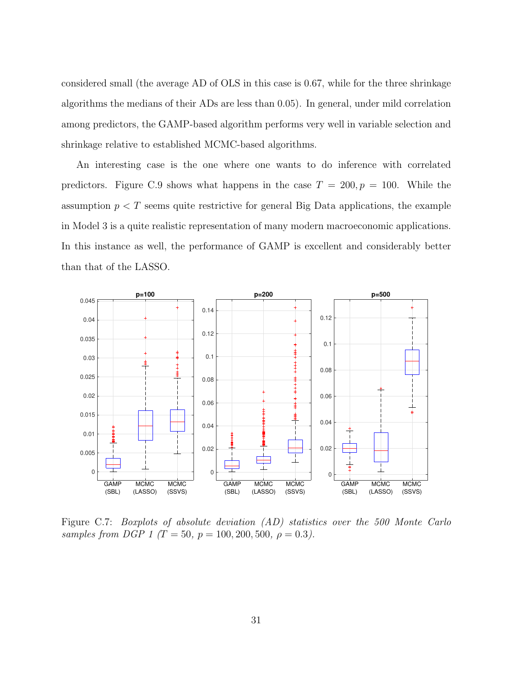considered small (the average AD of OLS in this case is 0.67, while for the three shrinkage algorithms the medians of their ADs are less than 0.05). In general, under mild correlation among predictors, the GAMP-based algorithm performs very well in variable selection and shrinkage relative to established MCMC-based algorithms.

An interesting case is the one where one wants to do inference with correlated predictors. Figure C.9 shows what happens in the case  $T = 200, p = 100$ . While the assumption  $p < T$  seems quite restrictive for general Big Data applications, the example in Model 3 is a quite realistic representation of many modern macroeconomic applications. In this instance as well, the performance of GAMP is excellent and considerably better than that of the LASSO.



Figure C.7: Boxplots of absolute deviation (AD) statistics over the 500 Monte Carlo samples from DGP 1 (T = 50, p = 100, 200, 500,  $\rho = 0.3$ ).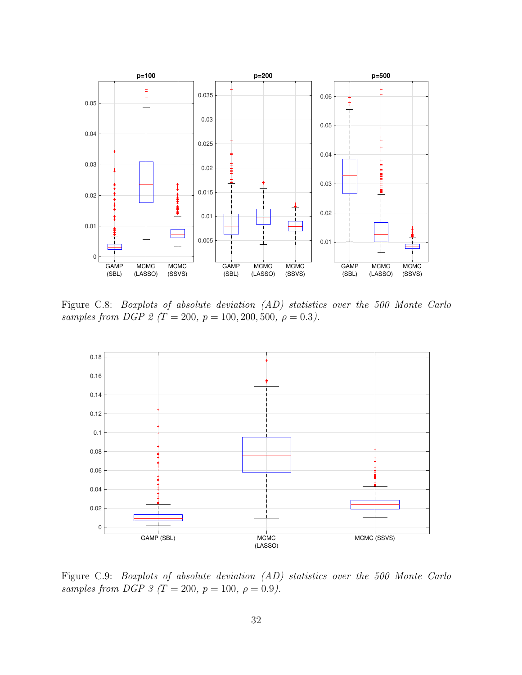

Figure C.8: Boxplots of absolute deviation (AD) statistics over the 500 Monte Carlo samples from DGP 2 (T = 200, p = 100, 200, 500,  $\rho = 0.3$ ).



Figure C.9: Boxplots of absolute deviation (AD) statistics over the 500 Monte Carlo samples from DGP 3 (T = 200, p = 100,  $\rho = 0.9$ ).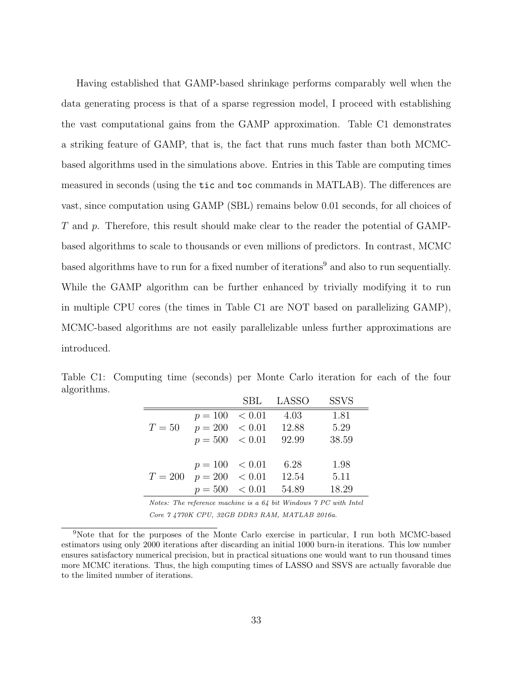Having established that GAMP-based shrinkage performs comparably well when the data generating process is that of a sparse regression model, I proceed with establishing the vast computational gains from the GAMP approximation. Table C1 demonstrates a striking feature of GAMP, that is, the fact that runs much faster than both MCMCbased algorithms used in the simulations above. Entries in this Table are computing times measured in seconds (using the tic and toc commands in MATLAB). The differences are vast, since computation using GAMP (SBL) remains below 0.01 seconds, for all choices of T and p. Therefore, this result should make clear to the reader the potential of GAMPbased algorithms to scale to thousands or even millions of predictors. In contrast, MCMC based algorithms have to run for a fixed number of iterations<sup>9</sup> and also to run sequentially. While the GAMP algorithm can be further enhanced by trivially modifying it to run in multiple CPU cores (the times in Table C1 are NOT based on parallelizing GAMP), MCMC-based algorithms are not easily parallelizable unless further approximations are introduced.

|           |                     | SBL | LASSO | <b>SSVS</b> |
|-----------|---------------------|-----|-------|-------------|
|           | $p = 100 \le 0.01$  |     | 4.03  | 1.81        |
| $T=50$    | $p = 200 \leq 0.01$ |     | 12.88 | 5.29        |
|           | $p = 500 \lt 0.01$  |     | 92.99 | 38.59       |
|           |                     |     |       |             |
|           | $p = 100 \le 0.01$  |     | 6.28  | 1.98        |
| $T = 200$ | $p = 200 \lt 0.01$  |     | 12.54 | 5.11        |
|           | $p = 500 \le 0.01$  |     | 54.89 | 18.29       |

Table C1: Computing time (seconds) per Monte Carlo iteration for each of the four algorithms.

*Notes: The reference machine is a 64 bit Windows 7 PC with Intel Core 7 4770K CPU, 32GB DDR3 RAM, MATLAB 2016a.*

<sup>9</sup>Note that for the purposes of the Monte Carlo exercise in particular, I run both MCMC-based estimators using only 2000 iterations after discarding an initial 1000 burn-in iterations. This low number ensures satisfactory numerical precision, but in practical situations one would want to run thousand times more MCMC iterations. Thus, the high computing times of LASSO and SSVS are actually favorable due to the limited number of iterations.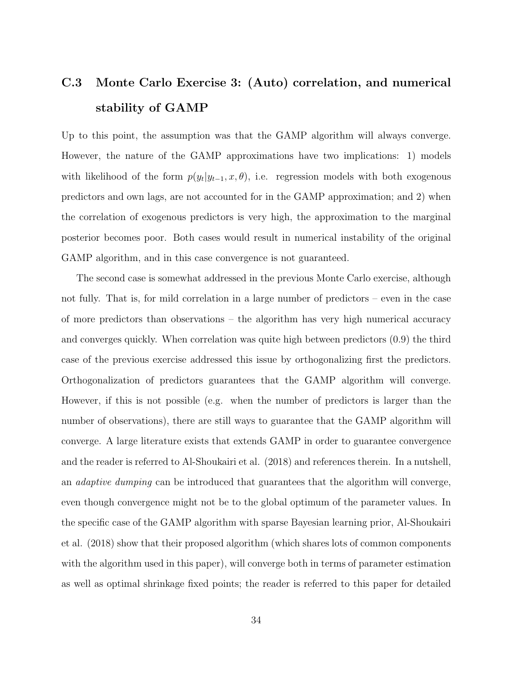### C.3 Monte Carlo Exercise 3: (Auto) correlation, and numerical stability of GAMP

Up to this point, the assumption was that the GAMP algorithm will always converge. However, the nature of the GAMP approximations have two implications: 1) models with likelihood of the form  $p(y_t|y_{t-1}, x, \theta)$ , i.e. regression models with both exogenous predictors and own lags, are not accounted for in the GAMP approximation; and 2) when the correlation of exogenous predictors is very high, the approximation to the marginal posterior becomes poor. Both cases would result in numerical instability of the original GAMP algorithm, and in this case convergence is not guaranteed.

The second case is somewhat addressed in the previous Monte Carlo exercise, although not fully. That is, for mild correlation in a large number of predictors – even in the case of more predictors than observations – the algorithm has very high numerical accuracy and converges quickly. When correlation was quite high between predictors (0.9) the third case of the previous exercise addressed this issue by orthogonalizing first the predictors. Orthogonalization of predictors guarantees that the GAMP algorithm will converge. However, if this is not possible (e.g. when the number of predictors is larger than the number of observations), there are still ways to guarantee that the GAMP algorithm will converge. A large literature exists that extends GAMP in order to guarantee convergence and the reader is referred to Al-Shoukairi et al. (2018) and references therein. In a nutshell, an adaptive dumping can be introduced that guarantees that the algorithm will converge, even though convergence might not be to the global optimum of the parameter values. In the specific case of the GAMP algorithm with sparse Bayesian learning prior, Al-Shoukairi et al. (2018) show that their proposed algorithm (which shares lots of common components with the algorithm used in this paper), will converge both in terms of parameter estimation as well as optimal shrinkage fixed points; the reader is referred to this paper for detailed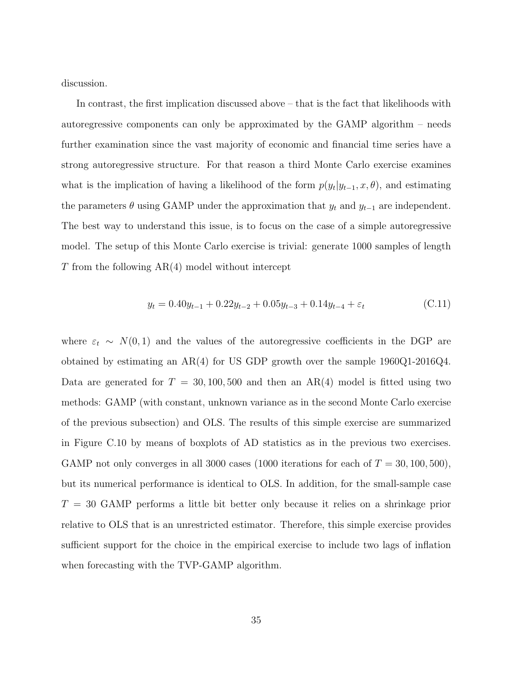discussion.

In contrast, the first implication discussed above – that is the fact that likelihoods with autoregressive components can only be approximated by the GAMP algorithm – needs further examination since the vast majority of economic and financial time series have a strong autoregressive structure. For that reason a third Monte Carlo exercise examines what is the implication of having a likelihood of the form  $p(y_t|y_{t-1}, x, \theta)$ , and estimating the parameters  $\theta$  using GAMP under the approximation that  $y_t$  and  $y_{t-1}$  are independent. The best way to understand this issue, is to focus on the case of a simple autoregressive model. The setup of this Monte Carlo exercise is trivial: generate 1000 samples of length  $T$  from the following  $AR(4)$  model without intercept

$$
y_t = 0.40y_{t-1} + 0.22y_{t-2} + 0.05y_{t-3} + 0.14y_{t-4} + \varepsilon_t
$$
 (C.11)

where  $\varepsilon_t \sim N(0, 1)$  and the values of the autoregressive coefficients in the DGP are obtained by estimating an  $AR(4)$  for US GDP growth over the sample 1960Q1-2016Q4. Data are generated for  $T = 30, 100, 500$  and then an AR(4) model is fitted using two methods: GAMP (with constant, unknown variance as in the second Monte Carlo exercise of the previous subsection) and OLS. The results of this simple exercise are summarized in Figure C.10 by means of boxplots of AD statistics as in the previous two exercises. GAMP not only converges in all 3000 cases (1000 iterations for each of  $T = 30, 100, 500$ ), but its numerical performance is identical to OLS. In addition, for the small-sample case  $T = 30$  GAMP performs a little bit better only because it relies on a shrinkage prior relative to OLS that is an unrestricted estimator. Therefore, this simple exercise provides sufficient support for the choice in the empirical exercise to include two lags of inflation when forecasting with the TVP-GAMP algorithm.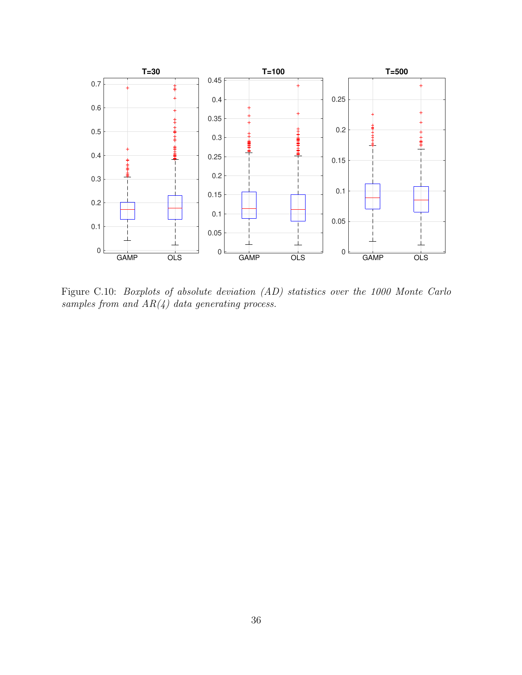

Figure C.10: Boxplots of absolute deviation (AD) statistics over the 1000 Monte Carlo samples from and  $AR(4)$  data generating process.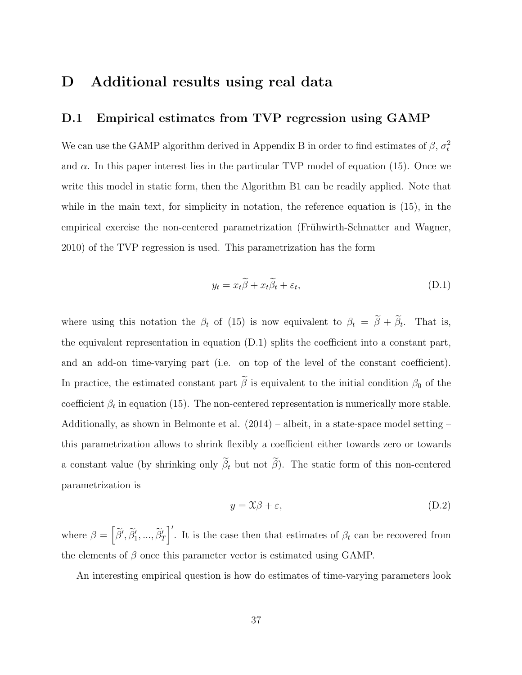## D Additional results using real data

### D.1 Empirical estimates from TVP regression using GAMP

We can use the GAMP algorithm derived in Appendix B in order to find estimates of  $\beta$ ,  $\sigma_t^2$ and  $\alpha$ . In this paper interest lies in the particular TVP model of equation (15). Once we write this model in static form, then the Algorithm B1 can be readily applied. Note that while in the main text, for simplicity in notation, the reference equation is (15), in the empirical exercise the non-centered parametrization (Frühwirth-Schnatter and Wagner, 2010) of the TVP regression is used. This parametrization has the form

$$
y_t = x_t \tilde{\beta} + x_t \tilde{\beta}_t + \varepsilon_t, \tag{D.1}
$$

where using this notation the  $\beta_t$  of (15) is now equivalent to  $\beta_t = \beta + \beta_t$ . That is, the equivalent representation in equation (D.1) splits the coefficient into a constant part, and an add-on time-varying part (i.e. on top of the level of the constant coefficient). In practice, the estimated constant part  $\tilde{\beta}$  is equivalent to the initial condition  $\beta_0$  of the coefficient  $\beta_t$  in equation (15). The non-centered representation is numerically more stable. Additionally, as shown in Belmonte et al.  $(2014)$  – albeit, in a state-space model setting – this parametrization allows to shrink flexibly a coefficient either towards zero or towards a constant value (by shrinking only  $\tilde{\beta}_t$  but not  $\tilde{\beta}$ ). The static form of this non-centered parametrization is

$$
y = \mathfrak{X}\beta + \varepsilon,\tag{D.2}
$$

where  $\beta = \left[ \widetilde{\beta}', \widetilde{\beta}'_1, ..., \widetilde{\beta}'_T \right]$ <sup>1</sup>. It is the case then that estimates of  $\beta_t$  can be recovered from the elements of  $\beta$  once this parameter vector is estimated using GAMP.

An interesting empirical question is how do estimates of time-varying parameters look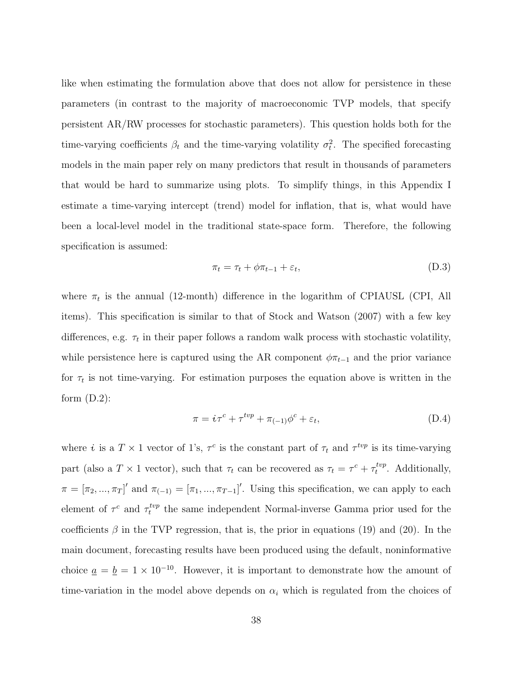like when estimating the formulation above that does not allow for persistence in these parameters (in contrast to the majority of macroeconomic TVP models, that specify persistent AR/RW processes for stochastic parameters). This question holds both for the time-varying coefficients  $\beta_t$  and the time-varying volatility  $\sigma_t^2$ . The specified forecasting models in the main paper rely on many predictors that result in thousands of parameters that would be hard to summarize using plots. To simplify things, in this Appendix I estimate a time-varying intercept (trend) model for inflation, that is, what would have been a local-level model in the traditional state-space form. Therefore, the following specification is assumed:

$$
\pi_t = \tau_t + \phi \pi_{t-1} + \varepsilon_t, \tag{D.3}
$$

where  $\pi_t$  is the annual (12-month) difference in the logarithm of CPIAUSL (CPI, All items). This specification is similar to that of Stock and Watson (2007) with a few key differences, e.g.  $\tau_t$  in their paper follows a random walk process with stochastic volatility, while persistence here is captured using the AR component  $\phi \pi_{t-1}$  and the prior variance for  $\tau_t$  is not time-varying. For estimation purposes the equation above is written in the form  $(D.2)$ :

$$
\pi = i\tau^{c} + \tau^{tvp} + \pi_{(-1)}\phi^{c} + \varepsilon_{t},\tag{D.4}
$$

where i is a  $T \times 1$  vector of 1's,  $\tau^c$  is the constant part of  $\tau_t$  and  $\tau^{typ}$  is its time-varying part (also a  $T \times 1$  vector), such that  $\tau_t$  can be recovered as  $\tau_t = \tau^c + \tau_t^{typ}$  $t^{typ}$ . Additionally,  $\pi = [\pi_2, ..., \pi_T]'$  and  $\pi_{(-1)} = [\pi_1, ..., \pi_{T-1}]'$ . Using this specification, we can apply to each element of  $\tau^c$  and  $\tau_t^{typ}$  $t_t^{top}$  the same independent Normal-inverse Gamma prior used for the coefficients  $\beta$  in the TVP regression, that is, the prior in equations (19) and (20). In the main document, forecasting results have been produced using the default, noninformative choice  $\underline{a} = \underline{b} = 1 \times 10^{-10}$ . However, it is important to demonstrate how the amount of time-variation in the model above depends on  $\alpha_i$  which is regulated from the choices of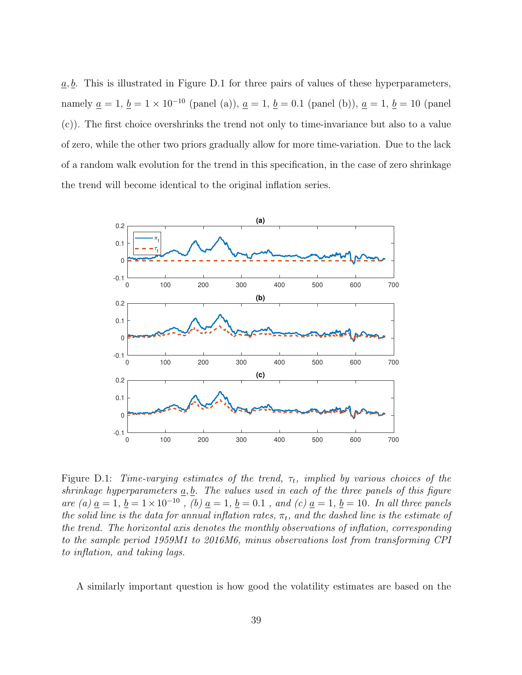$\underline{a}, \underline{b}$ . This is illustrated in Figure D.1 for three pairs of values of these hyperparameters, namely  $\underline{a} = 1, \underline{b} = 1 \times 10^{-10}$  (panel (a)),  $\underline{a} = 1, \underline{b} = 0.1$  (panel (b)),  $\underline{a} = 1, \underline{b} = 10$  (panel (c)). The first choice overshrinks the trend not only to time-invariance but also to a value of zero, while the other two priors gradually allow for more time-variation. Due to the lack of a random walk evolution for the trend in this specification, in the case of zero shrinkage the trend will become identical to the original inflation series.



Figure D.1: Time-varying estimates of the trend,  $\tau_t$ , implied by various choices of the shrinkage hyperparameters  $\underline{a}, \underline{b}$ . The values used in each of the three panels of this figure are (a)  $\underline{a} = 1$ ,  $\underline{b} = 1 \times 10^{-10}$ , (b)  $\underline{a} = 1$ ,  $\underline{b} = 0.1$ , and (c)  $\underline{a} = 1$ ,  $\underline{b} = 10$ . In all three panels the solid line is the data for annual inflation rates,  $\pi_t$ , and the dashed line is the estimate of the trend. The horizontal axis denotes the monthly observations of inflation, corresponding to the sample period 1959M1 to 2016M6, minus observations lost from transforming CPI to inflation, and taking lags.

A similarly important question is how good the volatility estimates are based on the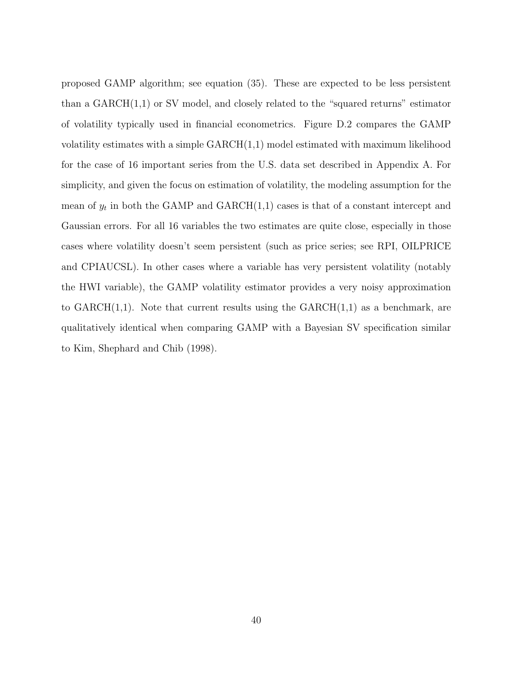proposed GAMP algorithm; see equation (35). These are expected to be less persistent than a  $GARCH(1,1)$  or SV model, and closely related to the "squared returns" estimator of volatility typically used in financial econometrics. Figure D.2 compares the GAMP volatility estimates with a simple  $GARCH(1,1)$  model estimated with maximum likelihood for the case of 16 important series from the U.S. data set described in Appendix A. For simplicity, and given the focus on estimation of volatility, the modeling assumption for the mean of  $y_t$  in both the GAMP and GARCH $(1,1)$  cases is that of a constant intercept and Gaussian errors. For all 16 variables the two estimates are quite close, especially in those cases where volatility doesn't seem persistent (such as price series; see RPI, OILPRICE and CPIAUCSL). In other cases where a variable has very persistent volatility (notably the HWI variable), the GAMP volatility estimator provides a very noisy approximation to  $GARCH(1,1)$ . Note that current results using the  $GARCH(1,1)$  as a benchmark, are qualitatively identical when comparing GAMP with a Bayesian SV specification similar to Kim, Shephard and Chib (1998).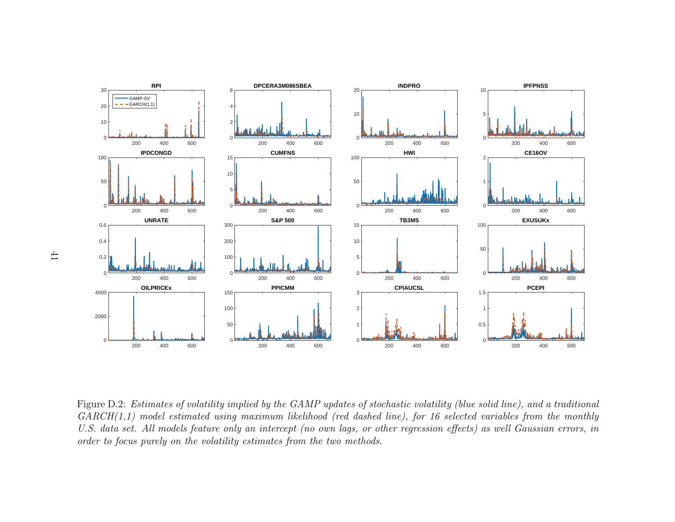

Figure D.2: Estimates of volatility implied by the GAMP updates of stochastic volatility (blue solid line), and <sup>a</sup> traditional  $GARCH(1,1)$  model estimated using maximum likelihood (red dashed line), for 16 selected variables from the monthly U.S. data set. All models feature only an intercept (no own lags, or other regression effects) as well Gaussian errors, inorder to focus purely on the volatility estimates from the two methods.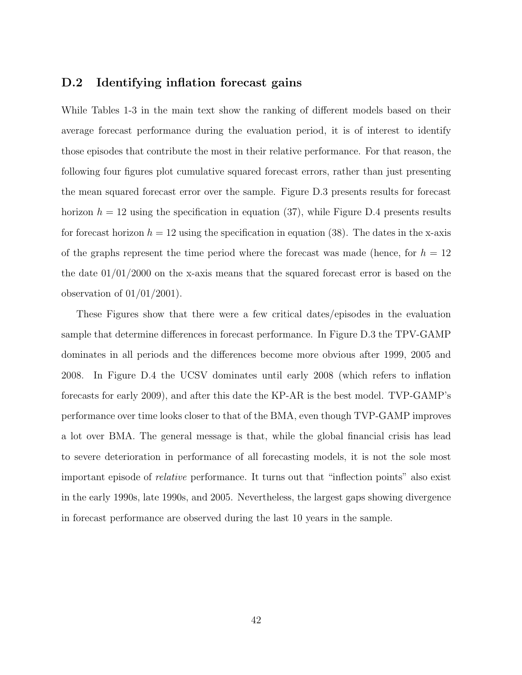#### D.2 Identifying inflation forecast gains

While Tables 1-3 in the main text show the ranking of different models based on their average forecast performance during the evaluation period, it is of interest to identify those episodes that contribute the most in their relative performance. For that reason, the following four figures plot cumulative squared forecast errors, rather than just presenting the mean squared forecast error over the sample. Figure D.3 presents results for forecast horizon  $h = 12$  using the specification in equation (37), while Figure D.4 presents results for forecast horizon  $h = 12$  using the specification in equation (38). The dates in the x-axis of the graphs represent the time period where the forecast was made (hence, for  $h = 12$ ) the date 01/01/2000 on the x-axis means that the squared forecast error is based on the observation of  $01/01/2001$ .

These Figures show that there were a few critical dates/episodes in the evaluation sample that determine differences in forecast performance. In Figure D.3 the TPV-GAMP dominates in all periods and the differences become more obvious after 1999, 2005 and 2008. In Figure D.4 the UCSV dominates until early 2008 (which refers to inflation forecasts for early 2009), and after this date the KP-AR is the best model. TVP-GAMP's performance over time looks closer to that of the BMA, even though TVP-GAMP improves a lot over BMA. The general message is that, while the global financial crisis has lead to severe deterioration in performance of all forecasting models, it is not the sole most important episode of relative performance. It turns out that "inflection points" also exist in the early 1990s, late 1990s, and 2005. Nevertheless, the largest gaps showing divergence in forecast performance are observed during the last 10 years in the sample.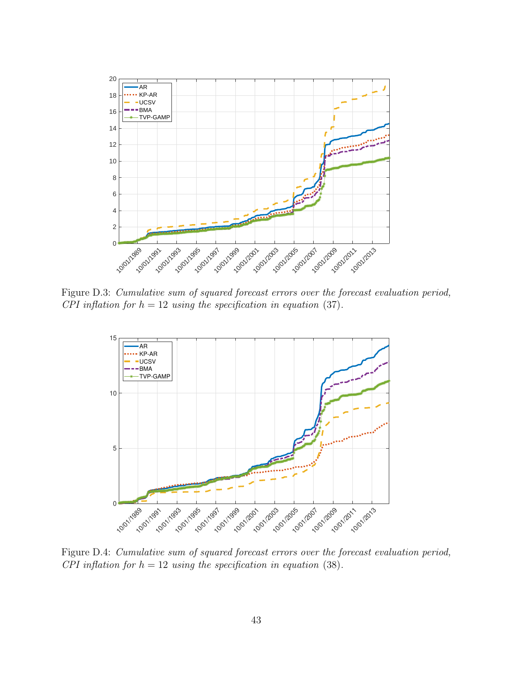

Figure D.3: Cumulative sum of squared forecast errors over the forecast evaluation period, CPI inflation for  $h = 12$  using the specification in equation (37).



Figure D.4: Cumulative sum of squared forecast errors over the forecast evaluation period, CPI inflation for  $h = 12$  using the specification in equation (38).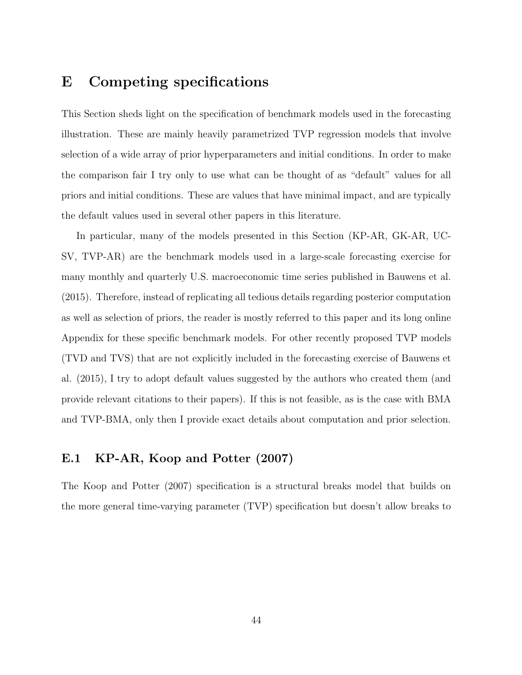# E Competing specifications

This Section sheds light on the specification of benchmark models used in the forecasting illustration. These are mainly heavily parametrized TVP regression models that involve selection of a wide array of prior hyperparameters and initial conditions. In order to make the comparison fair I try only to use what can be thought of as "default" values for all priors and initial conditions. These are values that have minimal impact, and are typically the default values used in several other papers in this literature.

In particular, many of the models presented in this Section (KP-AR, GK-AR, UC-SV, TVP-AR) are the benchmark models used in a large-scale forecasting exercise for many monthly and quarterly U.S. macroeconomic time series published in Bauwens et al. (2015). Therefore, instead of replicating all tedious details regarding posterior computation as well as selection of priors, the reader is mostly referred to this paper and its long online Appendix for these specific benchmark models. For other recently proposed TVP models (TVD and TVS) that are not explicitly included in the forecasting exercise of Bauwens et al. (2015), I try to adopt default values suggested by the authors who created them (and provide relevant citations to their papers). If this is not feasible, as is the case with BMA and TVP-BMA, only then I provide exact details about computation and prior selection.

### E.1 KP-AR, Koop and Potter (2007)

The Koop and Potter (2007) specification is a structural breaks model that builds on the more general time-varying parameter (TVP) specification but doesn't allow breaks to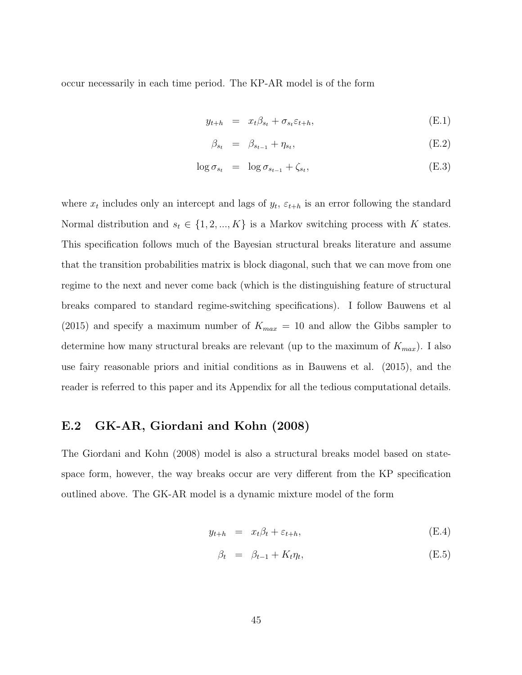occur necessarily in each time period. The KP-AR model is of the form

$$
y_{t+h} = x_t \beta_{s_t} + \sigma_{s_t} \varepsilon_{t+h}, \tag{E.1}
$$

$$
\beta_{s_t} = \beta_{s_{t-1}} + \eta_{s_t},\tag{E.2}
$$

$$
\log \sigma_{s_t} = \log \sigma_{s_{t-1}} + \zeta_{s_t}, \tag{E.3}
$$

where  $x_t$  includes only an intercept and lags of  $y_t$ ,  $\varepsilon_{t+h}$  is an error following the standard Normal distribution and  $s_t \in \{1, 2, ..., K\}$  is a Markov switching process with K states. This specification follows much of the Bayesian structural breaks literature and assume that the transition probabilities matrix is block diagonal, such that we can move from one regime to the next and never come back (which is the distinguishing feature of structural breaks compared to standard regime-switching specifications). I follow Bauwens et al (2015) and specify a maximum number of  $K_{max} = 10$  and allow the Gibbs sampler to determine how many structural breaks are relevant (up to the maximum of  $K_{max}$ ). I also use fairy reasonable priors and initial conditions as in Bauwens et al. (2015), and the reader is referred to this paper and its Appendix for all the tedious computational details.

#### E.2 GK-AR, Giordani and Kohn (2008)

The Giordani and Kohn (2008) model is also a structural breaks model based on statespace form, however, the way breaks occur are very different from the KP specification outlined above. The GK-AR model is a dynamic mixture model of the form

$$
y_{t+h} = x_t \beta_t + \varepsilon_{t+h}, \tag{E.4}
$$

$$
\beta_t = \beta_{t-1} + K_t \eta_t, \tag{E.5}
$$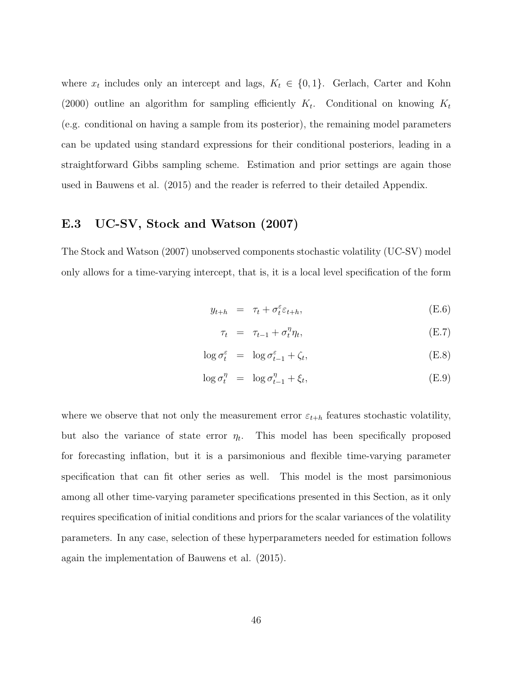where  $x_t$  includes only an intercept and lags,  $K_t \in \{0,1\}$ . Gerlach, Carter and Kohn (2000) outline an algorithm for sampling efficiently  $K_t$ . Conditional on knowing  $K_t$ (e.g. conditional on having a sample from its posterior), the remaining model parameters can be updated using standard expressions for their conditional posteriors, leading in a straightforward Gibbs sampling scheme. Estimation and prior settings are again those used in Bauwens et al. (2015) and the reader is referred to their detailed Appendix.

#### E.3 UC-SV, Stock and Watson (2007)

The Stock and Watson (2007) unobserved components stochastic volatility (UC-SV) model only allows for a time-varying intercept, that is, it is a local level specification of the form

$$
y_{t+h} = \tau_t + \sigma_t^{\varepsilon} \varepsilon_{t+h}, \tag{E.6}
$$

$$
\tau_t = \tau_{t-1} + \sigma_t^{\eta} \eta_t, \tag{E.7}
$$

$$
\log \sigma_t^{\varepsilon} = \log \sigma_{t-1}^{\varepsilon} + \zeta_t, \tag{E.8}
$$

$$
\log \sigma_t^{\eta} = \log \sigma_{t-1}^{\eta} + \xi_t, \tag{E.9}
$$

where we observe that not only the measurement error  $\varepsilon_{t+h}$  features stochastic volatility, but also the variance of state error  $\eta_t$ . . This model has been specifically proposed for forecasting inflation, but it is a parsimonious and flexible time-varying parameter specification that can fit other series as well. This model is the most parsimonious among all other time-varying parameter specifications presented in this Section, as it only requires specification of initial conditions and priors for the scalar variances of the volatility parameters. In any case, selection of these hyperparameters needed for estimation follows again the implementation of Bauwens et al. (2015).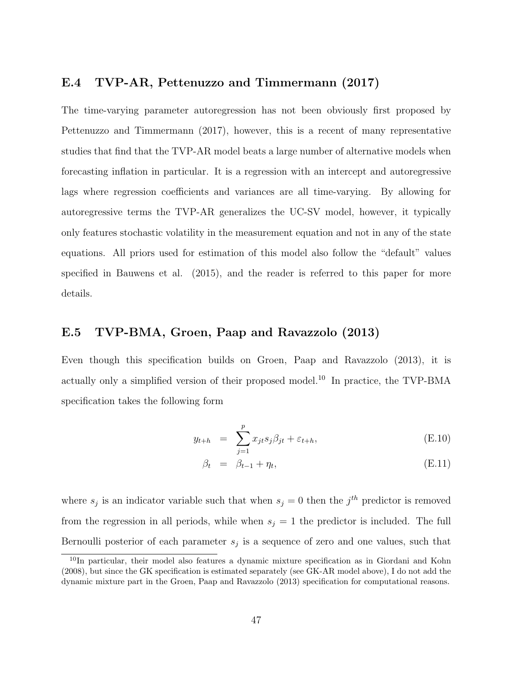#### E.4 TVP-AR, Pettenuzzo and Timmermann (2017)

The time-varying parameter autoregression has not been obviously first proposed by Pettenuzzo and Timmermann (2017), however, this is a recent of many representative studies that find that the TVP-AR model beats a large number of alternative models when forecasting inflation in particular. It is a regression with an intercept and autoregressive lags where regression coefficients and variances are all time-varying. By allowing for autoregressive terms the TVP-AR generalizes the UC-SV model, however, it typically only features stochastic volatility in the measurement equation and not in any of the state equations. All priors used for estimation of this model also follow the "default" values specified in Bauwens et al. (2015), and the reader is referred to this paper for more details.

## E.5 TVP-BMA, Groen, Paap and Ravazzolo (2013)

Even though this specification builds on Groen, Paap and Ravazzolo (2013), it is actually only a simplified version of their proposed model.<sup>10</sup> In practice, the TVP-BMA specification takes the following form

$$
y_{t+h} = \sum_{j=1}^{p} x_{jt} s_j \beta_{jt} + \varepsilon_{t+h}, \qquad (E.10)
$$

$$
\beta_t = \beta_{t-1} + \eta_t, \tag{E.11}
$$

where  $s_j$  is an indicator variable such that when  $s_j = 0$  then the  $j<sup>th</sup>$  predictor is removed from the regression in all periods, while when  $s_j = 1$  the predictor is included. The full Bernoulli posterior of each parameter  $s_j$  is a sequence of zero and one values, such that

<sup>&</sup>lt;sup>10</sup>In particular, their model also features a dynamic mixture specification as in Giordani and Kohn (2008), but since the GK specification is estimated separately (see GK-AR model above), I do not add the dynamic mixture part in the Groen, Paap and Ravazzolo (2013) specification for computational reasons.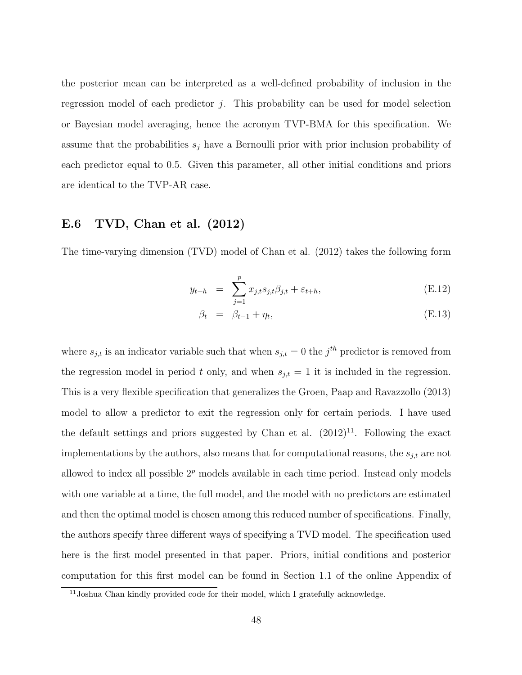the posterior mean can be interpreted as a well-defined probability of inclusion in the regression model of each predictor  $j$ . This probability can be used for model selection or Bayesian model averaging, hence the acronym TVP-BMA for this specification. We assume that the probabilities  $s_j$  have a Bernoulli prior with prior inclusion probability of each predictor equal to 0.5. Given this parameter, all other initial conditions and priors are identical to the TVP-AR case.

#### E.6 TVD, Chan et al. (2012)

The time-varying dimension (TVD) model of Chan et al. (2012) takes the following form

$$
y_{t+h} = \sum_{j=1}^{p} x_{j,t} s_{j,t} \beta_{j,t} + \varepsilon_{t+h},
$$
 (E.12)

$$
\beta_t = \beta_{t-1} + \eta_t, \tag{E.13}
$$

where  $s_{j,t}$  is an indicator variable such that when  $s_{j,t} = 0$  the  $j^{th}$  predictor is removed from the regression model in period t only, and when  $s_{j,t} = 1$  it is included in the regression. This is a very flexible specification that generalizes the Groen, Paap and Ravazzollo (2013) model to allow a predictor to exit the regression only for certain periods. I have used the default settings and priors suggested by Chan et al.  $(2012)^{11}$ . Following the exact implementations by the authors, also means that for computational reasons, the  $s_{j,t}$  are not allowed to index all possible  $2<sup>p</sup>$  models available in each time period. Instead only models with one variable at a time, the full model, and the model with no predictors are estimated and then the optimal model is chosen among this reduced number of specifications. Finally, the authors specify three different ways of specifying a TVD model. The specification used here is the first model presented in that paper. Priors, initial conditions and posterior computation for this first model can be found in Section 1.1 of the online Appendix of

 $11$ Joshua Chan kindly provided code for their model, which I gratefully acknowledge.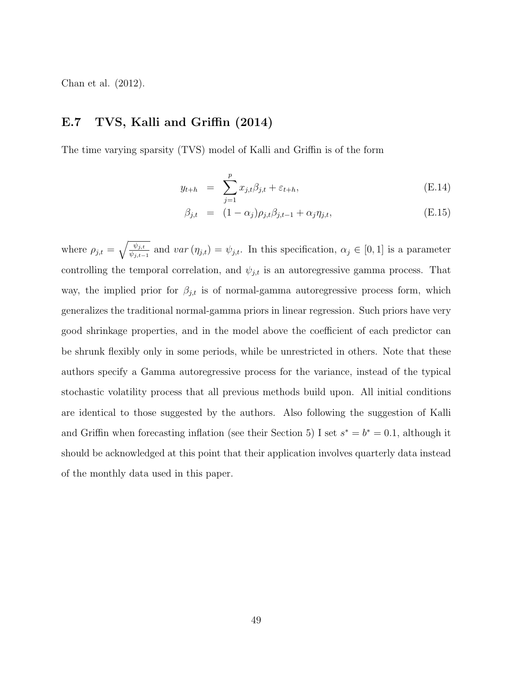Chan et al. (2012).

#### E.7 TVS, Kalli and Griffin (2014)

The time varying sparsity (TVS) model of Kalli and Griffin is of the form

$$
y_{t+h} = \sum_{j=1}^{p} x_{j,t} \beta_{j,t} + \varepsilon_{t+h},
$$
 (E.14)

$$
\beta_{j,t} = (1 - \alpha_j) \rho_{j,t} \beta_{j,t-1} + \alpha_j \eta_{j,t}, \qquad (E.15)
$$

where  $\rho_{j,t} = \sqrt{\frac{\psi_{j,t}}{\psi_{j,t}}}$  $\frac{\psi_{j,t}}{\psi_{j,t-1}}$  and  $var(\eta_{j,t}) = \psi_{j,t}$ . In this specification,  $\alpha_j \in [0,1]$  is a parameter controlling the temporal correlation, and  $\psi_{j,t}$  is an autoregressive gamma process. That way, the implied prior for  $\beta_{j,t}$  is of normal-gamma autoregressive process form, which generalizes the traditional normal-gamma priors in linear regression. Such priors have very good shrinkage properties, and in the model above the coefficient of each predictor can be shrunk flexibly only in some periods, while be unrestricted in others. Note that these authors specify a Gamma autoregressive process for the variance, instead of the typical stochastic volatility process that all previous methods build upon. All initial conditions are identical to those suggested by the authors. Also following the suggestion of Kalli and Griffin when forecasting inflation (see their Section 5) I set  $s^* = b^* = 0.1$ , although it should be acknowledged at this point that their application involves quarterly data instead of the monthly data used in this paper.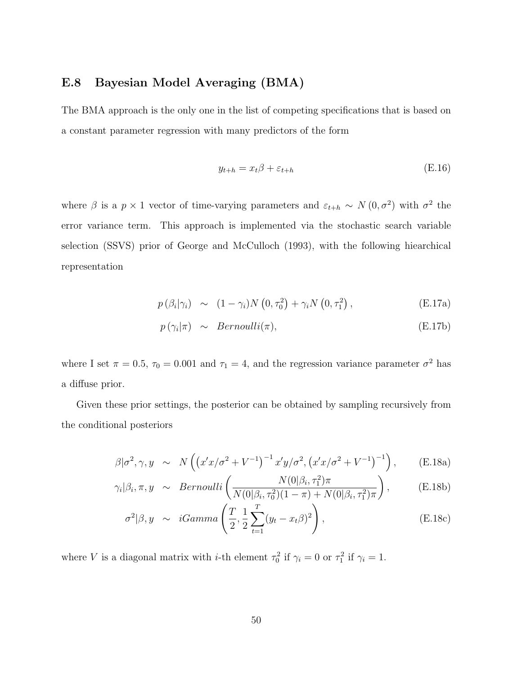#### E.8 Bayesian Model Averaging (BMA)

The BMA approach is the only one in the list of competing specifications that is based on a constant parameter regression with many predictors of the form

$$
y_{t+h} = x_t \beta + \varepsilon_{t+h} \tag{E.16}
$$

where  $\beta$  is a  $p \times 1$  vector of time-varying parameters and  $\varepsilon_{t+h} \sim N(0, \sigma^2)$  with  $\sigma^2$  the error variance term. This approach is implemented via the stochastic search variable selection (SSVS) prior of George and McCulloch (1993), with the following hiearchical representation

$$
p\left(\beta_i|\gamma_i\right) \sim (1-\gamma_i)N\left(0,\tau_0^2\right) + \gamma_i N\left(0,\tau_1^2\right), \tag{E.17a}
$$

$$
p(\gamma_i|\pi) \sim Bernoulli(\pi), \tag{E.17b}
$$

where I set  $\pi = 0.5$ ,  $\tau_0 = 0.001$  and  $\tau_1 = 4$ , and the regression variance parameter  $\sigma^2$  has a diffuse prior.

Given these prior settings, the posterior can be obtained by sampling recursively from the conditional posteriors

$$
\beta|\sigma^2, \gamma, y \sim N\left(\left(x'x/\sigma^2 + V^{-1}\right)^{-1}x'y/\sigma^2, \left(x'x/\sigma^2 + V^{-1}\right)^{-1}\right), \quad \text{(E.18a)}
$$

$$
\gamma_i|\beta_i, \pi, y \sim Bernoulli\left(\frac{N(0|\beta_i, \tau_1^2)\pi}{N(0|\beta_i, \tau_0^2)(1-\pi) + N(0|\beta_i, \tau_1^2)\pi}\right), \quad (E.18b)
$$

$$
\sigma^2|\beta, y \sim iGamma \left(\frac{T}{2}, \frac{1}{2}\sum_{t=1}^T (y_t - x_t \beta)^2\right), \tag{E.18c}
$$

where V is a diagonal matrix with *i*-th element  $\tau_0^2$  if  $\gamma_i = 0$  or  $\tau_1^2$  if  $\gamma_i = 1$ .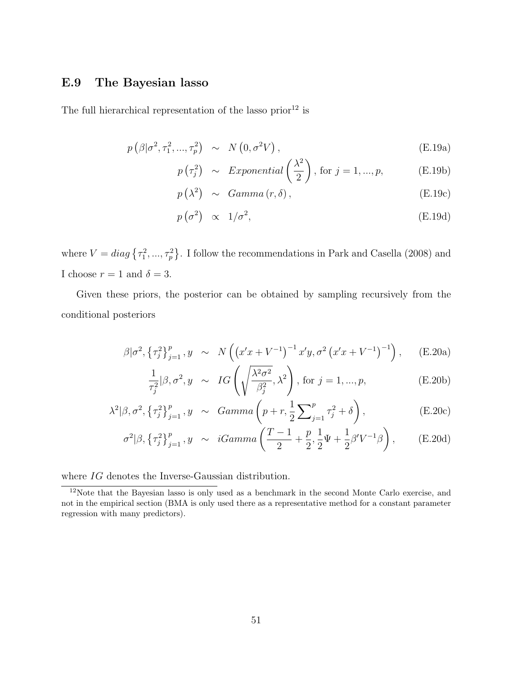### E.9 The Bayesian lasso

The full hierarchical representation of the lasso  $prior^{12}$  is

$$
p\left(\beta|\sigma^2, \tau_1^2, ..., \tau_p^2\right) \sim N\left(0, \sigma^2 V\right),\tag{E.19a}
$$

$$
p(\tau_j^2) \sim Exponential\left(\frac{\lambda^2}{2}\right)
$$
, for  $j = 1, ..., p$ , (E.19b)

$$
p\left(\lambda^2\right) \sim Gamma\left(r,\delta\right),\tag{E.19c}
$$

$$
p(\sigma^2) \propto 1/\sigma^2, \tag{E.19d}
$$

where  $V = diag\left\{\tau_1^2, ..., \tau_p^2\right\}$ . I follow the recommendations in Park and Casella (2008) and I choose  $r = 1$  and  $\delta = 3$ .

Given these priors, the posterior can be obtained by sampling recursively from the conditional posteriors

$$
\beta |\sigma^2, {\{\tau_j^2\}}_{j=1}^p, y \sim N\left( \left( x' x + V^{-1} \right)^{-1} x' y, \sigma^2 \left( x' x + V^{-1} \right)^{-1} \right), \quad \text{(E.20a)}
$$

$$
\frac{1}{\tau_j^2} |\beta, \sigma^2, y \sim IG\left(\sqrt{\frac{\lambda^2 \sigma^2}{\beta_j^2}}, \lambda^2\right), \text{ for } j = 1, ..., p,
$$
 (E.20b)

$$
\lambda^2 |\beta, \sigma^2, {\{\tau_j^2\}}_{j=1}^p, y \sim Gamma\left(p + r, \frac{1}{2} \sum_{j=1}^p \tau_j^2 + \delta\right),
$$
 (E.20c)

$$
\sigma^2 |\beta, {\{\tau_j^2\}}_{j=1}^p, y \sim iGamma \left( \frac{T-1}{2} + \frac{p}{2}, \frac{1}{2} \Psi + \frac{1}{2} \beta' V^{-1} \beta \right), \qquad (E.20d)
$$

where IG denotes the Inverse-Gaussian distribution.

<sup>12</sup>Note that the Bayesian lasso is only used as a benchmark in the second Monte Carlo exercise, and not in the empirical section (BMA is only used there as a representative method for a constant parameter regression with many predictors).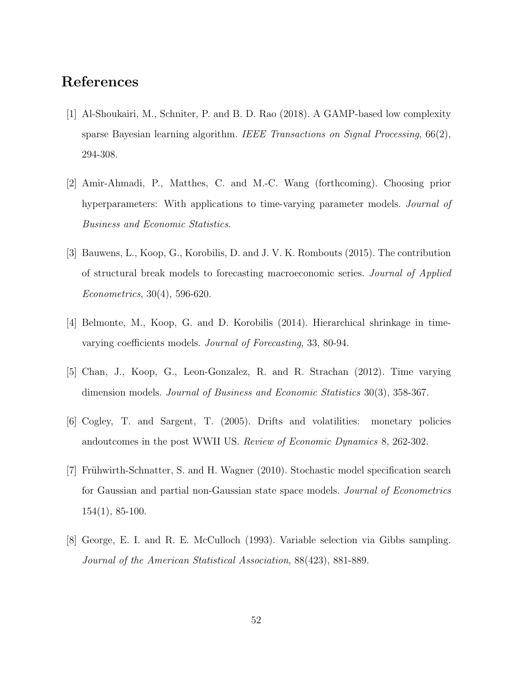## References

- [1] Al-Shoukairi, M., Schniter, P. and B. D. Rao (2018). A GAMP-based low complexity sparse Bayesian learning algorithm. IEEE Transactions on Signal Processing,  $66(2)$ , 294-308.
- [2] Amir-Ahmadi, P., Matthes, C. and M.-C. Wang (forthcoming). Choosing prior hyperparameters: With applications to time-varying parameter models. Journal of Business and Economic Statistics.
- [3] Bauwens, L., Koop, G., Korobilis, D. and J. V. K. Rombouts (2015). The contribution of structural break models to forecasting macroeconomic series. Journal of Applied Econometrics, 30(4), 596-620.
- [4] Belmonte, M., Koop, G. and D. Korobilis (2014). Hierarchical shrinkage in timevarying coefficients models. Journal of Forecasting, 33, 80-94.
- [5] Chan, J., Koop, G., Leon-Gonzalez, R. and R. Strachan (2012). Time varying dimension models. Journal of Business and Economic Statistics 30(3), 358-367.
- [6] Cogley, T. and Sargent, T. (2005). Drifts and volatilities: monetary policies andoutcomes in the post WWII US. Review of Economic Dynamics 8, 262-302.
- [7] Frühwirth-Schnatter, S. and H. Wagner (2010). Stochastic model specification search for Gaussian and partial non-Gaussian state space models. Journal of Econometrics 154(1), 85-100.
- [8] George, E. I. and R. E. McCulloch (1993). Variable selection via Gibbs sampling. Journal of the American Statistical Association, 88(423), 881-889.